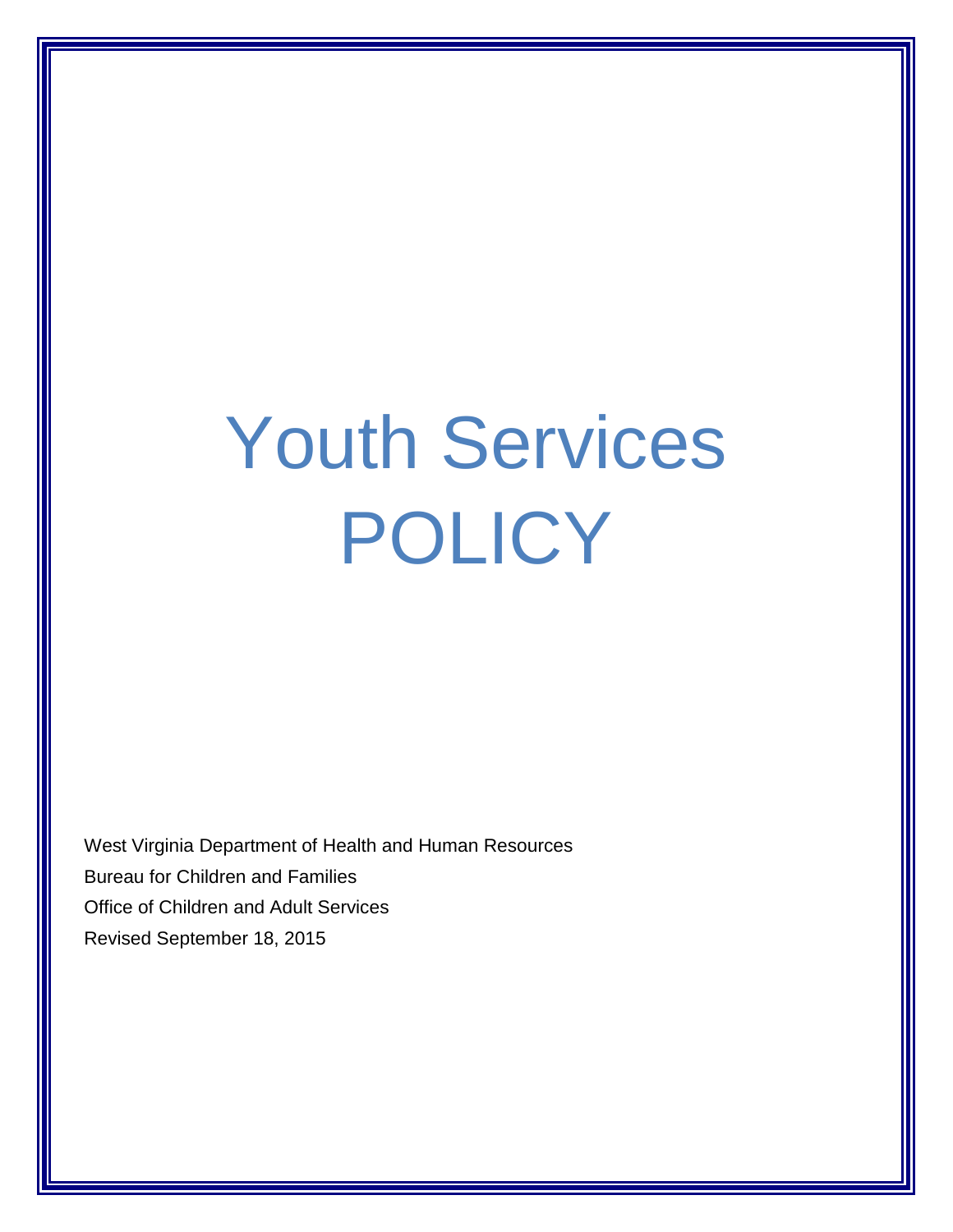# Youth Services POLICY

West Virginia Department of Health and Human Resources Bureau for Children and Families Office of Children and Adult Services Revised September 18, 2015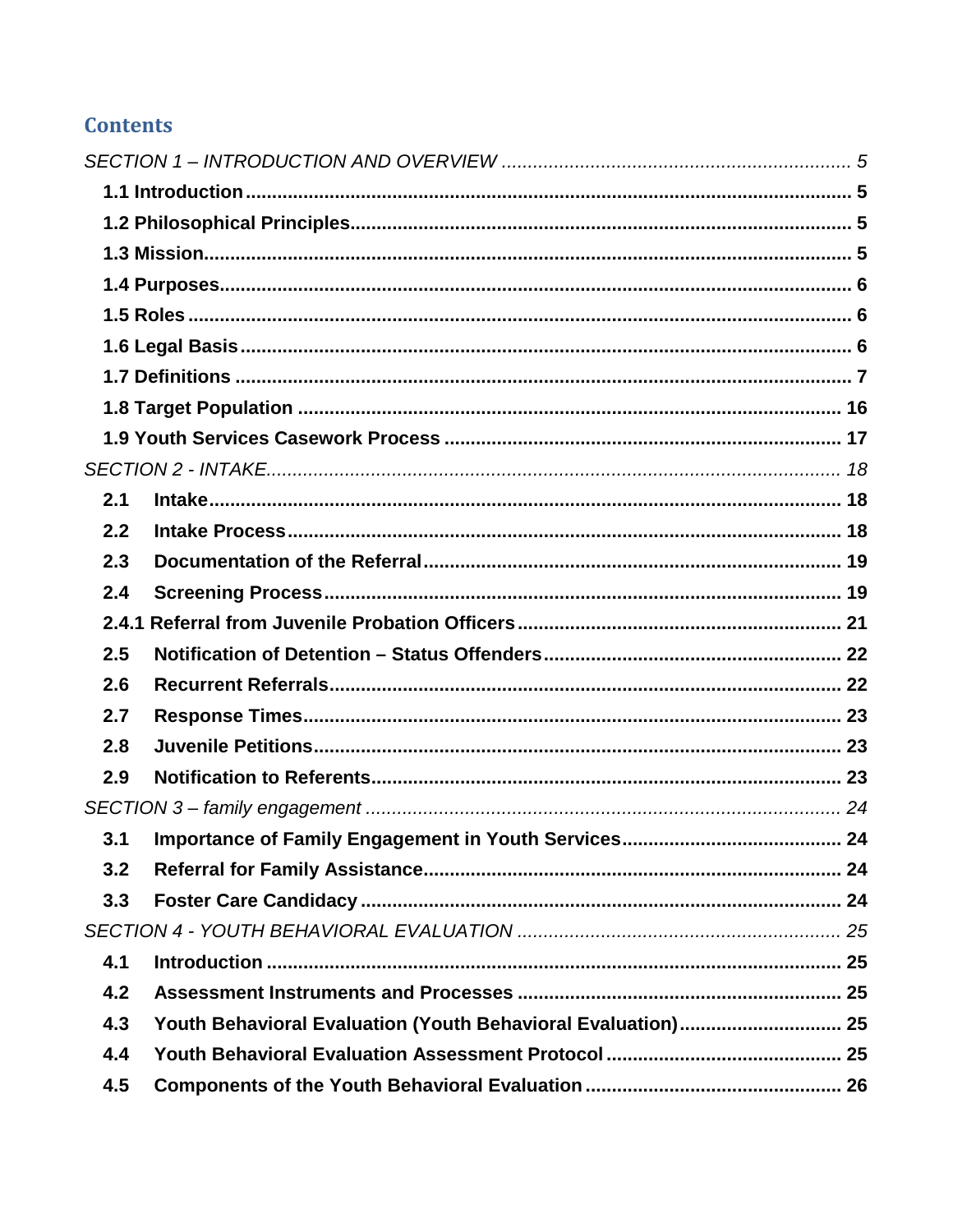### **Contents**

| 2.1   |                                                              |  |
|-------|--------------------------------------------------------------|--|
| 2.2   |                                                              |  |
| 2.3   |                                                              |  |
| 2.4   |                                                              |  |
| 2.4.1 |                                                              |  |
| 2.5   |                                                              |  |
| 2.6   |                                                              |  |
| 2.7   |                                                              |  |
| 2.8   |                                                              |  |
| 2.9   |                                                              |  |
|       |                                                              |  |
| 3.1   |                                                              |  |
| 3.2   |                                                              |  |
| 3.3   |                                                              |  |
|       |                                                              |  |
| 4.1   |                                                              |  |
| 4.2   |                                                              |  |
| 4.3   | Youth Behavioral Evaluation (Youth Behavioral Evaluation) 25 |  |
| 4.4   |                                                              |  |
| 4.5   |                                                              |  |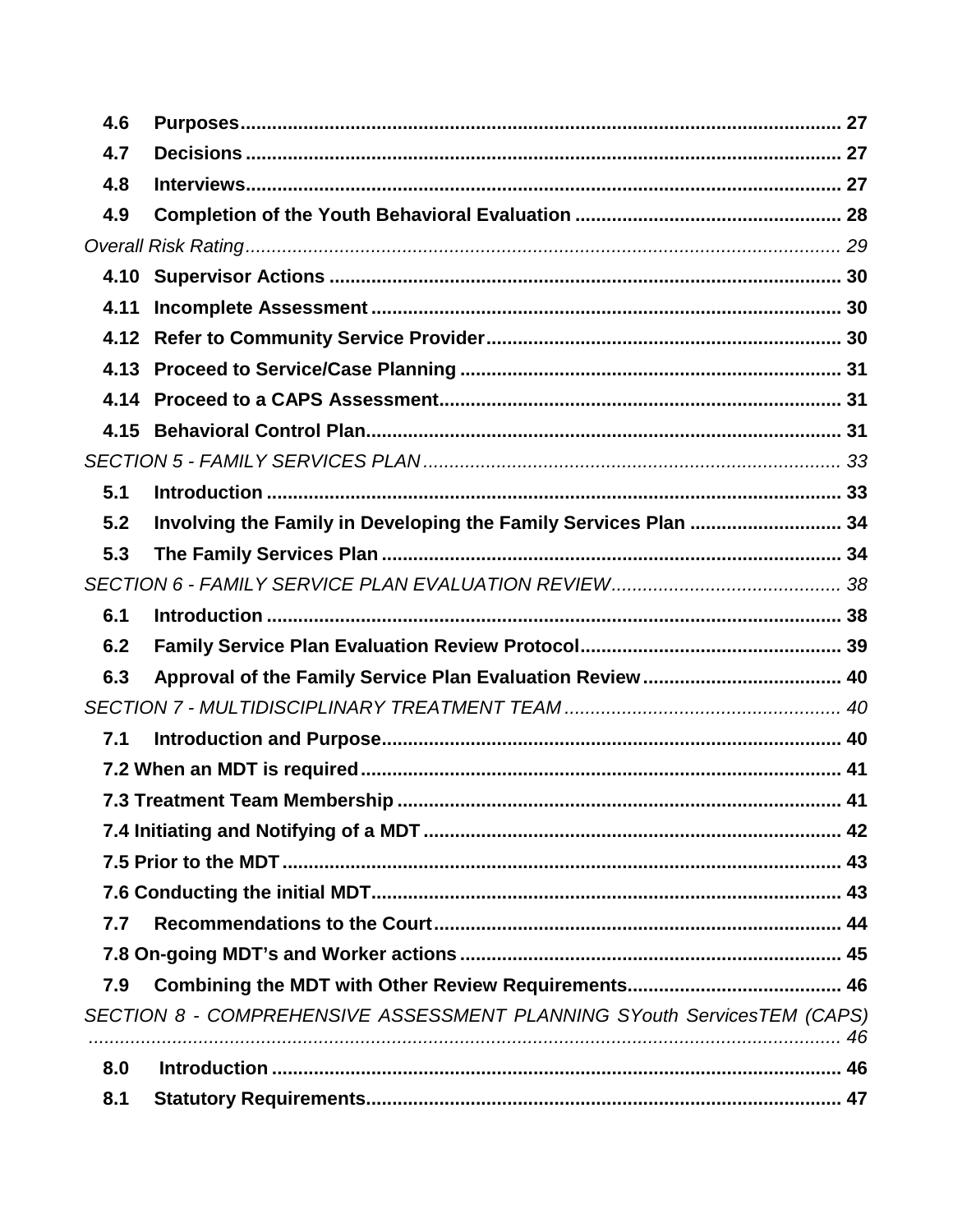| 4.6  |                                                                         |  |
|------|-------------------------------------------------------------------------|--|
| 4.7  |                                                                         |  |
| 4.8  |                                                                         |  |
| 4.9  |                                                                         |  |
|      |                                                                         |  |
| 4.10 |                                                                         |  |
| 4.11 |                                                                         |  |
| 4.12 |                                                                         |  |
| 4.13 |                                                                         |  |
| 4.14 |                                                                         |  |
| 4.15 |                                                                         |  |
|      |                                                                         |  |
| 5.1  |                                                                         |  |
| 5.2  | Involving the Family in Developing the Family Services Plan  34         |  |
| 5.3  |                                                                         |  |
|      |                                                                         |  |
| 6.1  |                                                                         |  |
| 6.2  |                                                                         |  |
| 6.3  |                                                                         |  |
|      |                                                                         |  |
| 7.1  |                                                                         |  |
|      |                                                                         |  |
|      |                                                                         |  |
|      |                                                                         |  |
|      |                                                                         |  |
|      |                                                                         |  |
| 7.7  |                                                                         |  |
|      |                                                                         |  |
| 7.9  |                                                                         |  |
|      | SECTION 8 - COMPREHENSIVE ASSESSMENT PLANNING SYouth ServicesTEM (CAPS) |  |
|      |                                                                         |  |
| 8.0  |                                                                         |  |
| 8.1  |                                                                         |  |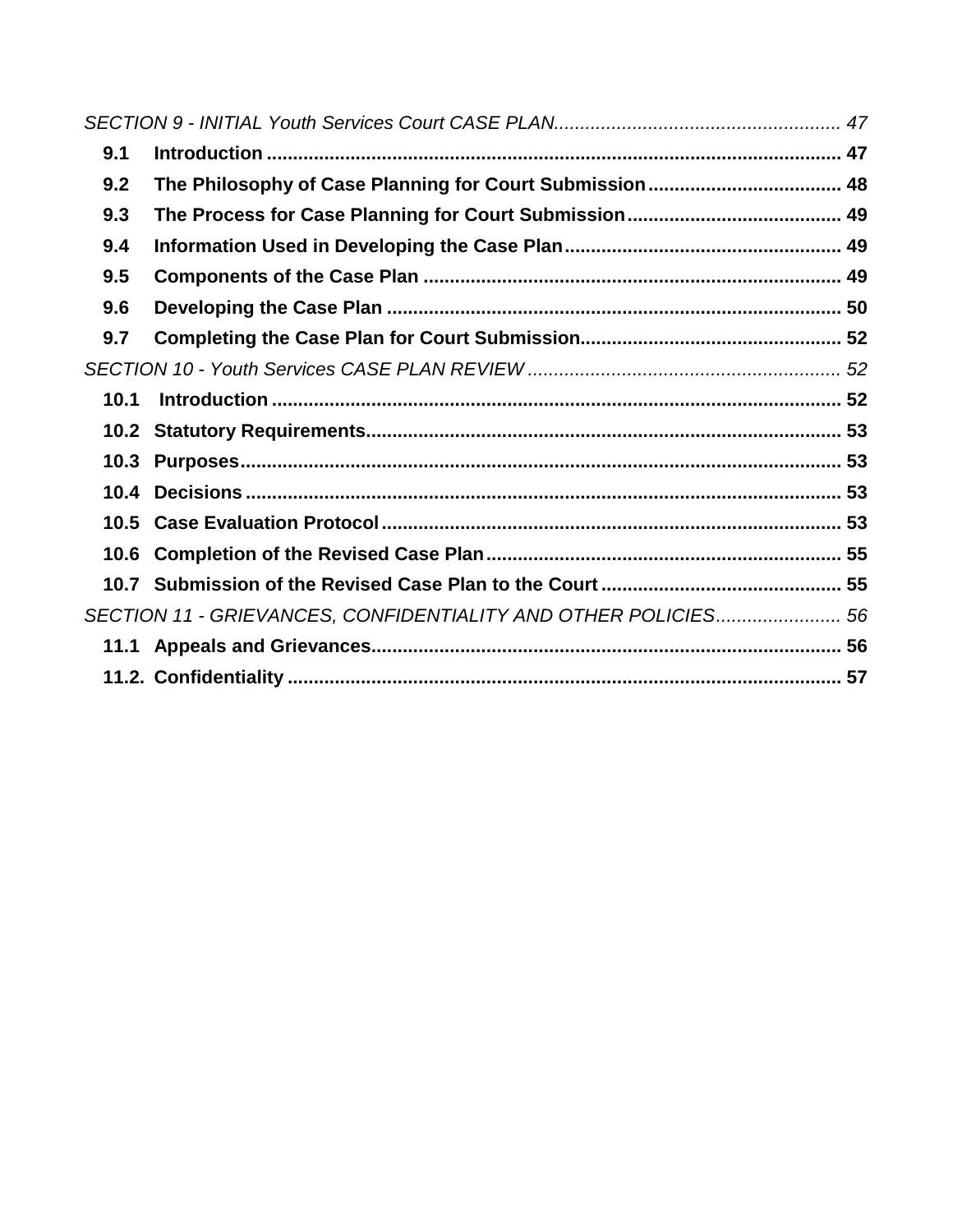| 9.1  |                                                                |  |
|------|----------------------------------------------------------------|--|
| 9.2  |                                                                |  |
| 9.3  |                                                                |  |
| 9.4  |                                                                |  |
| 9.5  |                                                                |  |
| 9.6  |                                                                |  |
| 9.7  |                                                                |  |
|      |                                                                |  |
| 10.1 |                                                                |  |
|      |                                                                |  |
| 10.3 |                                                                |  |
| 10.4 |                                                                |  |
|      |                                                                |  |
|      |                                                                |  |
|      |                                                                |  |
|      | SECTION 11 - GRIEVANCES, CONFIDENTIALITY AND OTHER POLICIES 56 |  |
|      |                                                                |  |
|      |                                                                |  |
|      |                                                                |  |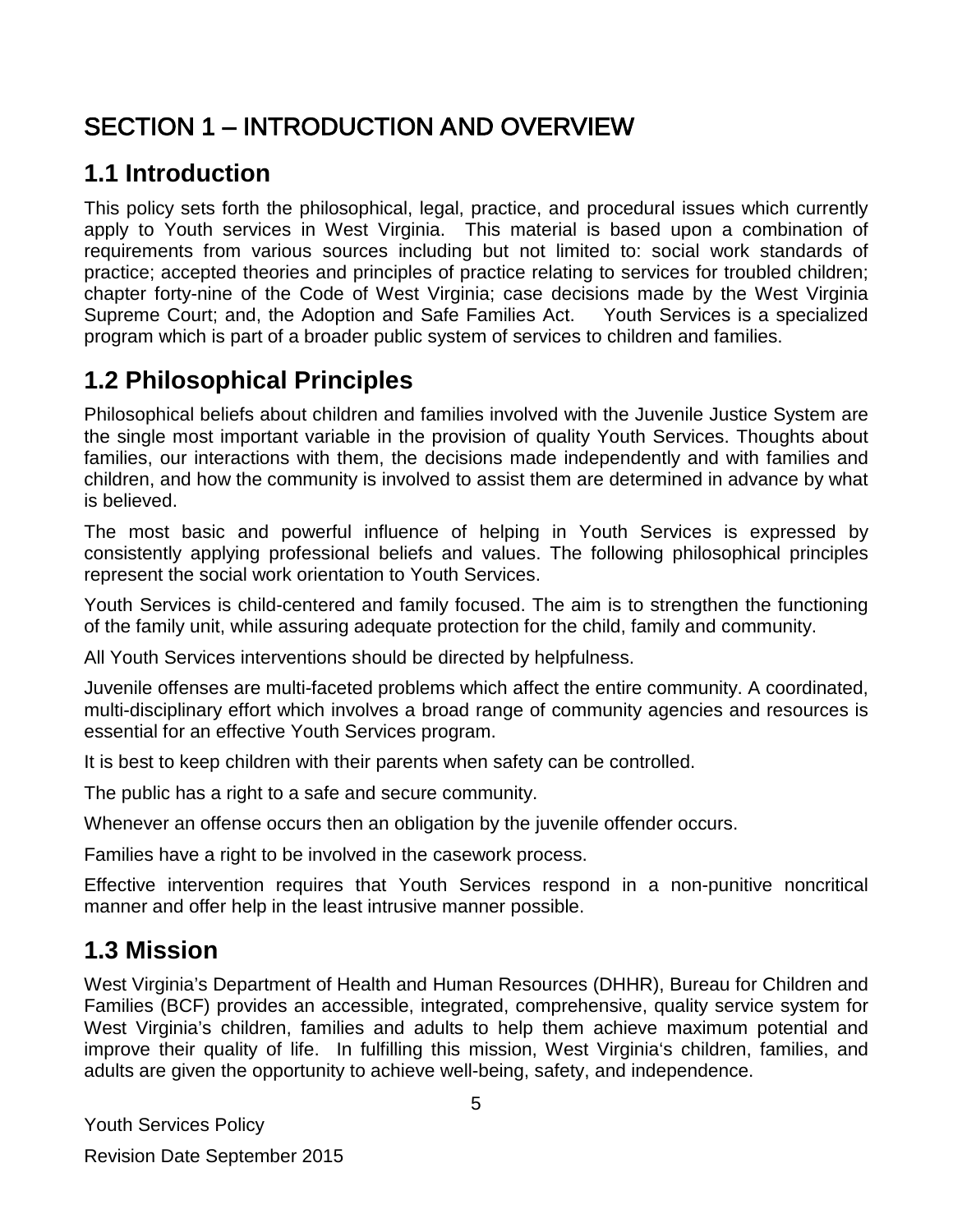# <span id="page-4-0"></span>SECTION 1 – INTRODUCTION AND OVERVIEW

### <span id="page-4-1"></span>**1.1 Introduction**

This policy sets forth the philosophical, legal, practice, and procedural issues which currently apply to Youth services in West Virginia. This material is based upon a combination of requirements from various sources including but not limited to: social work standards of practice; accepted theories and principles of practice relating to services for troubled children; chapter forty-nine of the Code of West Virginia; case decisions made by the West Virginia Supreme Court; and, the Adoption and Safe Families Act. Youth Services is a specialized program which is part of a broader public system of services to children and families.

### <span id="page-4-2"></span>**1.2 Philosophical Principles**

Philosophical beliefs about children and families involved with the Juvenile Justice System are the single most important variable in the provision of quality Youth Services. Thoughts about families, our interactions with them, the decisions made independently and with families and children, and how the community is involved to assist them are determined in advance by what is believed.

The most basic and powerful influence of helping in Youth Services is expressed by consistently applying professional beliefs and values. The following philosophical principles represent the social work orientation to Youth Services.

Youth Services is child-centered and family focused. The aim is to strengthen the functioning of the family unit, while assuring adequate protection for the child, family and community.

All Youth Services interventions should be directed by helpfulness.

Juvenile offenses are multi-faceted problems which affect the entire community. A coordinated, multi-disciplinary effort which involves a broad range of community agencies and resources is essential for an effective Youth Services program.

It is best to keep children with their parents when safety can be controlled.

The public has a right to a safe and secure community.

Whenever an offense occurs then an obligation by the juvenile offender occurs.

Families have a right to be involved in the casework process.

Effective intervention requires that Youth Services respond in a non-punitive noncritical manner and offer help in the least intrusive manner possible.

### <span id="page-4-3"></span>**1.3 Mission**

West Virginia's Department of Health and Human Resources (DHHR), Bureau for Children and Families (BCF) provides an accessible, integrated, comprehensive, quality service system for West Virginia's children, families and adults to help them achieve maximum potential and improve their quality of life. In fulfilling this mission, West Virginia's children, families, and adults are given the opportunity to achieve well-being, safety, and independence.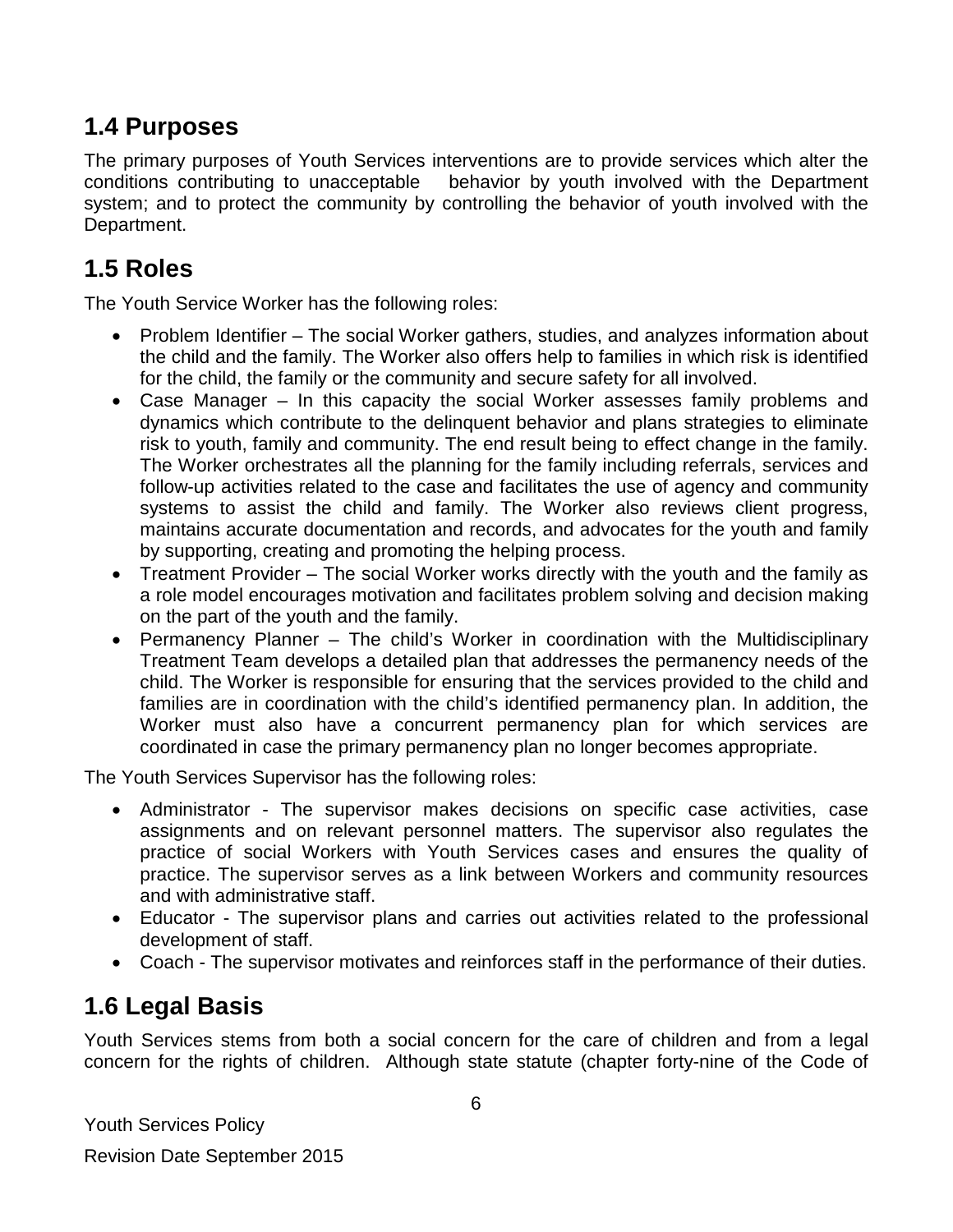### <span id="page-5-0"></span>**1.4 Purposes**

The primary purposes of Youth Services interventions are to provide services which alter the conditions contributing to unacceptable behavior by youth involved with the Department system; and to protect the community by controlling the behavior of youth involved with the Department.

# <span id="page-5-1"></span>**1.5 Roles**

The Youth Service Worker has the following roles:

- Problem Identifier The social Worker gathers, studies, and analyzes information about the child and the family. The Worker also offers help to families in which risk is identified for the child, the family or the community and secure safety for all involved.
- Case Manager In this capacity the social Worker assesses family problems and dynamics which contribute to the delinquent behavior and plans strategies to eliminate risk to youth, family and community. The end result being to effect change in the family. The Worker orchestrates all the planning for the family including referrals, services and follow-up activities related to the case and facilitates the use of agency and community systems to assist the child and family. The Worker also reviews client progress, maintains accurate documentation and records, and advocates for the youth and family by supporting, creating and promoting the helping process.
- Treatment Provider The social Worker works directly with the youth and the family as a role model encourages motivation and facilitates problem solving and decision making on the part of the youth and the family.
- Permanency Planner The child's Worker in coordination with the Multidisciplinary Treatment Team develops a detailed plan that addresses the permanency needs of the child. The Worker is responsible for ensuring that the services provided to the child and families are in coordination with the child's identified permanency plan. In addition, the Worker must also have a concurrent permanency plan for which services are coordinated in case the primary permanency plan no longer becomes appropriate.

The Youth Services Supervisor has the following roles:

- Administrator The supervisor makes decisions on specific case activities, case assignments and on relevant personnel matters. The supervisor also regulates the practice of social Workers with Youth Services cases and ensures the quality of practice. The supervisor serves as a link between Workers and community resources and with administrative staff.
- Educator The supervisor plans and carries out activities related to the professional development of staff.
- Coach The supervisor motivates and reinforces staff in the performance of their duties.

# <span id="page-5-2"></span>**1.6 Legal Basis**

Youth Services stems from both a social concern for the care of children and from a legal concern for the rights of children. Although state statute (chapter forty-nine of the Code of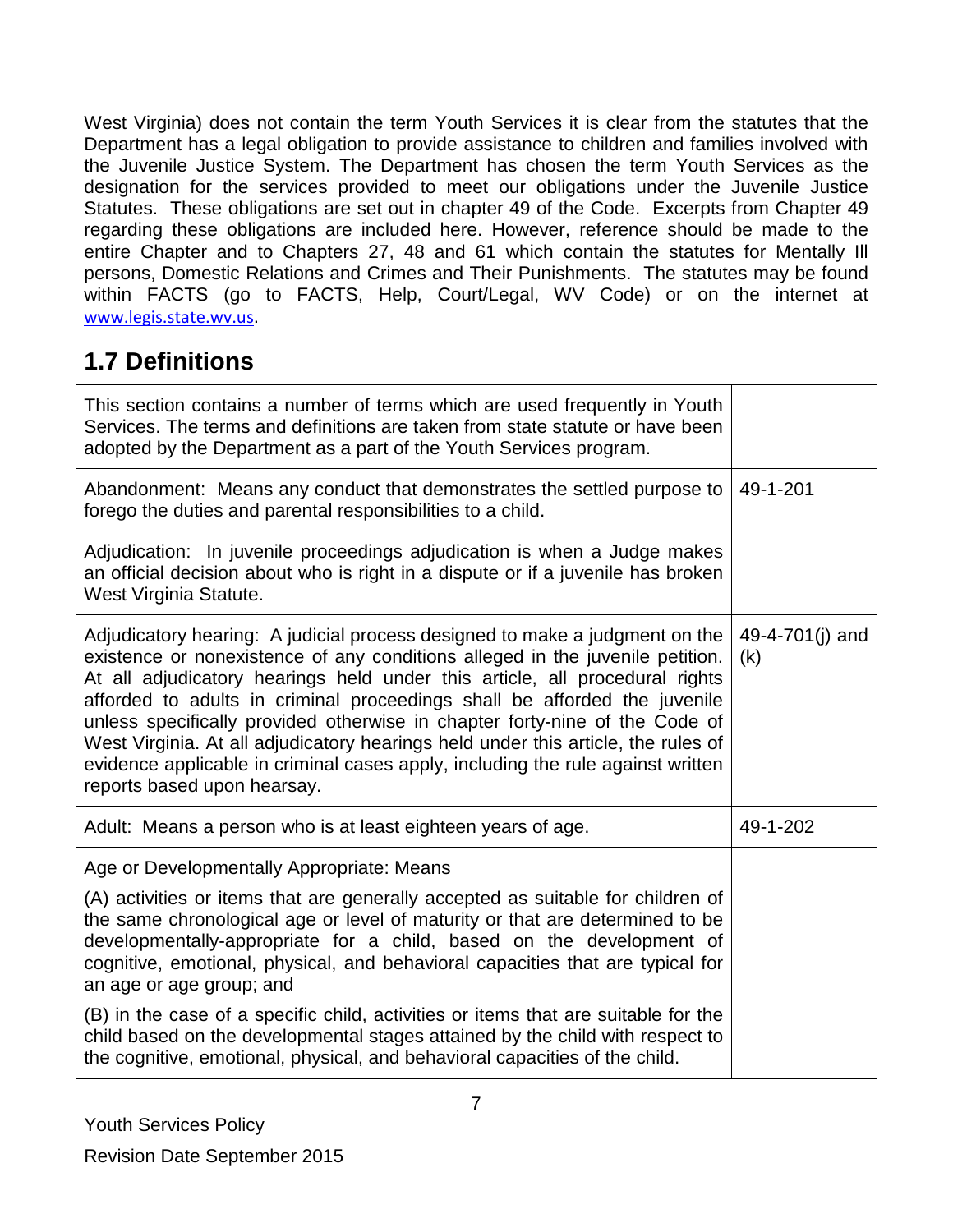West Virginia) does not contain the term Youth Services it is clear from the statutes that the Department has a legal obligation to provide assistance to children and families involved with the Juvenile Justice System. The Department has chosen the term Youth Services as the designation for the services provided to meet our obligations under the Juvenile Justice Statutes. These obligations are set out in chapter 49 of the Code. Excerpts from Chapter 49 regarding these obligations are included here. However, reference should be made to the entire Chapter and to Chapters 27, 48 and 61 which contain the statutes for Mentally Ill persons, Domestic Relations and Crimes and Their Punishments. The statutes may be found within FACTS (go to FACTS, Help, Court/Legal, WV Code) or on the internet at [www.legis.state.wv.us](http://www.legis.state.wv.us/).

# <span id="page-6-0"></span>**1.7 Definitions**

| This section contains a number of terms which are used frequently in Youth<br>Services. The terms and definitions are taken from state statute or have been<br>adopted by the Department as a part of the Youth Services program.                                                                                                                                                                                                                                                                                                                                                                              |                        |
|----------------------------------------------------------------------------------------------------------------------------------------------------------------------------------------------------------------------------------------------------------------------------------------------------------------------------------------------------------------------------------------------------------------------------------------------------------------------------------------------------------------------------------------------------------------------------------------------------------------|------------------------|
| Abandonment: Means any conduct that demonstrates the settled purpose to<br>forego the duties and parental responsibilities to a child.                                                                                                                                                                                                                                                                                                                                                                                                                                                                         | 49-1-201               |
| Adjudication: In juvenile proceedings adjudication is when a Judge makes<br>an official decision about who is right in a dispute or if a juvenile has broken<br>West Virginia Statute.                                                                                                                                                                                                                                                                                                                                                                                                                         |                        |
| Adjudicatory hearing: A judicial process designed to make a judgment on the<br>existence or nonexistence of any conditions alleged in the juvenile petition.<br>At all adjudicatory hearings held under this article, all procedural rights<br>afforded to adults in criminal proceedings shall be afforded the juvenile<br>unless specifically provided otherwise in chapter forty-nine of the Code of<br>West Virginia. At all adjudicatory hearings held under this article, the rules of<br>evidence applicable in criminal cases apply, including the rule against written<br>reports based upon hearsay. | 49-4-701(j) and<br>(k) |
| Adult: Means a person who is at least eighteen years of age.                                                                                                                                                                                                                                                                                                                                                                                                                                                                                                                                                   | 49-1-202               |
| Age or Developmentally Appropriate: Means                                                                                                                                                                                                                                                                                                                                                                                                                                                                                                                                                                      |                        |
| (A) activities or items that are generally accepted as suitable for children of<br>the same chronological age or level of maturity or that are determined to be<br>developmentally-appropriate for a child, based on the development of<br>cognitive, emotional, physical, and behavioral capacities that are typical for<br>an age or age group; and                                                                                                                                                                                                                                                          |                        |
| (B) in the case of a specific child, activities or items that are suitable for the<br>child based on the developmental stages attained by the child with respect to<br>the cognitive, emotional, physical, and behavioral capacities of the child.                                                                                                                                                                                                                                                                                                                                                             |                        |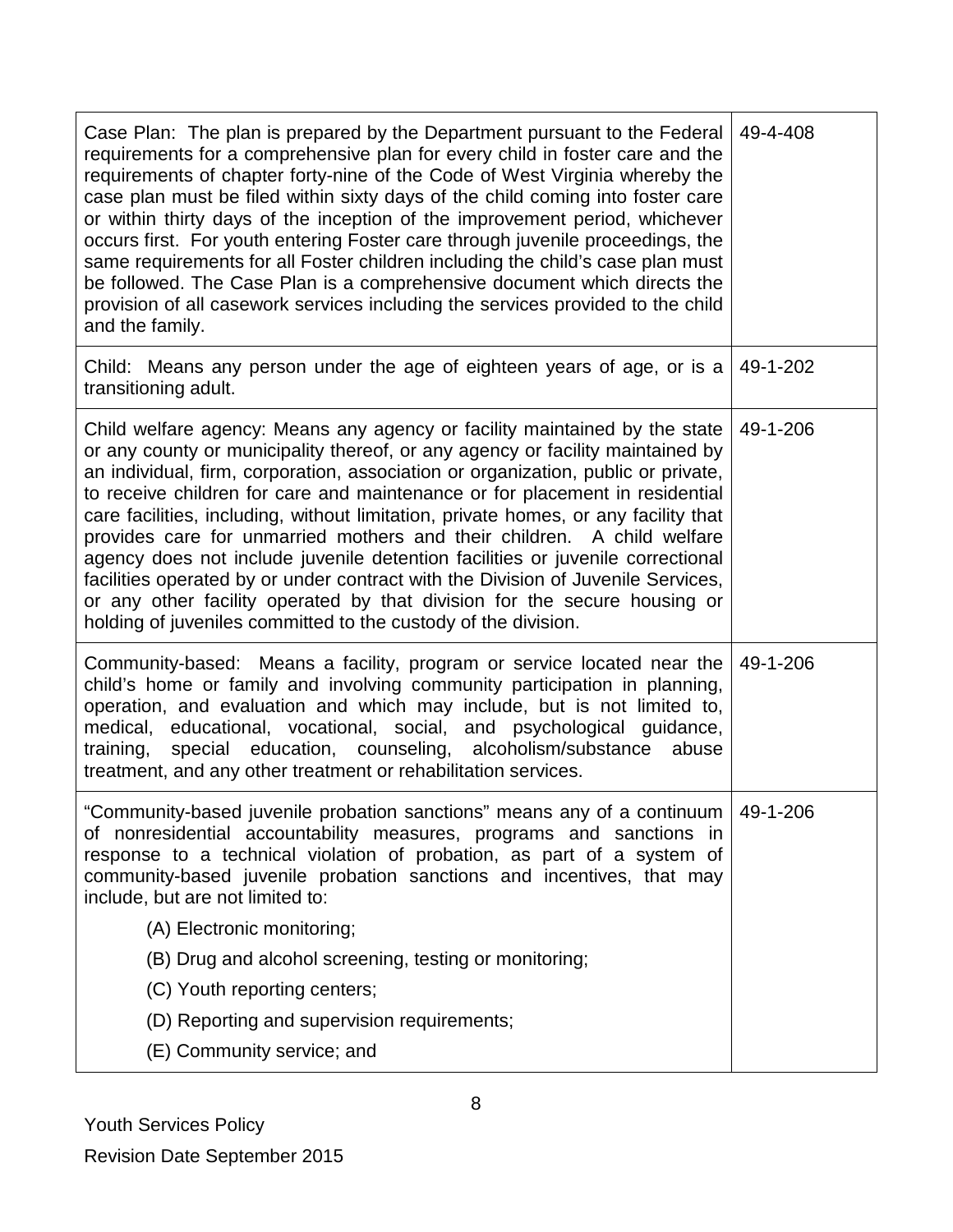| Case Plan: The plan is prepared by the Department pursuant to the Federal<br>requirements for a comprehensive plan for every child in foster care and the<br>requirements of chapter forty-nine of the Code of West Virginia whereby the<br>case plan must be filed within sixty days of the child coming into foster care<br>or within thirty days of the inception of the improvement period, whichever<br>occurs first. For youth entering Foster care through juvenile proceedings, the<br>same requirements for all Foster children including the child's case plan must<br>be followed. The Case Plan is a comprehensive document which directs the<br>provision of all casework services including the services provided to the child<br>and the family.                                                          | 49-4-408 |
|--------------------------------------------------------------------------------------------------------------------------------------------------------------------------------------------------------------------------------------------------------------------------------------------------------------------------------------------------------------------------------------------------------------------------------------------------------------------------------------------------------------------------------------------------------------------------------------------------------------------------------------------------------------------------------------------------------------------------------------------------------------------------------------------------------------------------|----------|
| Child: Means any person under the age of eighteen years of age, or is a<br>transitioning adult.                                                                                                                                                                                                                                                                                                                                                                                                                                                                                                                                                                                                                                                                                                                          | 49-1-202 |
| Child welfare agency: Means any agency or facility maintained by the state<br>or any county or municipality thereof, or any agency or facility maintained by<br>an individual, firm, corporation, association or organization, public or private,<br>to receive children for care and maintenance or for placement in residential<br>care facilities, including, without limitation, private homes, or any facility that<br>provides care for unmarried mothers and their children. A child welfare<br>agency does not include juvenile detention facilities or juvenile correctional<br>facilities operated by or under contract with the Division of Juvenile Services,<br>or any other facility operated by that division for the secure housing or<br>holding of juveniles committed to the custody of the division. | 49-1-206 |
| Community-based: Means a facility, program or service located near the<br>child's home or family and involving community participation in planning,<br>operation, and evaluation and which may include, but is not limited to,<br>medical, educational, vocational, social, and psychological guidance,<br>special education, counseling, alcoholism/substance abuse<br>training,<br>treatment, and any other treatment or rehabilitation services.                                                                                                                                                                                                                                                                                                                                                                      | 49-1-206 |
| "Community-based juvenile probation sanctions" means any of a continuum   49-1-206<br>of nonresidential accountability measures, programs and sanctions in<br>response to a technical violation of probation, as part of a system of<br>community-based juvenile probation sanctions and incentives, that may<br>include, but are not limited to:                                                                                                                                                                                                                                                                                                                                                                                                                                                                        |          |
| (A) Electronic monitoring;                                                                                                                                                                                                                                                                                                                                                                                                                                                                                                                                                                                                                                                                                                                                                                                               |          |
| (B) Drug and alcohol screening, testing or monitoring;                                                                                                                                                                                                                                                                                                                                                                                                                                                                                                                                                                                                                                                                                                                                                                   |          |
| (C) Youth reporting centers;                                                                                                                                                                                                                                                                                                                                                                                                                                                                                                                                                                                                                                                                                                                                                                                             |          |
| (D) Reporting and supervision requirements;                                                                                                                                                                                                                                                                                                                                                                                                                                                                                                                                                                                                                                                                                                                                                                              |          |
| (E) Community service; and                                                                                                                                                                                                                                                                                                                                                                                                                                                                                                                                                                                                                                                                                                                                                                                               |          |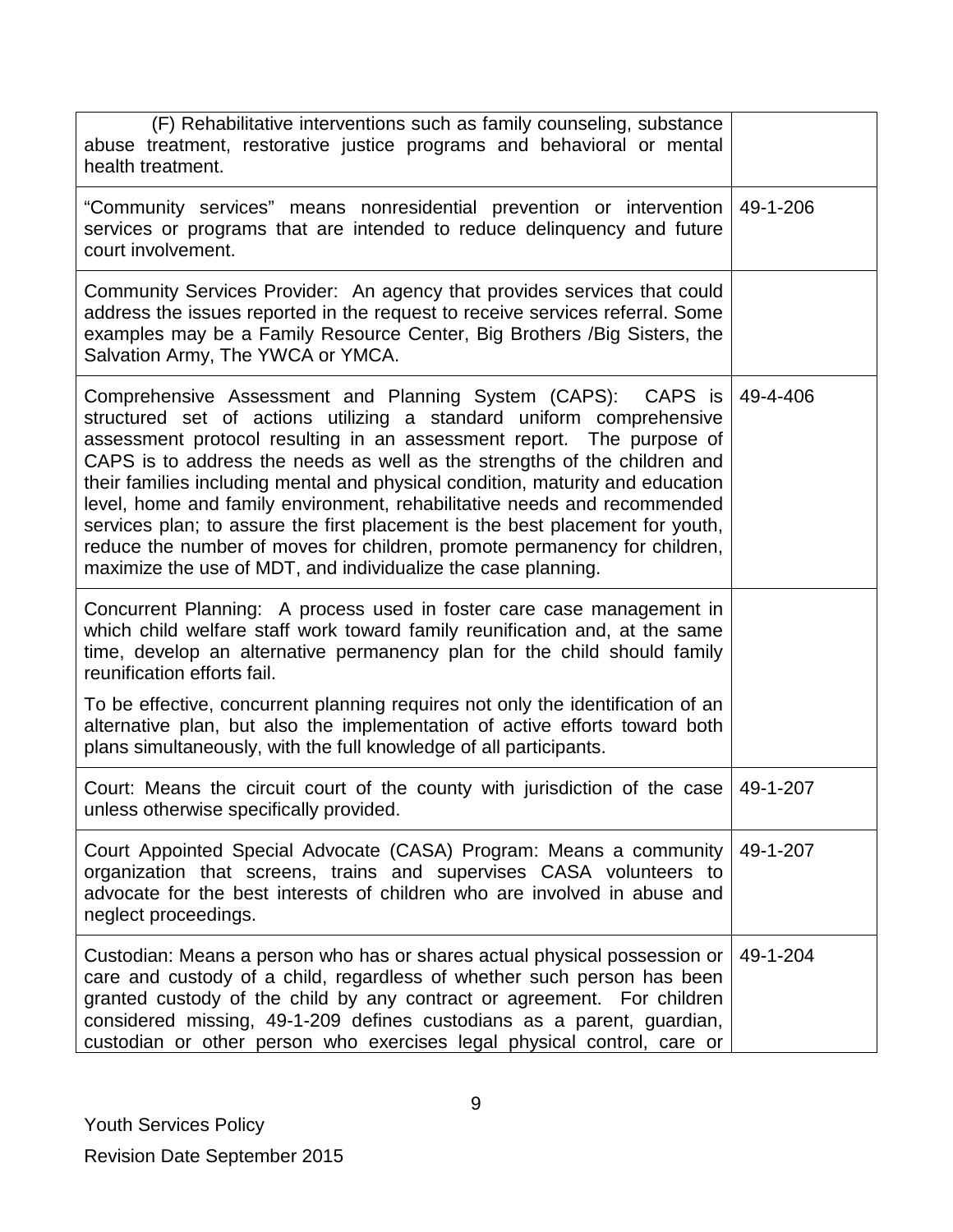| (F) Rehabilitative interventions such as family counseling, substance<br>abuse treatment, restorative justice programs and behavioral or mental<br>health treatment.                                                                                                                                                                                                                                                                                                                                                                                                                                                                                                                    |          |
|-----------------------------------------------------------------------------------------------------------------------------------------------------------------------------------------------------------------------------------------------------------------------------------------------------------------------------------------------------------------------------------------------------------------------------------------------------------------------------------------------------------------------------------------------------------------------------------------------------------------------------------------------------------------------------------------|----------|
| "Community services" means nonresidential prevention or intervention<br>services or programs that are intended to reduce delinquency and future<br>court involvement.                                                                                                                                                                                                                                                                                                                                                                                                                                                                                                                   | 49-1-206 |
| Community Services Provider: An agency that provides services that could<br>address the issues reported in the request to receive services referral. Some<br>examples may be a Family Resource Center, Big Brothers / Big Sisters, the<br>Salvation Army, The YWCA or YMCA.                                                                                                                                                                                                                                                                                                                                                                                                             |          |
| Comprehensive Assessment and Planning System (CAPS): CAPS is<br>structured set of actions utilizing a standard uniform comprehensive<br>assessment protocol resulting in an assessment report. The purpose of<br>CAPS is to address the needs as well as the strengths of the children and<br>their families including mental and physical condition, maturity and education<br>level, home and family environment, rehabilitative needs and recommended<br>services plan; to assure the first placement is the best placement for youth,<br>reduce the number of moves for children, promote permanency for children,<br>maximize the use of MDT, and individualize the case planning. | 49-4-406 |
| Concurrent Planning: A process used in foster care case management in<br>which child welfare staff work toward family reunification and, at the same<br>time, develop an alternative permanency plan for the child should family<br>reunification efforts fail.                                                                                                                                                                                                                                                                                                                                                                                                                         |          |
| To be effective, concurrent planning requires not only the identification of an<br>alternative plan, but also the implementation of active efforts toward both<br>plans simultaneously, with the full knowledge of all participants.                                                                                                                                                                                                                                                                                                                                                                                                                                                    |          |
| Court: Means the circuit court of the county with jurisdiction of the case<br>unless otherwise specifically provided.                                                                                                                                                                                                                                                                                                                                                                                                                                                                                                                                                                   | 49-1-207 |
| Court Appointed Special Advocate (CASA) Program: Means a community<br>organization that screens, trains and supervises CASA volunteers to<br>advocate for the best interests of children who are involved in abuse and<br>neglect proceedings.                                                                                                                                                                                                                                                                                                                                                                                                                                          | 49-1-207 |
| Custodian: Means a person who has or shares actual physical possession or<br>care and custody of a child, regardless of whether such person has been<br>granted custody of the child by any contract or agreement. For children<br>considered missing, 49-1-209 defines custodians as a parent, guardian,<br>custodian or other person who exercises legal physical control, care or                                                                                                                                                                                                                                                                                                    | 49-1-204 |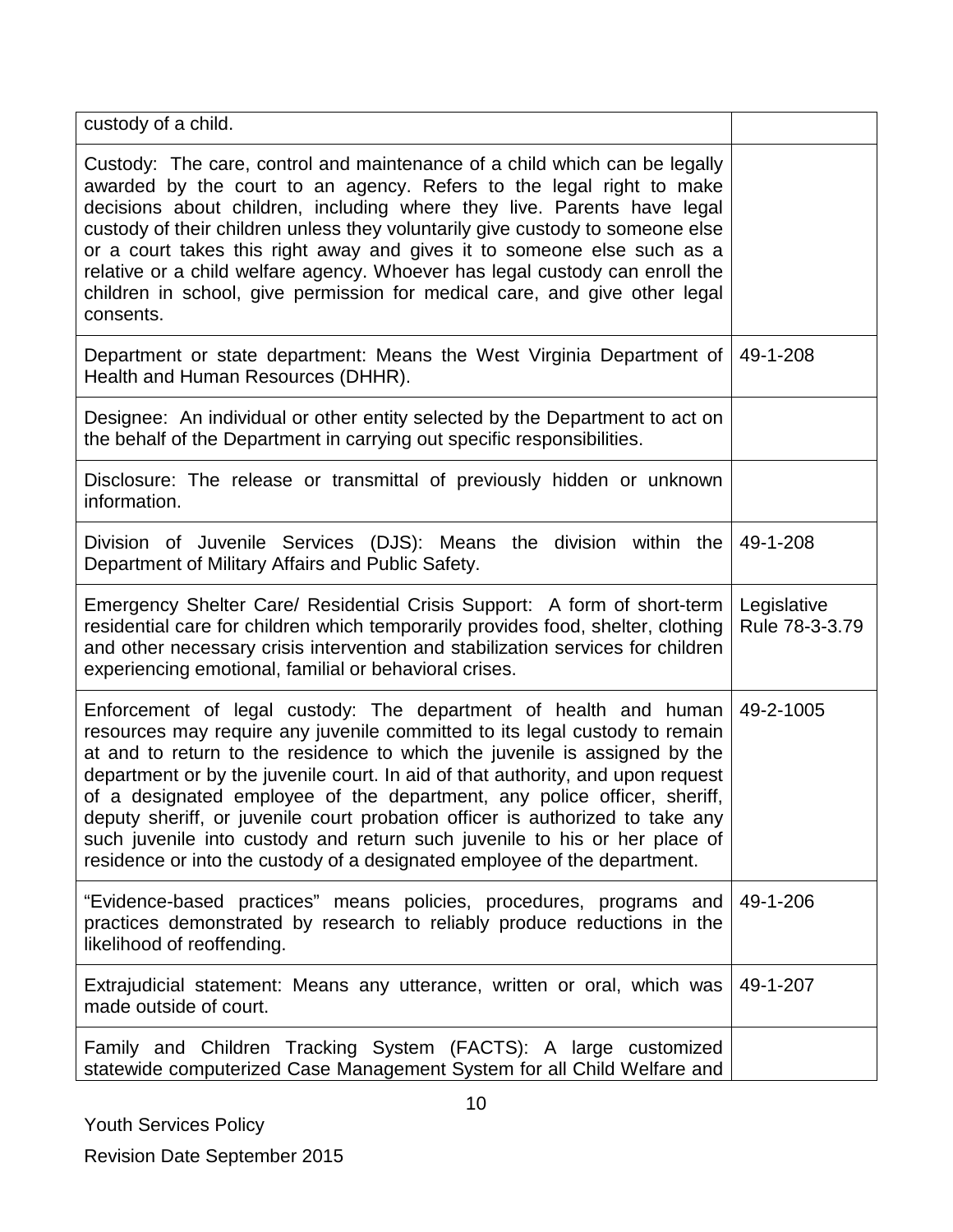| custody of a child.                                                                                                                                                                                                                                                                                                                                                                                                                                                                                                                                                                                                                      |                               |
|------------------------------------------------------------------------------------------------------------------------------------------------------------------------------------------------------------------------------------------------------------------------------------------------------------------------------------------------------------------------------------------------------------------------------------------------------------------------------------------------------------------------------------------------------------------------------------------------------------------------------------------|-------------------------------|
| Custody: The care, control and maintenance of a child which can be legally<br>awarded by the court to an agency. Refers to the legal right to make<br>decisions about children, including where they live. Parents have legal<br>custody of their children unless they voluntarily give custody to someone else<br>or a court takes this right away and gives it to someone else such as a<br>relative or a child welfare agency. Whoever has legal custody can enroll the<br>children in school, give permission for medical care, and give other legal<br>consents.                                                                    |                               |
| Department or state department: Means the West Virginia Department of<br>Health and Human Resources (DHHR).                                                                                                                                                                                                                                                                                                                                                                                                                                                                                                                              | 49-1-208                      |
| Designee: An individual or other entity selected by the Department to act on<br>the behalf of the Department in carrying out specific responsibilities.                                                                                                                                                                                                                                                                                                                                                                                                                                                                                  |                               |
| Disclosure: The release or transmittal of previously hidden or unknown<br>information.                                                                                                                                                                                                                                                                                                                                                                                                                                                                                                                                                   |                               |
| Division of Juvenile Services (DJS): Means the division within the<br>Department of Military Affairs and Public Safety.                                                                                                                                                                                                                                                                                                                                                                                                                                                                                                                  | 49-1-208                      |
| Emergency Shelter Care/ Residential Crisis Support: A form of short-term<br>residential care for children which temporarily provides food, shelter, clothing<br>and other necessary crisis intervention and stabilization services for children<br>experiencing emotional, familial or behavioral crises.                                                                                                                                                                                                                                                                                                                                | Legislative<br>Rule 78-3-3.79 |
| Enforcement of legal custody: The department of health and human<br>resources may require any juvenile committed to its legal custody to remain<br>at and to return to the residence to which the juvenile is assigned by the<br>department or by the juvenile court. In aid of that authority, and upon request<br>of a designated employee of the department, any police officer, sheriff,<br>deputy sheriff, or juvenile court probation officer is authorized to take any<br>such juvenile into custody and return such juvenile to his or her place of<br>residence or into the custody of a designated employee of the department. | 49-2-1005                     |
| "Evidence-based practices" means policies, procedures, programs and<br>practices demonstrated by research to reliably produce reductions in the<br>likelihood of reoffending.                                                                                                                                                                                                                                                                                                                                                                                                                                                            | 49-1-206                      |
| Extrajudicial statement: Means any utterance, written or oral, which was<br>made outside of court.                                                                                                                                                                                                                                                                                                                                                                                                                                                                                                                                       | 49-1-207                      |
| Family and Children Tracking System (FACTS): A large customized<br>statewide computerized Case Management System for all Child Welfare and                                                                                                                                                                                                                                                                                                                                                                                                                                                                                               |                               |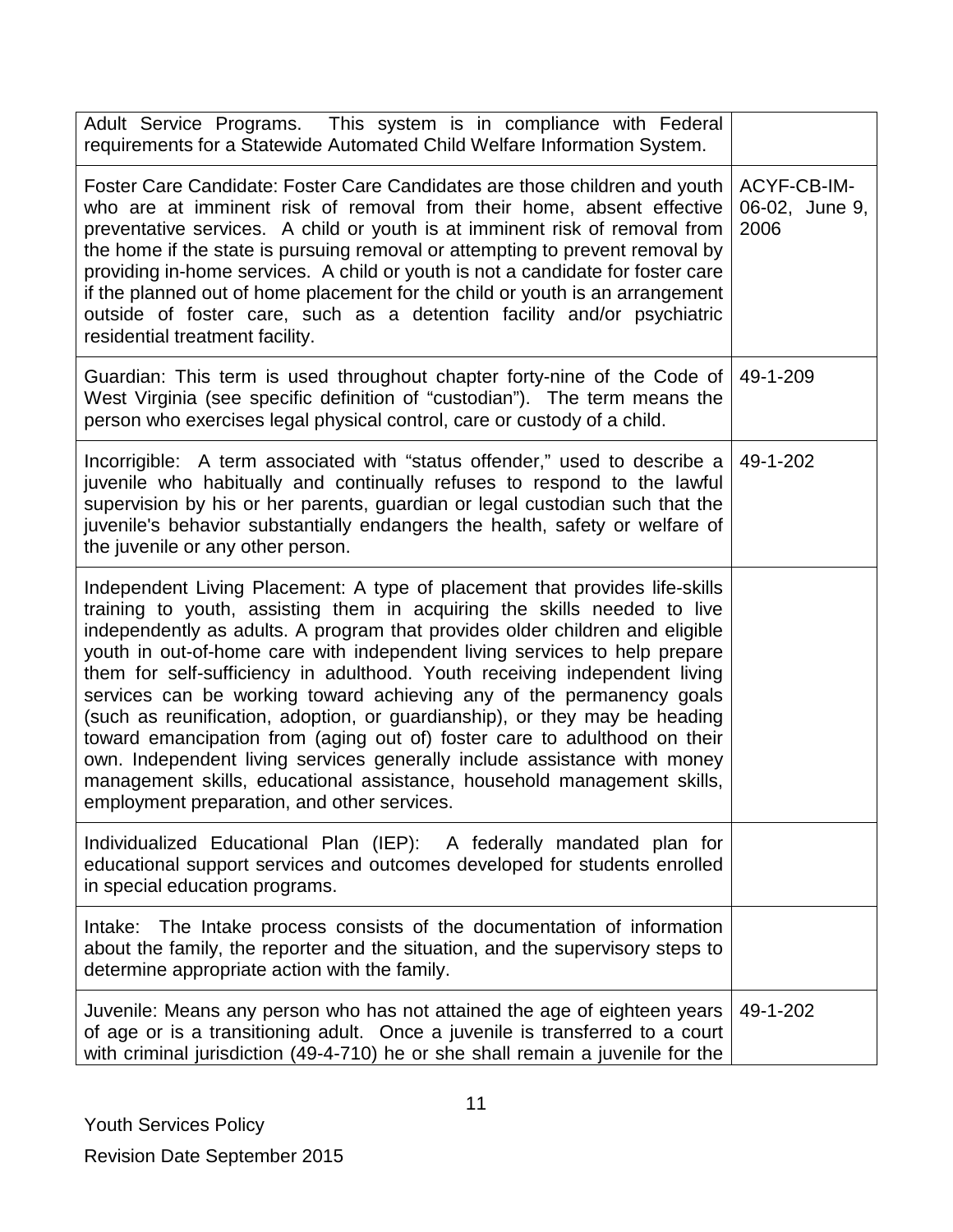| Adult Service Programs. This system is in compliance with Federal<br>requirements for a Statewide Automated Child Welfare Information System.                                                                                                                                                                                                                                                                                                                                                                                                                                                                                                                                                                                                                                                                                                |                                       |
|----------------------------------------------------------------------------------------------------------------------------------------------------------------------------------------------------------------------------------------------------------------------------------------------------------------------------------------------------------------------------------------------------------------------------------------------------------------------------------------------------------------------------------------------------------------------------------------------------------------------------------------------------------------------------------------------------------------------------------------------------------------------------------------------------------------------------------------------|---------------------------------------|
| Foster Care Candidate: Foster Care Candidates are those children and youth<br>who are at imminent risk of removal from their home, absent effective<br>preventative services. A child or youth is at imminent risk of removal from<br>the home if the state is pursuing removal or attempting to prevent removal by<br>providing in-home services. A child or youth is not a candidate for foster care<br>if the planned out of home placement for the child or youth is an arrangement<br>outside of foster care, such as a detention facility and/or psychiatric<br>residential treatment facility.                                                                                                                                                                                                                                        | ACYF-CB-IM-<br>06-02, June 9,<br>2006 |
| Guardian: This term is used throughout chapter forty-nine of the Code of<br>West Virginia (see specific definition of "custodian"). The term means the<br>person who exercises legal physical control, care or custody of a child.                                                                                                                                                                                                                                                                                                                                                                                                                                                                                                                                                                                                           | 49-1-209                              |
| Incorrigible: A term associated with "status offender," used to describe a<br>juvenile who habitually and continually refuses to respond to the lawful<br>supervision by his or her parents, guardian or legal custodian such that the<br>juvenile's behavior substantially endangers the health, safety or welfare of<br>the juvenile or any other person.                                                                                                                                                                                                                                                                                                                                                                                                                                                                                  | 49-1-202                              |
| Independent Living Placement: A type of placement that provides life-skills<br>training to youth, assisting them in acquiring the skills needed to live<br>independently as adults. A program that provides older children and eligible<br>youth in out-of-home care with independent living services to help prepare<br>them for self-sufficiency in adulthood. Youth receiving independent living<br>services can be working toward achieving any of the permanency goals<br>(such as reunification, adoption, or guardianship), or they may be heading<br>toward emancipation from (aging out of) foster care to adulthood on their<br>own. Independent living services generally include assistance with money<br>management skills, educational assistance, household management skills,<br>employment preparation, and other services. |                                       |
| Individualized Educational Plan (IEP): A federally mandated plan for<br>educational support services and outcomes developed for students enrolled<br>in special education programs.                                                                                                                                                                                                                                                                                                                                                                                                                                                                                                                                                                                                                                                          |                                       |
| Intake: The Intake process consists of the documentation of information<br>about the family, the reporter and the situation, and the supervisory steps to<br>determine appropriate action with the family.                                                                                                                                                                                                                                                                                                                                                                                                                                                                                                                                                                                                                                   |                                       |
| Juvenile: Means any person who has not attained the age of eighteen years<br>of age or is a transitioning adult. Once a juvenile is transferred to a court<br>with criminal jurisdiction (49-4-710) he or she shall remain a juvenile for the                                                                                                                                                                                                                                                                                                                                                                                                                                                                                                                                                                                                | 49-1-202                              |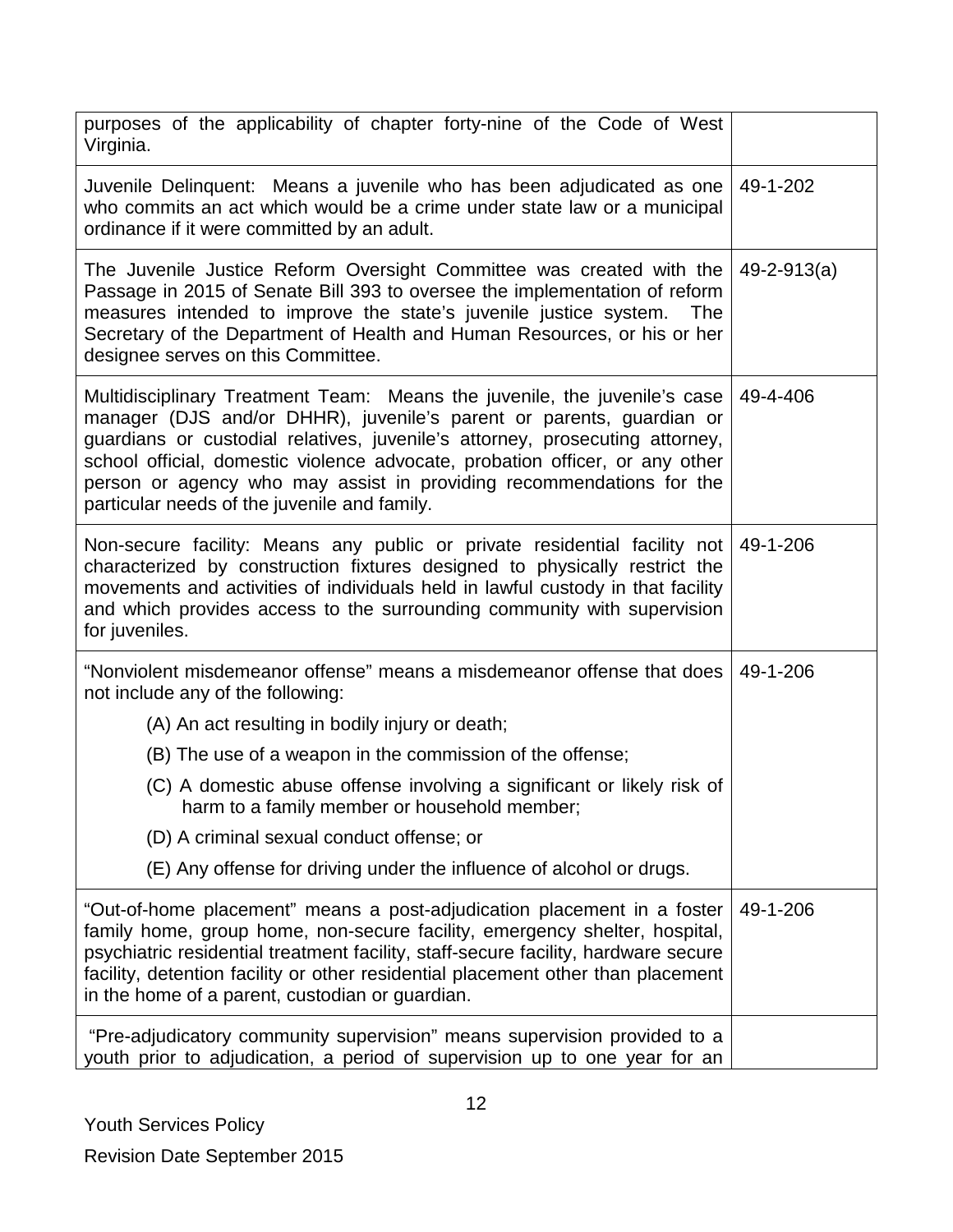| purposes of the applicability of chapter forty-nine of the Code of West<br>Virginia.                                                                                                                                                                                                                                                                                                                                                      |                   |
|-------------------------------------------------------------------------------------------------------------------------------------------------------------------------------------------------------------------------------------------------------------------------------------------------------------------------------------------------------------------------------------------------------------------------------------------|-------------------|
| Juvenile Delinquent: Means a juvenile who has been adjudicated as one<br>who commits an act which would be a crime under state law or a municipal<br>ordinance if it were committed by an adult.                                                                                                                                                                                                                                          | 49-1-202          |
| The Juvenile Justice Reform Oversight Committee was created with the<br>Passage in 2015 of Senate Bill 393 to oversee the implementation of reform<br>measures intended to improve the state's juvenile justice system. The<br>Secretary of the Department of Health and Human Resources, or his or her<br>designee serves on this Committee.                                                                                             | $49 - 2 - 913(a)$ |
| Multidisciplinary Treatment Team: Means the juvenile, the juvenile's case<br>manager (DJS and/or DHHR), juvenile's parent or parents, guardian or<br>guardians or custodial relatives, juvenile's attorney, prosecuting attorney,<br>school official, domestic violence advocate, probation officer, or any other<br>person or agency who may assist in providing recommendations for the<br>particular needs of the juvenile and family. | 49-4-406          |
| Non-secure facility: Means any public or private residential facility not 49-1-206<br>characterized by construction fixtures designed to physically restrict the<br>movements and activities of individuals held in lawful custody in that facility<br>and which provides access to the surrounding community with supervision<br>for juveniles.                                                                                          |                   |
| "Nonviolent misdemeanor offense" means a misdemeanor offense that does<br>not include any of the following:                                                                                                                                                                                                                                                                                                                               | 49-1-206          |
| (A) An act resulting in bodily injury or death;                                                                                                                                                                                                                                                                                                                                                                                           |                   |
| (B) The use of a weapon in the commission of the offense;                                                                                                                                                                                                                                                                                                                                                                                 |                   |
| (C) A domestic abuse offense involving a significant or likely risk of<br>harm to a family member or household member;                                                                                                                                                                                                                                                                                                                    |                   |
| (D) A criminal sexual conduct offense; or                                                                                                                                                                                                                                                                                                                                                                                                 |                   |
| (E) Any offense for driving under the influence of alcohol or drugs.                                                                                                                                                                                                                                                                                                                                                                      |                   |
| "Out-of-home placement" means a post-adjudication placement in a foster<br>family home, group home, non-secure facility, emergency shelter, hospital,<br>psychiatric residential treatment facility, staff-secure facility, hardware secure<br>facility, detention facility or other residential placement other than placement<br>in the home of a parent, custodian or guardian.                                                        | 49-1-206          |
| "Pre-adjudicatory community supervision" means supervision provided to a<br>youth prior to adjudication, a period of supervision up to one year for an                                                                                                                                                                                                                                                                                    |                   |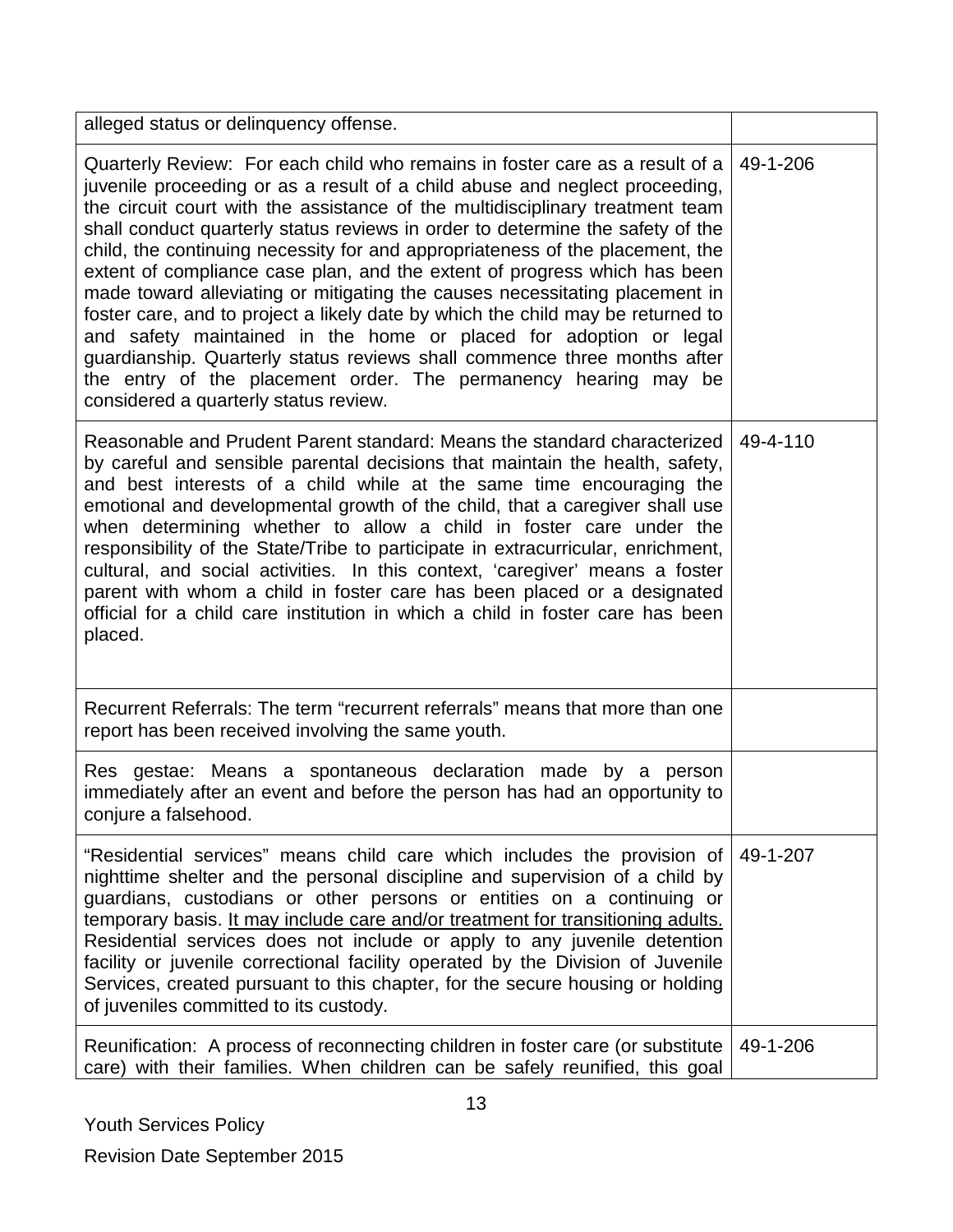| alleged status or delinquency offense.                                                                                                                                                                                                                                                                                                                                                                                                                                                                                                                                                                                                                                                                                                                                                                                                                                                                                      |          |
|-----------------------------------------------------------------------------------------------------------------------------------------------------------------------------------------------------------------------------------------------------------------------------------------------------------------------------------------------------------------------------------------------------------------------------------------------------------------------------------------------------------------------------------------------------------------------------------------------------------------------------------------------------------------------------------------------------------------------------------------------------------------------------------------------------------------------------------------------------------------------------------------------------------------------------|----------|
| Quarterly Review: For each child who remains in foster care as a result of a<br>juvenile proceeding or as a result of a child abuse and neglect proceeding,<br>the circuit court with the assistance of the multidisciplinary treatment team<br>shall conduct quarterly status reviews in order to determine the safety of the<br>child, the continuing necessity for and appropriateness of the placement, the<br>extent of compliance case plan, and the extent of progress which has been<br>made toward alleviating or mitigating the causes necessitating placement in<br>foster care, and to project a likely date by which the child may be returned to<br>and safety maintained in the home or placed for adoption or legal<br>guardianship. Quarterly status reviews shall commence three months after<br>the entry of the placement order. The permanency hearing may be<br>considered a quarterly status review. | 49-1-206 |
| Reasonable and Prudent Parent standard: Means the standard characterized<br>by careful and sensible parental decisions that maintain the health, safety,<br>and best interests of a child while at the same time encouraging the<br>emotional and developmental growth of the child, that a caregiver shall use<br>when determining whether to allow a child in foster care under the<br>responsibility of the State/Tribe to participate in extracurricular, enrichment,<br>cultural, and social activities. In this context, 'caregiver' means a foster<br>parent with whom a child in foster care has been placed or a designated<br>official for a child care institution in which a child in foster care has been<br>placed.                                                                                                                                                                                           | 49-4-110 |
| Recurrent Referrals: The term "recurrent referrals" means that more than one<br>report has been received involving the same youth.                                                                                                                                                                                                                                                                                                                                                                                                                                                                                                                                                                                                                                                                                                                                                                                          |          |
| Res gestae: Means a spontaneous declaration made by a person<br>immediately after an event and before the person has had an opportunity to<br>conjure a falsehood.                                                                                                                                                                                                                                                                                                                                                                                                                                                                                                                                                                                                                                                                                                                                                          |          |
| "Residential services" means child care which includes the provision of<br>nighttime shelter and the personal discipline and supervision of a child by<br>guardians, custodians or other persons or entities on a continuing or<br>temporary basis. It may include care and/or treatment for transitioning adults.<br>Residential services does not include or apply to any juvenile detention<br>facility or juvenile correctional facility operated by the Division of Juvenile<br>Services, created pursuant to this chapter, for the secure housing or holding<br>of juveniles committed to its custody.                                                                                                                                                                                                                                                                                                                | 49-1-207 |
| Reunification: A process of reconnecting children in foster care (or substitute<br>care) with their families. When children can be safely reunified, this goal                                                                                                                                                                                                                                                                                                                                                                                                                                                                                                                                                                                                                                                                                                                                                              | 49-1-206 |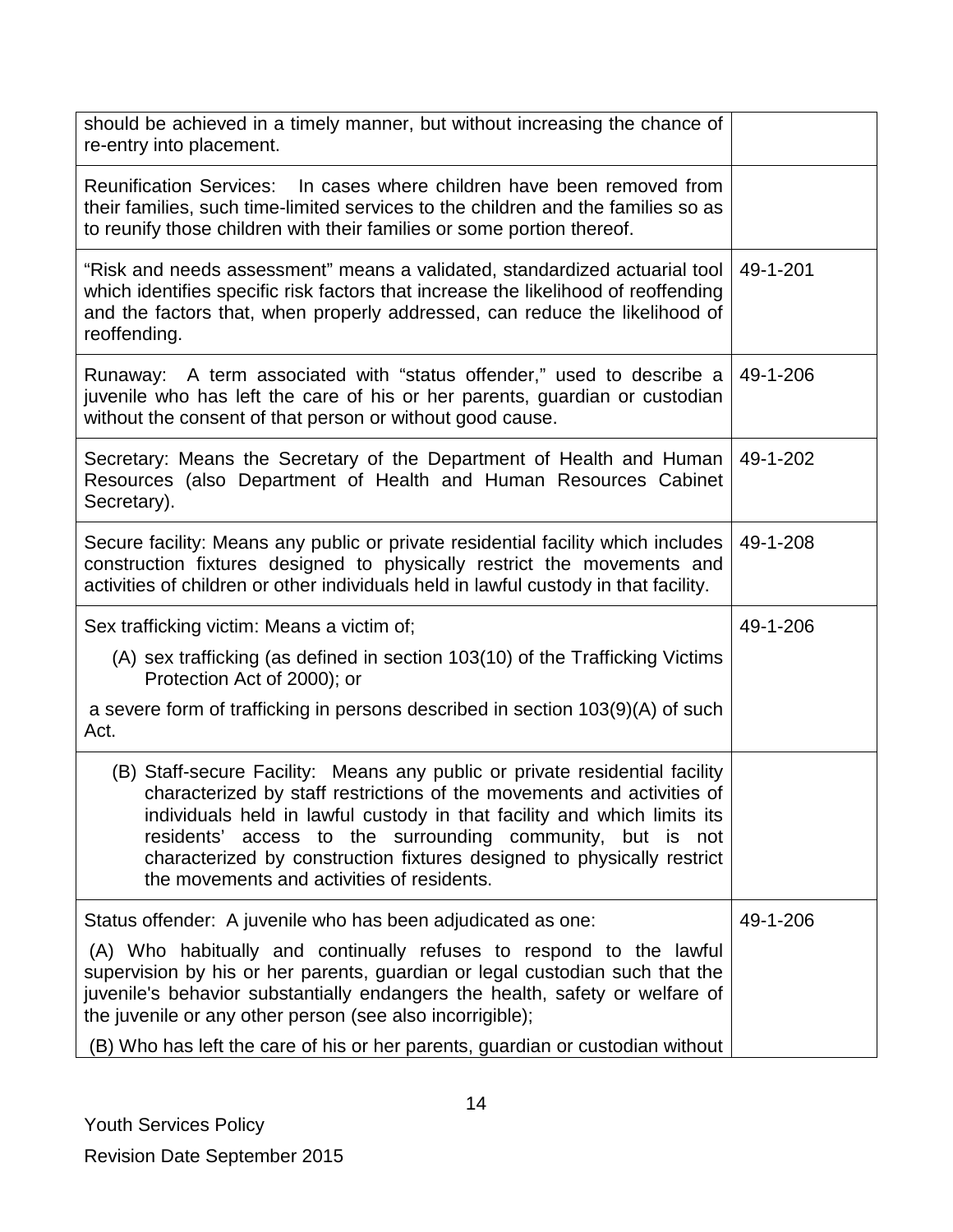| should be achieved in a timely manner, but without increasing the chance of<br>re-entry into placement.                                                                                                                                                                                                                                                                                                                 |          |
|-------------------------------------------------------------------------------------------------------------------------------------------------------------------------------------------------------------------------------------------------------------------------------------------------------------------------------------------------------------------------------------------------------------------------|----------|
| Reunification Services: In cases where children have been removed from<br>their families, such time-limited services to the children and the families so as<br>to reunify those children with their families or some portion thereof.                                                                                                                                                                                   |          |
| "Risk and needs assessment" means a validated, standardized actuarial tool<br>which identifies specific risk factors that increase the likelihood of reoffending<br>and the factors that, when properly addressed, can reduce the likelihood of<br>reoffending.                                                                                                                                                         | 49-1-201 |
| Runaway: A term associated with "status offender," used to describe a<br>juvenile who has left the care of his or her parents, guardian or custodian<br>without the consent of that person or without good cause.                                                                                                                                                                                                       | 49-1-206 |
| Secretary: Means the Secretary of the Department of Health and Human<br>Resources (also Department of Health and Human Resources Cabinet<br>Secretary).                                                                                                                                                                                                                                                                 | 49-1-202 |
| Secure facility: Means any public or private residential facility which includes<br>construction fixtures designed to physically restrict the movements and<br>activities of children or other individuals held in lawful custody in that facility.                                                                                                                                                                     | 49-1-208 |
| Sex trafficking victim: Means a victim of;                                                                                                                                                                                                                                                                                                                                                                              | 49-1-206 |
| (A) sex trafficking (as defined in section 103(10) of the Trafficking Victims<br>Protection Act of 2000); or                                                                                                                                                                                                                                                                                                            |          |
| a severe form of trafficking in persons described in section 103(9)(A) of such<br>Act.                                                                                                                                                                                                                                                                                                                                  |          |
| (B) Staff-secure Facility: Means any public or private residential facility<br>characterized by staff restrictions of the movements and activities of<br>individuals held in lawful custody in that facility and which limits its<br>residents' access to the surrounding community, but is not<br>characterized by construction fixtures designed to physically restrict<br>the movements and activities of residents. |          |
| Status offender: A juvenile who has been adjudicated as one:                                                                                                                                                                                                                                                                                                                                                            | 49-1-206 |
| (A) Who habitually and continually refuses to respond to the lawful<br>supervision by his or her parents, guardian or legal custodian such that the<br>juvenile's behavior substantially endangers the health, safety or welfare of<br>the juvenile or any other person (see also incorrigible);                                                                                                                        |          |
| (B) Who has left the care of his or her parents, guardian or custodian without                                                                                                                                                                                                                                                                                                                                          |          |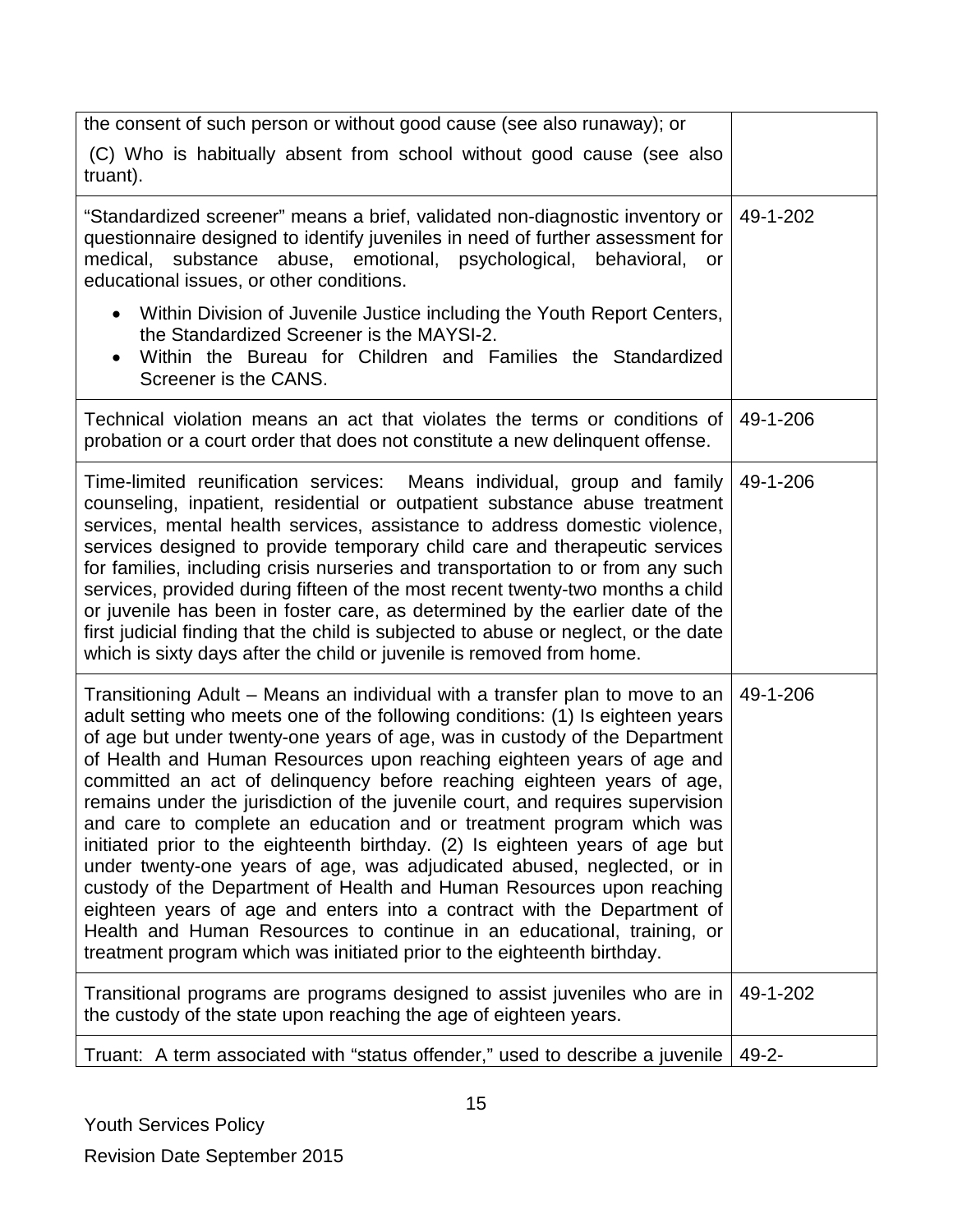| the consent of such person or without good cause (see also runaway); or                                                                                                                                                                                                                                                                                                                                                                                                                                                                                                                                                                                                                                                                                                                                                                                                                                                                                                                                                       |            |
|-------------------------------------------------------------------------------------------------------------------------------------------------------------------------------------------------------------------------------------------------------------------------------------------------------------------------------------------------------------------------------------------------------------------------------------------------------------------------------------------------------------------------------------------------------------------------------------------------------------------------------------------------------------------------------------------------------------------------------------------------------------------------------------------------------------------------------------------------------------------------------------------------------------------------------------------------------------------------------------------------------------------------------|------------|
| (C) Who is habitually absent from school without good cause (see also<br>truant).                                                                                                                                                                                                                                                                                                                                                                                                                                                                                                                                                                                                                                                                                                                                                                                                                                                                                                                                             |            |
| "Standardized screener" means a brief, validated non-diagnostic inventory or<br>questionnaire designed to identify juveniles in need of further assessment for<br>substance abuse, emotional, psychological, behavioral,<br>medical,<br>or<br>educational issues, or other conditions.                                                                                                                                                                                                                                                                                                                                                                                                                                                                                                                                                                                                                                                                                                                                        | 49-1-202   |
| Within Division of Juvenile Justice including the Youth Report Centers,<br>the Standardized Screener is the MAYSI-2.<br>Within the Bureau for Children and Families the Standardized<br>$\bullet$<br>Screener is the CANS.                                                                                                                                                                                                                                                                                                                                                                                                                                                                                                                                                                                                                                                                                                                                                                                                    |            |
| Technical violation means an act that violates the terms or conditions of<br>probation or a court order that does not constitute a new delinquent offense.                                                                                                                                                                                                                                                                                                                                                                                                                                                                                                                                                                                                                                                                                                                                                                                                                                                                    | 49-1-206   |
| Time-limited reunification services: Means individual, group and family<br>counseling, inpatient, residential or outpatient substance abuse treatment<br>services, mental health services, assistance to address domestic violence,<br>services designed to provide temporary child care and therapeutic services<br>for families, including crisis nurseries and transportation to or from any such<br>services, provided during fifteen of the most recent twenty-two months a child<br>or juvenile has been in foster care, as determined by the earlier date of the<br>first judicial finding that the child is subjected to abuse or neglect, or the date<br>which is sixty days after the child or juvenile is removed from home.                                                                                                                                                                                                                                                                                       | 49-1-206   |
| Transitioning Adult – Means an individual with a transfer plan to move to an<br>adult setting who meets one of the following conditions: (1) Is eighteen years<br>of age but under twenty-one years of age, was in custody of the Department<br>of Health and Human Resources upon reaching eighteen years of age and<br>committed an act of delinquency before reaching eighteen years of age,<br>remains under the jurisdiction of the juvenile court, and requires supervision<br>and care to complete an education and or treatment program which was<br>initiated prior to the eighteenth birthday. (2) Is eighteen years of age but<br>under twenty-one years of age, was adjudicated abused, neglected, or in<br>custody of the Department of Health and Human Resources upon reaching<br>eighteen years of age and enters into a contract with the Department of<br>Health and Human Resources to continue in an educational, training, or<br>treatment program which was initiated prior to the eighteenth birthday. | 49-1-206   |
| Transitional programs are programs designed to assist juveniles who are in<br>the custody of the state upon reaching the age of eighteen years.                                                                                                                                                                                                                                                                                                                                                                                                                                                                                                                                                                                                                                                                                                                                                                                                                                                                               | 49-1-202   |
| Truant: A term associated with "status offender," used to describe a juvenile                                                                                                                                                                                                                                                                                                                                                                                                                                                                                                                                                                                                                                                                                                                                                                                                                                                                                                                                                 | $49 - 2 -$ |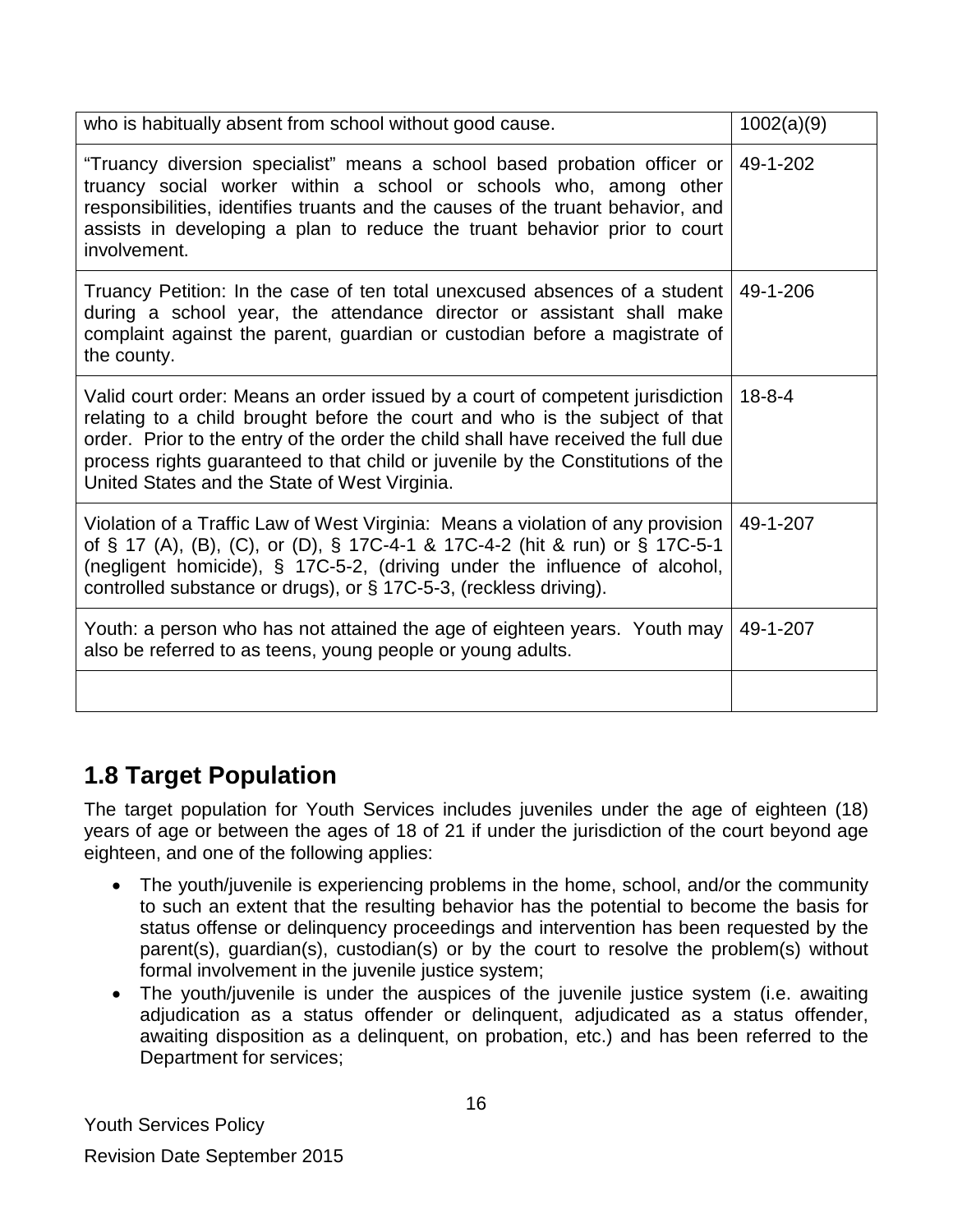| who is habitually absent from school without good cause.                                                                                                                                                                                                                                                                                                                              | 1002(a)(9)   |
|---------------------------------------------------------------------------------------------------------------------------------------------------------------------------------------------------------------------------------------------------------------------------------------------------------------------------------------------------------------------------------------|--------------|
| "Truancy diversion specialist" means a school based probation officer or<br>truancy social worker within a school or schools who, among other<br>responsibilities, identifies truants and the causes of the truant behavior, and<br>assists in developing a plan to reduce the truant behavior prior to court<br>involvement.                                                         | 49-1-202     |
| Truancy Petition: In the case of ten total unexcused absences of a student   49-1-206<br>during a school year, the attendance director or assistant shall make<br>complaint against the parent, guardian or custodian before a magistrate of<br>the county.                                                                                                                           |              |
| Valid court order: Means an order issued by a court of competent jurisdiction<br>relating to a child brought before the court and who is the subject of that<br>order. Prior to the entry of the order the child shall have received the full due<br>process rights guaranteed to that child or juvenile by the Constitutions of the<br>United States and the State of West Virginia. | $18 - 8 - 4$ |
| Violation of a Traffic Law of West Virginia: Means a violation of any provision<br>of § 17 (A), (B), (C), or (D), § 17C-4-1 & 17C-4-2 (hit & run) or § 17C-5-1<br>(negligent homicide), § 17C-5-2, (driving under the influence of alcohol,<br>controlled substance or drugs), or § 17C-5-3, (reckless driving).                                                                      | 49-1-207     |
| Youth: a person who has not attained the age of eighteen years. Youth may<br>also be referred to as teens, young people or young adults.                                                                                                                                                                                                                                              | 49-1-207     |
|                                                                                                                                                                                                                                                                                                                                                                                       |              |

### <span id="page-15-0"></span>**1.8 Target Population**

The target population for Youth Services includes juveniles under the age of eighteen (18) years of age or between the ages of 18 of 21 if under the jurisdiction of the court beyond age eighteen, and one of the following applies:

- The youth/juvenile is experiencing problems in the home, school, and/or the community to such an extent that the resulting behavior has the potential to become the basis for status offense or delinquency proceedings and intervention has been requested by the parent(s), guardian(s), custodian(s) or by the court to resolve the problem(s) without formal involvement in the juvenile justice system;
- The youth/juvenile is under the auspices of the juvenile justice system (i.e. awaiting adjudication as a status offender or delinquent, adjudicated as a status offender, awaiting disposition as a delinquent, on probation, etc.) and has been referred to the Department for services;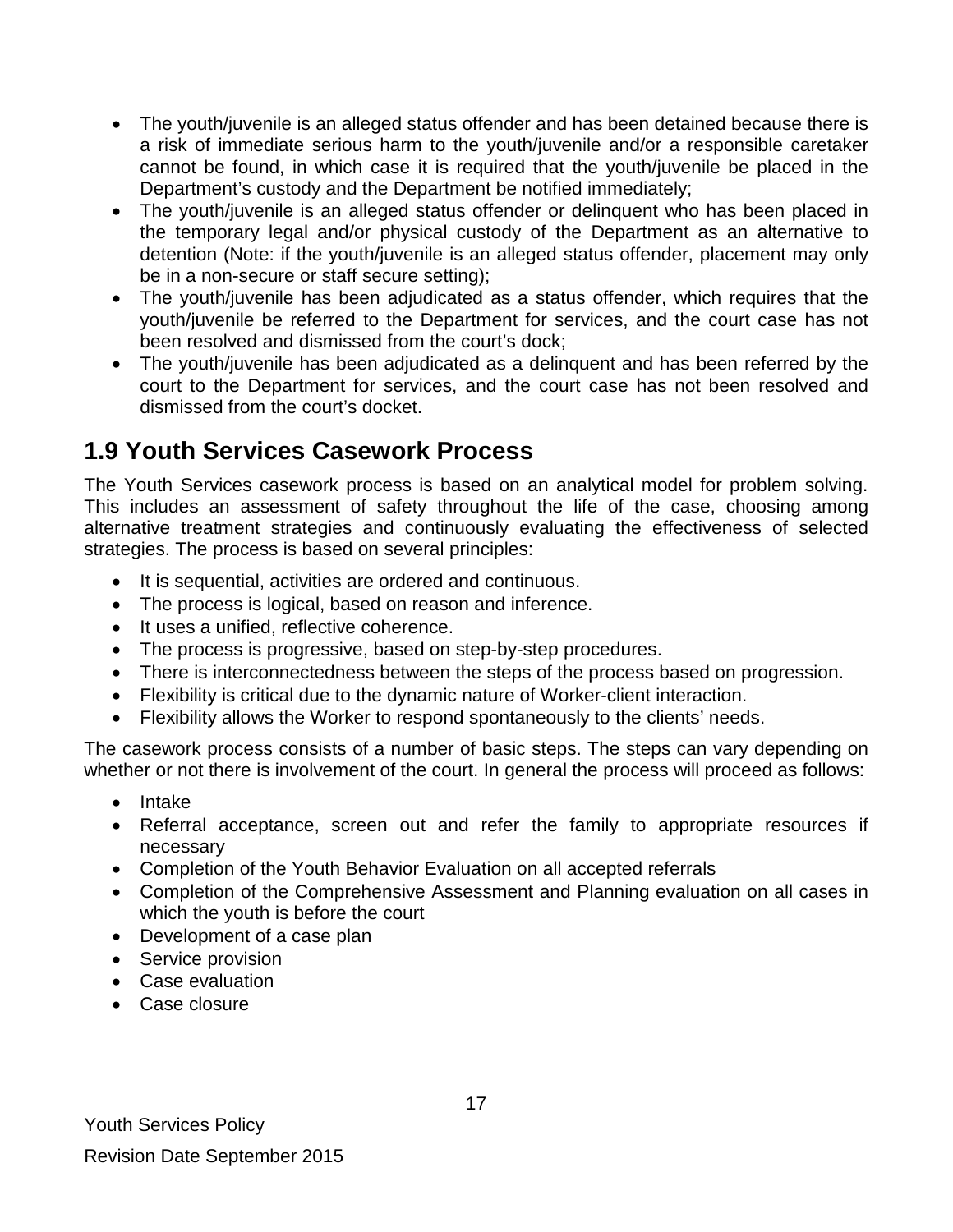- The youth/juvenile is an alleged status offender and has been detained because there is a risk of immediate serious harm to the youth/juvenile and/or a responsible caretaker cannot be found, in which case it is required that the youth/juvenile be placed in the Department's custody and the Department be notified immediately;
- The youth/juvenile is an alleged status offender or delinquent who has been placed in the temporary legal and/or physical custody of the Department as an alternative to detention (Note: if the youth/juvenile is an alleged status offender, placement may only be in a non-secure or staff secure setting);
- The youth/juvenile has been adjudicated as a status offender, which requires that the youth/juvenile be referred to the Department for services, and the court case has not been resolved and dismissed from the court's dock;
- The youth/juvenile has been adjudicated as a delinquent and has been referred by the court to the Department for services, and the court case has not been resolved and dismissed from the court's docket.

# <span id="page-16-0"></span>**1.9 Youth Services Casework Process**

The Youth Services casework process is based on an analytical model for problem solving. This includes an assessment of safety throughout the life of the case, choosing among alternative treatment strategies and continuously evaluating the effectiveness of selected strategies. The process is based on several principles:

- It is sequential, activities are ordered and continuous.
- The process is logical, based on reason and inference.
- It uses a unified, reflective coherence.
- The process is progressive, based on step-by-step procedures.
- There is interconnectedness between the steps of the process based on progression.
- Flexibility is critical due to the dynamic nature of Worker-client interaction.
- Flexibility allows the Worker to respond spontaneously to the clients' needs.

The casework process consists of a number of basic steps. The steps can vary depending on whether or not there is involvement of the court. In general the process will proceed as follows:

- Intake
- Referral acceptance, screen out and refer the family to appropriate resources if necessary
- Completion of the Youth Behavior Evaluation on all accepted referrals
- Completion of the Comprehensive Assessment and Planning evaluation on all cases in which the youth is before the court
- Development of a case plan
- Service provision
- Case evaluation
- Case closure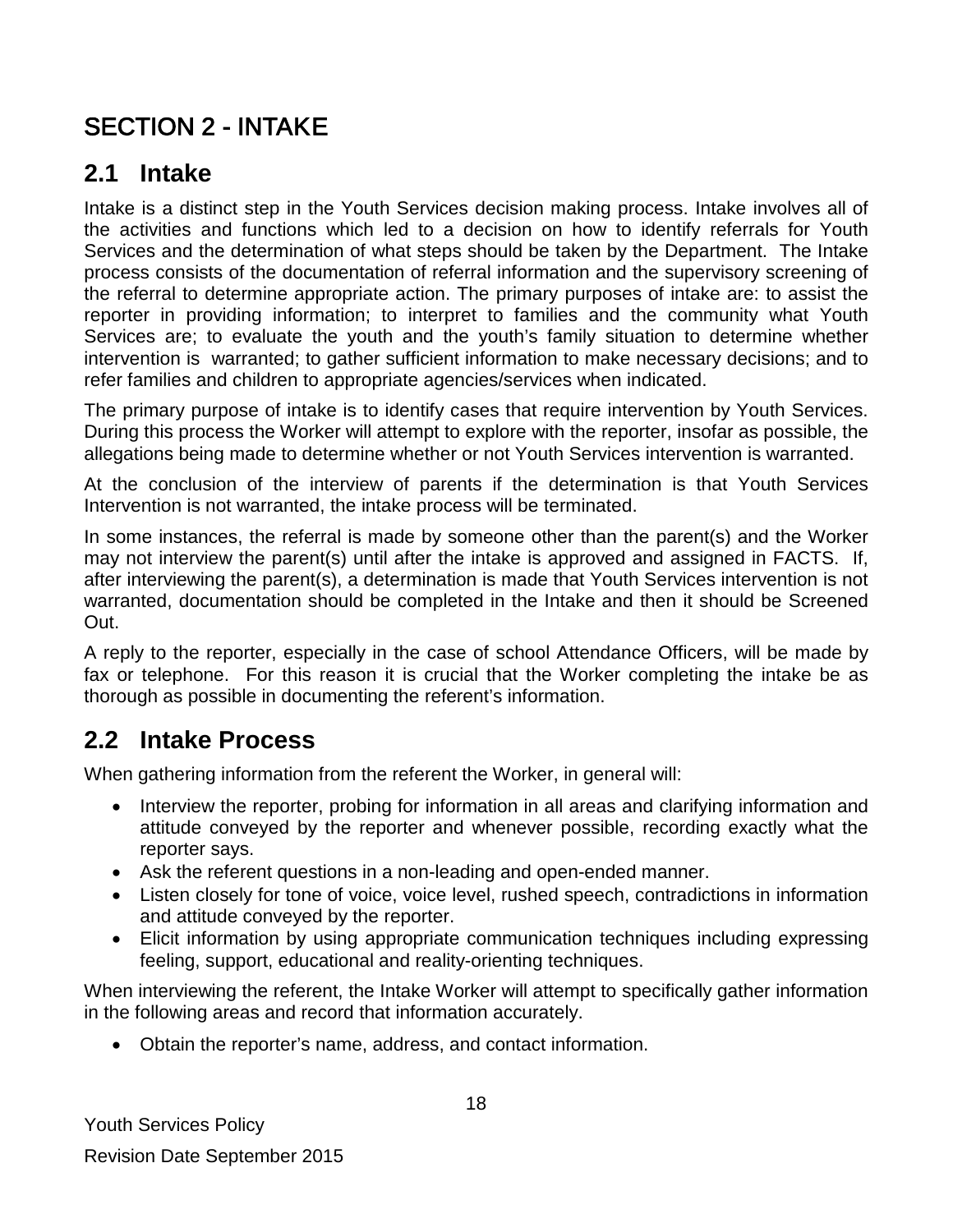# <span id="page-17-0"></span>SECTION 2 - INTAKE

# <span id="page-17-1"></span>**2.1 Intake**

Intake is a distinct step in the Youth Services decision making process. Intake involves all of the activities and functions which led to a decision on how to identify referrals for Youth Services and the determination of what steps should be taken by the Department. The Intake process consists of the documentation of referral information and the supervisory screening of the referral to determine appropriate action. The primary purposes of intake are: to assist the reporter in providing information; to interpret to families and the community what Youth Services are; to evaluate the youth and the youth's family situation to determine whether intervention is warranted; to gather sufficient information to make necessary decisions; and to refer families and children to appropriate agencies/services when indicated.

The primary purpose of intake is to identify cases that require intervention by Youth Services. During this process the Worker will attempt to explore with the reporter, insofar as possible, the allegations being made to determine whether or not Youth Services intervention is warranted.

At the conclusion of the interview of parents if the determination is that Youth Services Intervention is not warranted, the intake process will be terminated.

In some instances, the referral is made by someone other than the parent(s) and the Worker may not interview the parent(s) until after the intake is approved and assigned in FACTS. If, after interviewing the parent(s), a determination is made that Youth Services intervention is not warranted, documentation should be completed in the Intake and then it should be Screened Out.

A reply to the reporter, especially in the case of school Attendance Officers, will be made by fax or telephone. For this reason it is crucial that the Worker completing the intake be as thorough as possible in documenting the referent's information.

### <span id="page-17-2"></span>**2.2 Intake Process**

When gathering information from the referent the Worker, in general will:

- Interview the reporter, probing for information in all areas and clarifying information and attitude conveyed by the reporter and whenever possible, recording exactly what the reporter says.
- Ask the referent questions in a non-leading and open-ended manner.
- Listen closely for tone of voice, voice level, rushed speech, contradictions in information and attitude conveyed by the reporter.
- Elicit information by using appropriate communication techniques including expressing feeling, support, educational and reality-orienting techniques.

When interviewing the referent, the Intake Worker will attempt to specifically gather information in the following areas and record that information accurately.

• Obtain the reporter's name, address, and contact information.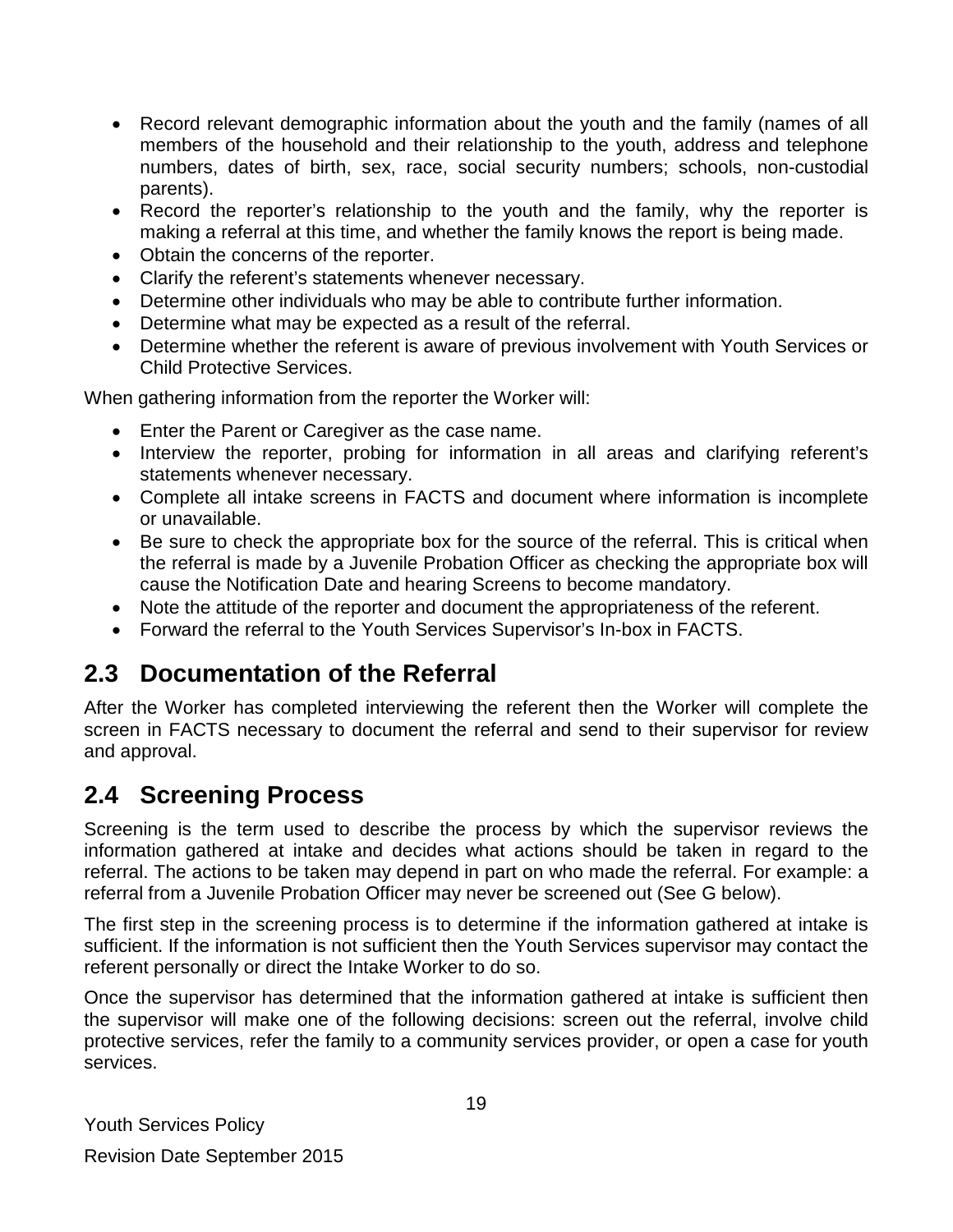- Record relevant demographic information about the youth and the family (names of all members of the household and their relationship to the youth, address and telephone numbers, dates of birth, sex, race, social security numbers; schools, non-custodial parents).
- Record the reporter's relationship to the youth and the family, why the reporter is making a referral at this time, and whether the family knows the report is being made.
- Obtain the concerns of the reporter.
- Clarify the referent's statements whenever necessary.
- Determine other individuals who may be able to contribute further information.
- Determine what may be expected as a result of the referral.
- Determine whether the referent is aware of previous involvement with Youth Services or Child Protective Services.

When gathering information from the reporter the Worker will:

- Enter the Parent or Caregiver as the case name.
- Interview the reporter, probing for information in all areas and clarifying referent's statements whenever necessary.
- Complete all intake screens in FACTS and document where information is incomplete or unavailable.
- Be sure to check the appropriate box for the source of the referral. This is critical when the referral is made by a Juvenile Probation Officer as checking the appropriate box will cause the Notification Date and hearing Screens to become mandatory.
- Note the attitude of the reporter and document the appropriateness of the referent.
- Forward the referral to the Youth Services Supervisor's In-box in FACTS.

### <span id="page-18-0"></span>**2.3 Documentation of the Referral**

After the Worker has completed interviewing the referent then the Worker will complete the screen in FACTS necessary to document the referral and send to their supervisor for review and approval.

### <span id="page-18-1"></span>**2.4 Screening Process**

Screening is the term used to describe the process by which the supervisor reviews the information gathered at intake and decides what actions should be taken in regard to the referral. The actions to be taken may depend in part on who made the referral. For example: a referral from a Juvenile Probation Officer may never be screened out (See G below).

The first step in the screening process is to determine if the information gathered at intake is sufficient. If the information is not sufficient then the Youth Services supervisor may contact the referent personally or direct the Intake Worker to do so.

Once the supervisor has determined that the information gathered at intake is sufficient then the supervisor will make one of the following decisions: screen out the referral, involve child protective services, refer the family to a community services provider, or open a case for youth services.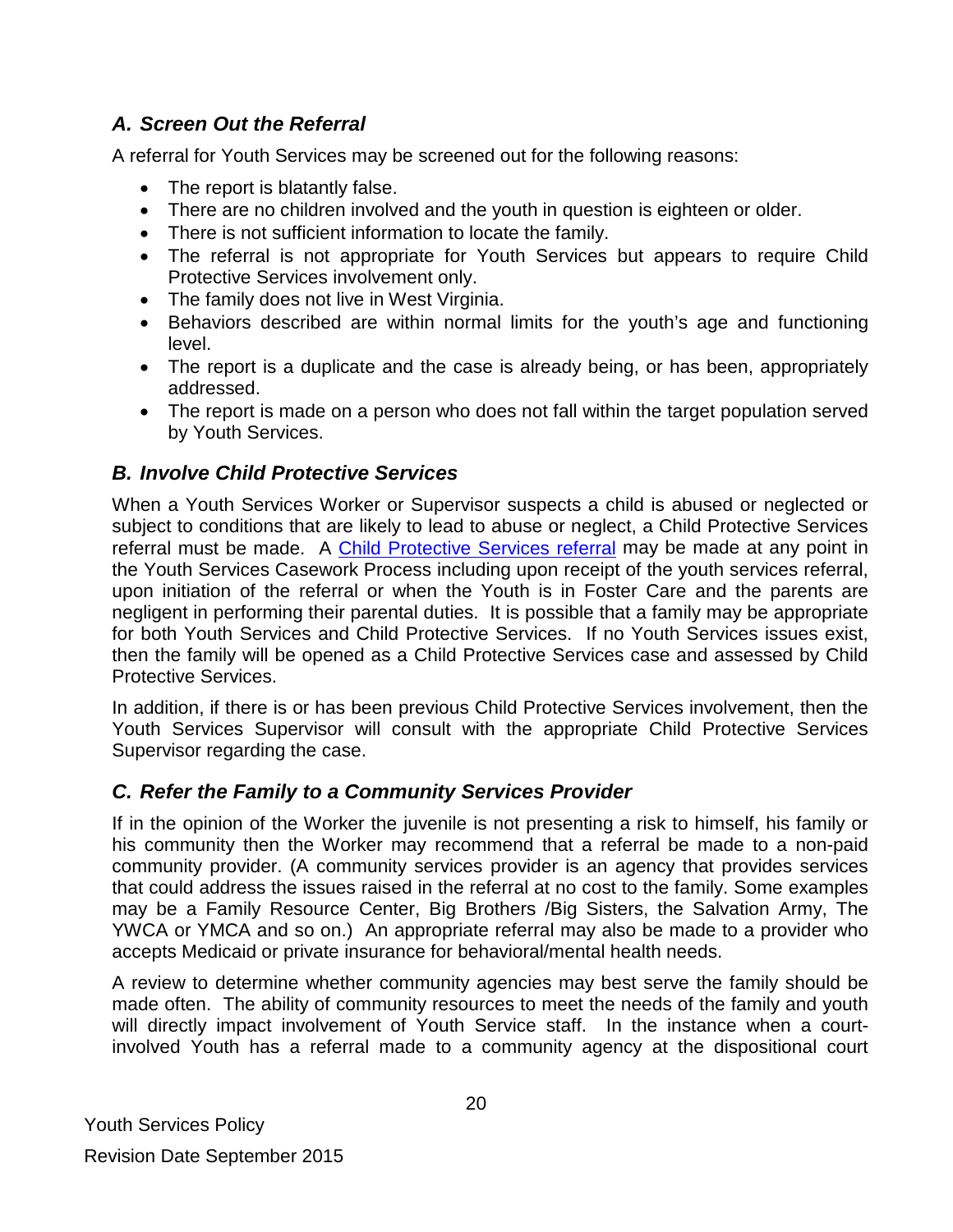### *A. Screen Out the Referral*

A referral for Youth Services may be screened out for the following reasons:

- The report is blatantly false.
- There are no children involved and the youth in question is eighteen or older.
- There is not sufficient information to locate the family.
- The referral is not appropriate for Youth Services but appears to require Child Protective Services involvement only.
- The family does not live in West Virginia.
- Behaviors described are within normal limits for the youth's age and functioning level.
- The report is a duplicate and the case is already being, or has been, appropriately addressed.
- The report is made on a person who does not fall within the target population served by Youth Services.

### *B. Involve Child Protective Services*

When a Youth Services Worker or Supervisor suspects a child is abused or neglected or subject to conditions that are likely to lead to abuse or neglect, a Child Protective Services referral must be made. A [Child Protective Services](http://www.wvdhhr.org/bcf/children_adult/cps/documents/CPSPolicy6-7-12.pdf) referral may be made at any point in the Youth Services Casework Process including upon receipt of the youth services referral, upon initiation of the referral or when the Youth is in Foster Care and the parents are negligent in performing their parental duties. It is possible that a family may be appropriate for both Youth Services and Child Protective Services. If no Youth Services issues exist, then the family will be opened as a Child Protective Services case and assessed by Child Protective Services.

In addition, if there is or has been previous Child Protective Services involvement, then the Youth Services Supervisor will consult with the appropriate Child Protective Services Supervisor regarding the case.

### *C. Refer the Family to a Community Services Provider*

If in the opinion of the Worker the juvenile is not presenting a risk to himself, his family or his community then the Worker may recommend that a referral be made to a non-paid community provider. (A community services provider is an agency that provides services that could address the issues raised in the referral at no cost to the family. Some examples may be a Family Resource Center, Big Brothers /Big Sisters, the Salvation Army, The YWCA or YMCA and so on.) An appropriate referral may also be made to a provider who accepts Medicaid or private insurance for behavioral/mental health needs.

A review to determine whether community agencies may best serve the family should be made often. The ability of community resources to meet the needs of the family and youth will directly impact involvement of Youth Service staff. In the instance when a courtinvolved Youth has a referral made to a community agency at the dispositional court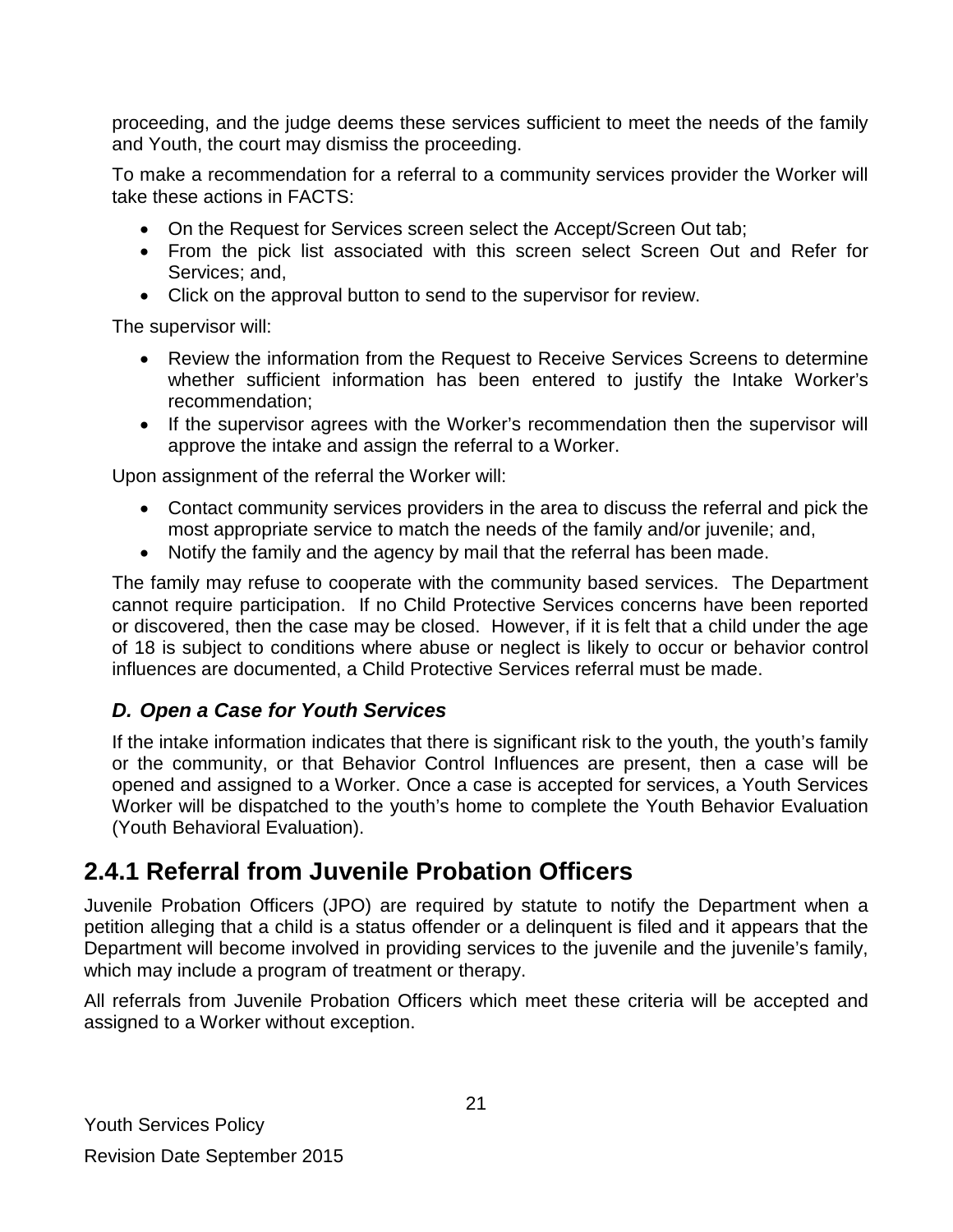proceeding, and the judge deems these services sufficient to meet the needs of the family and Youth, the court may dismiss the proceeding.

To make a recommendation for a referral to a community services provider the Worker will take these actions in FACTS:

- On the Request for Services screen select the Accept/Screen Out tab:
- From the pick list associated with this screen select Screen Out and Refer for Services; and,
- Click on the approval button to send to the supervisor for review.

The supervisor will:

- Review the information from the Request to Receive Services Screens to determine whether sufficient information has been entered to justify the Intake Worker's recommendation;
- If the supervisor agrees with the Worker's recommendation then the supervisor will approve the intake and assign the referral to a Worker.

Upon assignment of the referral the Worker will:

- Contact community services providers in the area to discuss the referral and pick the most appropriate service to match the needs of the family and/or juvenile; and,
- Notify the family and the agency by mail that the referral has been made.

The family may refuse to cooperate with the community based services. The Department cannot require participation. If no Child Protective Services concerns have been reported or discovered, then the case may be closed. However, if it is felt that a child under the age of 18 is subject to conditions where abuse or neglect is likely to occur or behavior control influences are documented, a Child Protective Services referral must be made.

### *D. Open a Case for Youth Services*

If the intake information indicates that there is significant risk to the youth, the youth's family or the community, or that Behavior Control Influences are present, then a case will be opened and assigned to a Worker. Once a case is accepted for services, a Youth Services Worker will be dispatched to the youth's home to complete the Youth Behavior Evaluation (Youth Behavioral Evaluation).

### <span id="page-20-0"></span>**2.4.1 Referral from Juvenile Probation Officers**

Juvenile Probation Officers (JPO) are required by statute to notify the Department when a petition alleging that a child is a status offender or a delinquent is filed and it appears that the Department will become involved in providing services to the juvenile and the juvenile's family, which may include a program of treatment or therapy.

All referrals from Juvenile Probation Officers which meet these criteria will be accepted and assigned to a Worker without exception.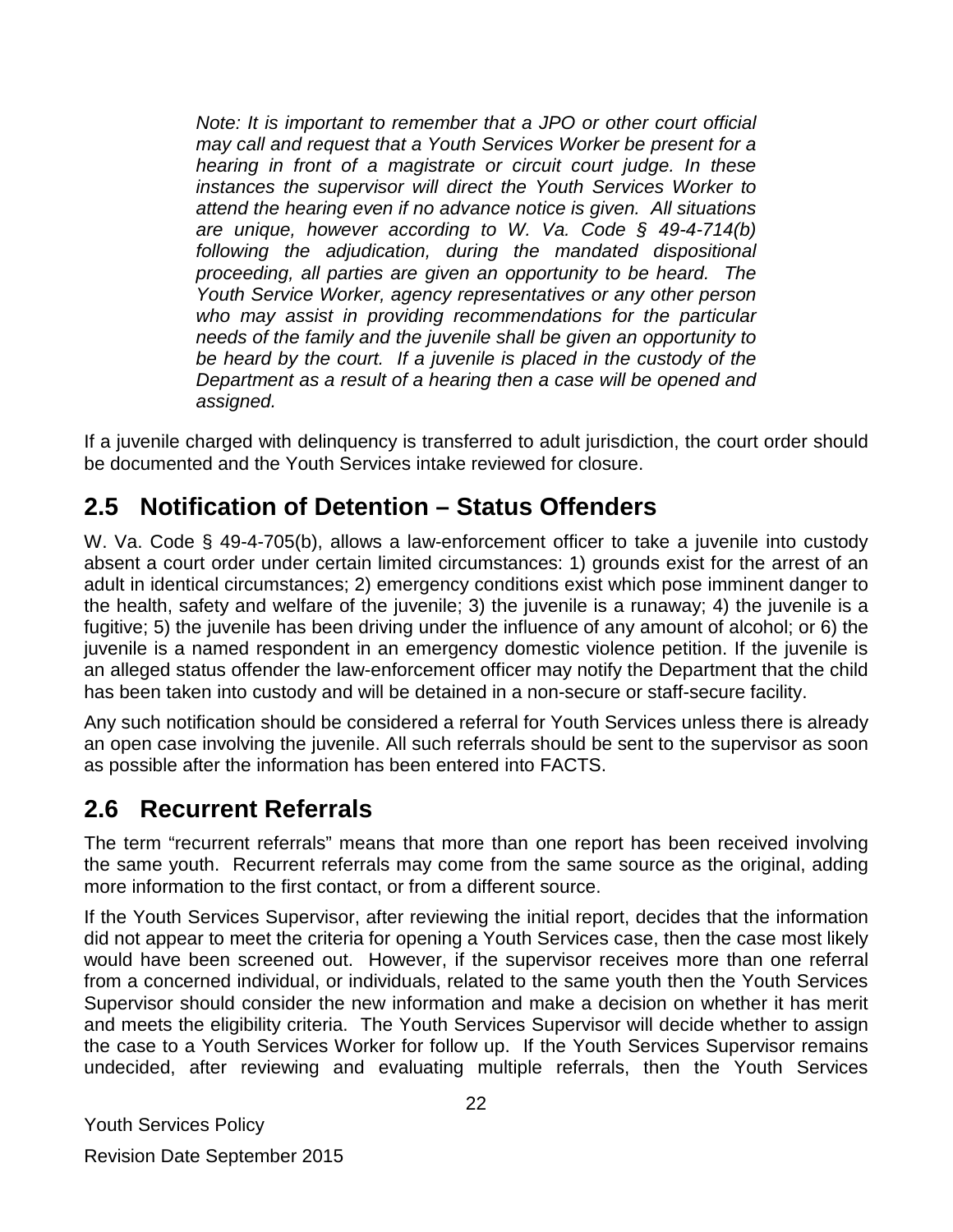*Note: It is important to remember that a JPO or other court official may call and request that a Youth Services Worker be present for a hearing in front of a magistrate or circuit court judge. In these instances the supervisor will direct the Youth Services Worker to attend the hearing even if no advance notice is given. All situations are unique, however according to W. Va. Code § 49-4-714(b) following the adjudication, during the mandated dispositional proceeding, all parties are given an opportunity to be heard. The Youth Service Worker, agency representatives or any other person who may assist in providing recommendations for the particular needs of the family and the juvenile shall be given an opportunity to be heard by the court. If a juvenile is placed in the custody of the Department as a result of a hearing then a case will be opened and assigned.* 

If a juvenile charged with delinquency is transferred to adult jurisdiction, the court order should be documented and the Youth Services intake reviewed for closure.

### <span id="page-21-0"></span>**2.5 Notification of Detention – Status Offenders**

W. Va. Code § 49-4-705(b), allows a law-enforcement officer to take a juvenile into custody absent a court order under certain limited circumstances: 1) grounds exist for the arrest of an adult in identical circumstances; 2) emergency conditions exist which pose imminent danger to the health, safety and welfare of the juvenile; 3) the juvenile is a runaway; 4) the juvenile is a fugitive; 5) the juvenile has been driving under the influence of any amount of alcohol; or 6) the juvenile is a named respondent in an emergency domestic violence petition. If the juvenile is an alleged status offender the law-enforcement officer may notify the Department that the child has been taken into custody and will be detained in a non-secure or staff-secure facility.

Any such notification should be considered a referral for Youth Services unless there is already an open case involving the juvenile. All such referrals should be sent to the supervisor as soon as possible after the information has been entered into FACTS.

### <span id="page-21-1"></span>**2.6 Recurrent Referrals**

The term "recurrent referrals" means that more than one report has been received involving the same youth. Recurrent referrals may come from the same source as the original, adding more information to the first contact, or from a different source.

If the Youth Services Supervisor, after reviewing the initial report, decides that the information did not appear to meet the criteria for opening a Youth Services case, then the case most likely would have been screened out. However, if the supervisor receives more than one referral from a concerned individual, or individuals, related to the same youth then the Youth Services Supervisor should consider the new information and make a decision on whether it has merit and meets the eligibility criteria. The Youth Services Supervisor will decide whether to assign the case to a Youth Services Worker for follow up. If the Youth Services Supervisor remains undecided, after reviewing and evaluating multiple referrals, then the Youth Services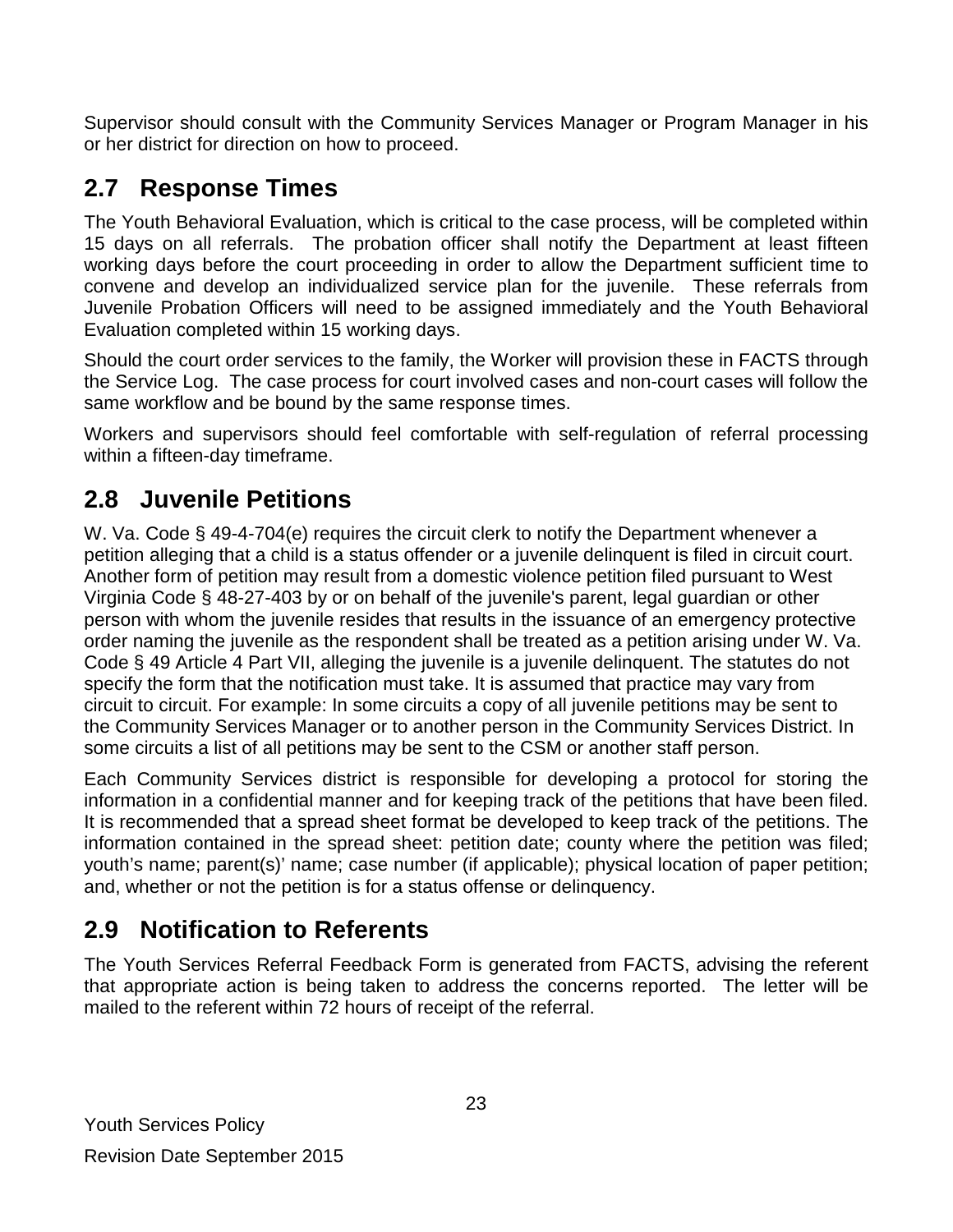Supervisor should consult with the Community Services Manager or Program Manager in his or her district for direction on how to proceed.

# <span id="page-22-0"></span>**2.7 Response Times**

The Youth Behavioral Evaluation, which is critical to the case process, will be completed within 15 days on all referrals. The probation officer shall notify the Department at least fifteen working days before the court proceeding in order to allow the Department sufficient time to convene and develop an individualized service plan for the juvenile. These referrals from Juvenile Probation Officers will need to be assigned immediately and the Youth Behavioral Evaluation completed within 15 working days.

Should the court order services to the family, the Worker will provision these in FACTS through the Service Log. The case process for court involved cases and non-court cases will follow the same workflow and be bound by the same response times.

Workers and supervisors should feel comfortable with self-regulation of referral processing within a fifteen-day timeframe.

# <span id="page-22-1"></span>**2.8 Juvenile Petitions**

W. Va. Code § 49-4-704(e) requires the circuit clerk to notify the Department whenever a petition alleging that a child is a status offender or a juvenile delinquent is filed in circuit court. Another form of petition may result from a domestic violence petition filed pursuant to West Virginia Code § 48-27-403 by or on behalf of the juvenile's parent, legal guardian or other person with whom the juvenile resides that results in the issuance of an emergency protective order naming the juvenile as the respondent shall be treated as a petition arising under W. Va. Code § 49 Article 4 Part VII, alleging the juvenile is a juvenile delinquent. The statutes do not specify the form that the notification must take. It is assumed that practice may vary from circuit to circuit. For example: In some circuits a copy of all juvenile petitions may be sent to the Community Services Manager or to another person in the Community Services District. In some circuits a list of all petitions may be sent to the CSM or another staff person.

Each Community Services district is responsible for developing a protocol for storing the information in a confidential manner and for keeping track of the petitions that have been filed. It is recommended that a spread sheet format be developed to keep track of the petitions. The information contained in the spread sheet: petition date; county where the petition was filed; youth's name; parent(s)' name; case number (if applicable); physical location of paper petition; and, whether or not the petition is for a status offense or delinquency.

# <span id="page-22-2"></span>**2.9 Notification to Referents**

The Youth Services Referral Feedback Form is generated from FACTS, advising the referent that appropriate action is being taken to address the concerns reported. The letter will be mailed to the referent within 72 hours of receipt of the referral.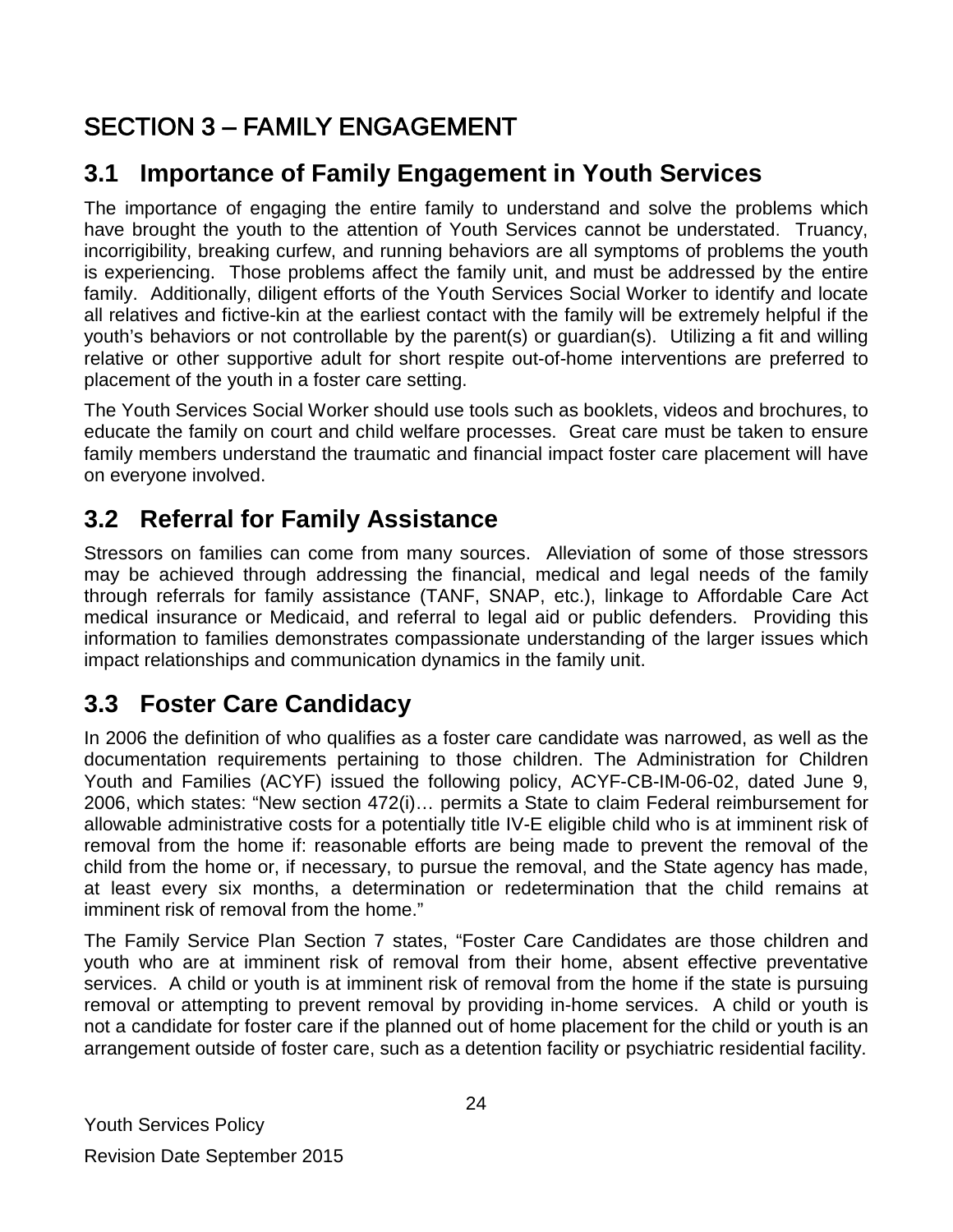# <span id="page-23-0"></span>SECTION 3 – FAMILY ENGAGEMENT

# <span id="page-23-1"></span>**3.1 Importance of Family Engagement in Youth Services**

The importance of engaging the entire family to understand and solve the problems which have brought the youth to the attention of Youth Services cannot be understated. Truancy, incorrigibility, breaking curfew, and running behaviors are all symptoms of problems the youth is experiencing. Those problems affect the family unit, and must be addressed by the entire family. Additionally, diligent efforts of the Youth Services Social Worker to identify and locate all relatives and fictive-kin at the earliest contact with the family will be extremely helpful if the youth's behaviors or not controllable by the parent(s) or guardian(s). Utilizing a fit and willing relative or other supportive adult for short respite out-of-home interventions are preferred to placement of the youth in a foster care setting.

The Youth Services Social Worker should use tools such as booklets, videos and brochures, to educate the family on court and child welfare processes. Great care must be taken to ensure family members understand the traumatic and financial impact foster care placement will have on everyone involved.

# <span id="page-23-2"></span>**3.2 Referral for Family Assistance**

Stressors on families can come from many sources. Alleviation of some of those stressors may be achieved through addressing the financial, medical and legal needs of the family through referrals for family assistance (TANF, SNAP, etc.), linkage to Affordable Care Act medical insurance or Medicaid, and referral to legal aid or public defenders. Providing this information to families demonstrates compassionate understanding of the larger issues which impact relationships and communication dynamics in the family unit.

# <span id="page-23-3"></span>**3.3 Foster Care Candidacy**

In 2006 the definition of who qualifies as a foster care candidate was narrowed, as well as the documentation requirements pertaining to those children. The Administration for Children Youth and Families (ACYF) issued the following policy, ACYF-CB-IM-06-02, dated June 9, 2006, which states: "New section 472(i)… permits a State to claim Federal reimbursement for allowable administrative costs for a potentially title IV-E eligible child who is at imminent risk of removal from the home if: reasonable efforts are being made to prevent the removal of the child from the home or, if necessary, to pursue the removal, and the State agency has made, at least every six months, a determination or redetermination that the child remains at imminent risk of removal from the home."

The Family Service Plan Section 7 states, "Foster Care Candidates are those children and youth who are at imminent risk of removal from their home, absent effective preventative services. A child or youth is at imminent risk of removal from the home if the state is pursuing removal or attempting to prevent removal by providing in-home services. A child or youth is not a candidate for foster care if the planned out of home placement for the child or youth is an arrangement outside of foster care, such as a detention facility or psychiatric residential facility.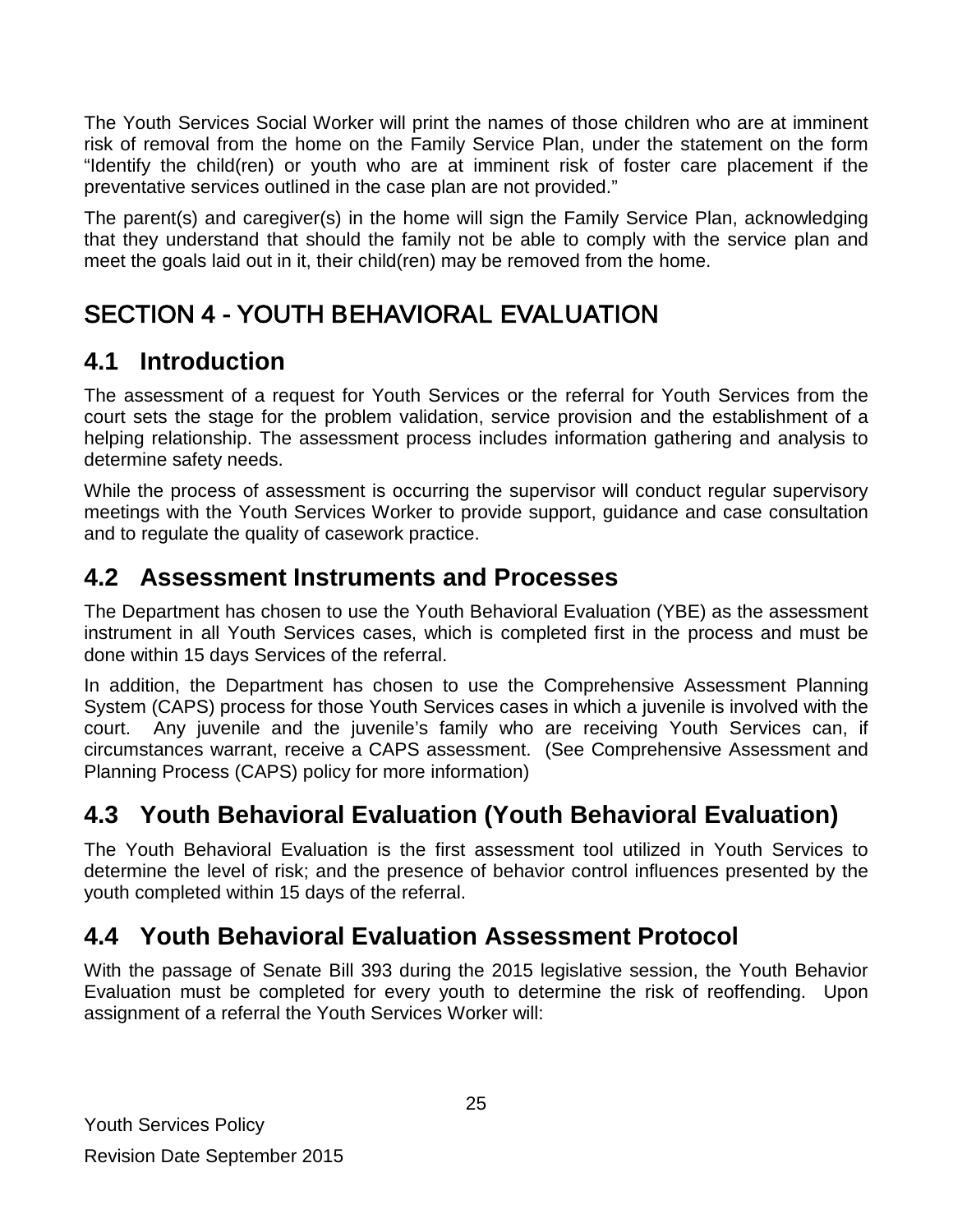The Youth Services Social Worker will print the names of those children who are at imminent risk of removal from the home on the Family Service Plan, under the statement on the form "Identify the child(ren) or youth who are at imminent risk of foster care placement if the preventative services outlined in the case plan are not provided."

The parent(s) and caregiver(s) in the home will sign the Family Service Plan, acknowledging that they understand that should the family not be able to comply with the service plan and meet the goals laid out in it, their child(ren) may be removed from the home.

# <span id="page-24-0"></span>SECTION 4 - YOUTH BEHAVIORAL EVALUATION

# <span id="page-24-1"></span>**4.1 Introduction**

The assessment of a request for Youth Services or the referral for Youth Services from the court sets the stage for the problem validation, service provision and the establishment of a helping relationship. The assessment process includes information gathering and analysis to determine safety needs.

While the process of assessment is occurring the supervisor will conduct regular supervisory meetings with the Youth Services Worker to provide support, guidance and case consultation and to regulate the quality of casework practice.

### <span id="page-24-2"></span>**4.2 Assessment Instruments and Processes**

The Department has chosen to use the Youth Behavioral Evaluation (YBE) as the assessment instrument in all Youth Services cases, which is completed first in the process and must be done within 15 days Services of the referral.

In addition, the Department has chosen to use the Comprehensive Assessment Planning System (CAPS) process for those Youth Services cases in which a juvenile is involved with the court. Any juvenile and the juvenile's family who are receiving Youth Services can, if circumstances warrant, receive a CAPS assessment. (See Comprehensive Assessment and Planning Process (CAPS) policy for more information)

# <span id="page-24-3"></span>**4.3 Youth Behavioral Evaluation (Youth Behavioral Evaluation)**

The Youth Behavioral Evaluation is the first assessment tool utilized in Youth Services to determine the level of risk; and the presence of behavior control influences presented by the youth completed within 15 days of the referral.

# <span id="page-24-4"></span>**4.4 Youth Behavioral Evaluation Assessment Protocol**

With the passage of Senate Bill 393 during the 2015 legislative session, the Youth Behavior Evaluation must be completed for every youth to determine the risk of reoffending. Upon assignment of a referral the Youth Services Worker will: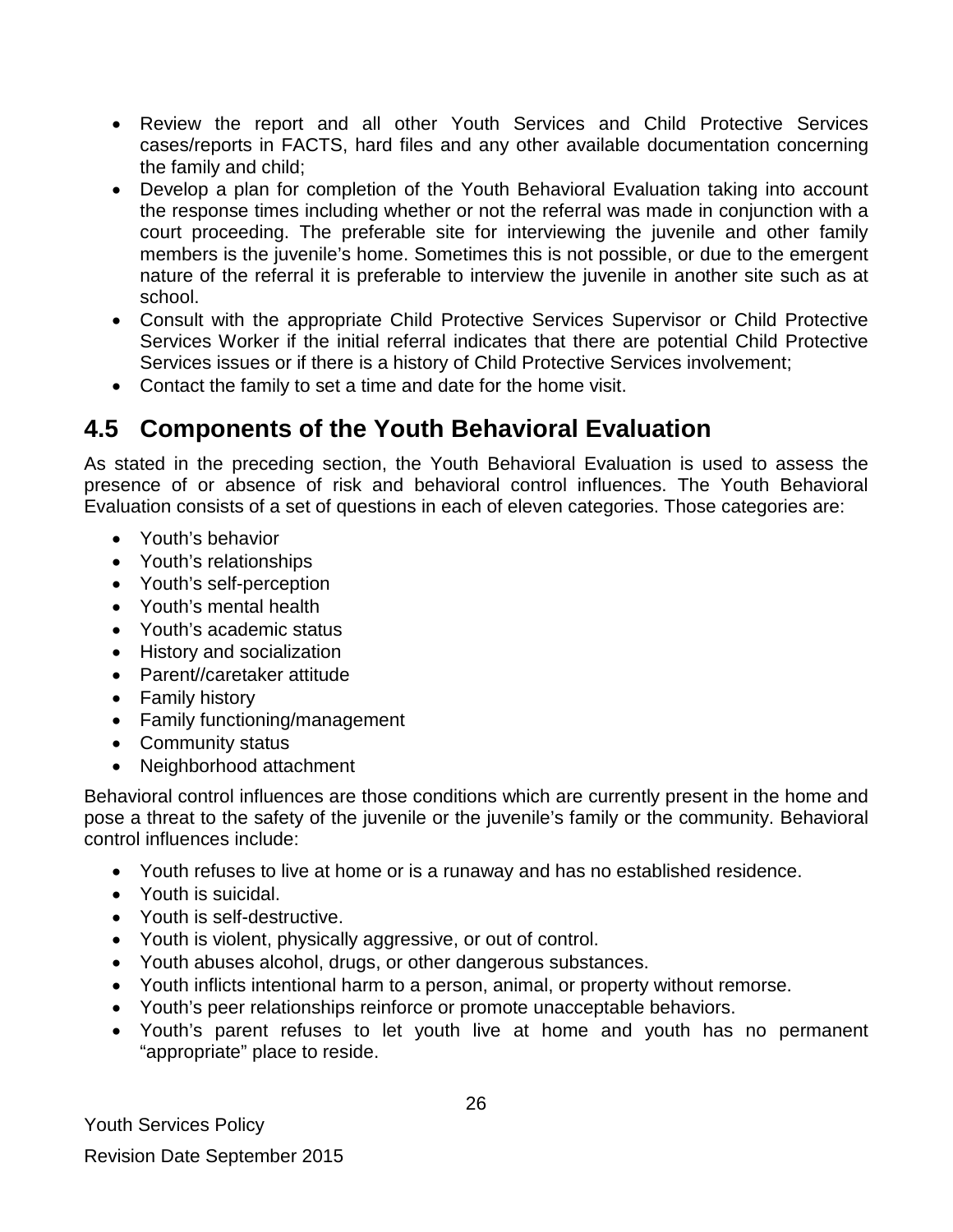- Review the report and all other Youth Services and Child Protective Services cases/reports in FACTS, hard files and any other available documentation concerning the family and child;
- Develop a plan for completion of the Youth Behavioral Evaluation taking into account the response times including whether or not the referral was made in conjunction with a court proceeding. The preferable site for interviewing the juvenile and other family members is the juvenile's home. Sometimes this is not possible, or due to the emergent nature of the referral it is preferable to interview the juvenile in another site such as at school.
- Consult with the appropriate Child Protective Services Supervisor or Child Protective Services Worker if the initial referral indicates that there are potential Child Protective Services issues or if there is a history of Child Protective Services involvement;
- Contact the family to set a time and date for the home visit.

# <span id="page-25-0"></span>**4.5 Components of the Youth Behavioral Evaluation**

As stated in the preceding section, the Youth Behavioral Evaluation is used to assess the presence of or absence of risk and behavioral control influences. The Youth Behavioral Evaluation consists of a set of questions in each of eleven categories. Those categories are:

- Youth's behavior
- Youth's relationships
- Youth's self-perception
- Youth's mental health
- Youth's academic status
- History and socialization
- Parent//caretaker attitude
- Family history
- Family functioning/management
- Community status
- Neighborhood attachment

Behavioral control influences are those conditions which are currently present in the home and pose a threat to the safety of the juvenile or the juvenile's family or the community. Behavioral control influences include:

- Youth refuses to live at home or is a runaway and has no established residence.
- Youth is suicidal.
- Youth is self-destructive.
- Youth is violent, physically aggressive, or out of control.
- Youth abuses alcohol, drugs, or other dangerous substances.
- Youth inflicts intentional harm to a person, animal, or property without remorse.
- Youth's peer relationships reinforce or promote unacceptable behaviors.
- Youth's parent refuses to let youth live at home and youth has no permanent "appropriate" place to reside.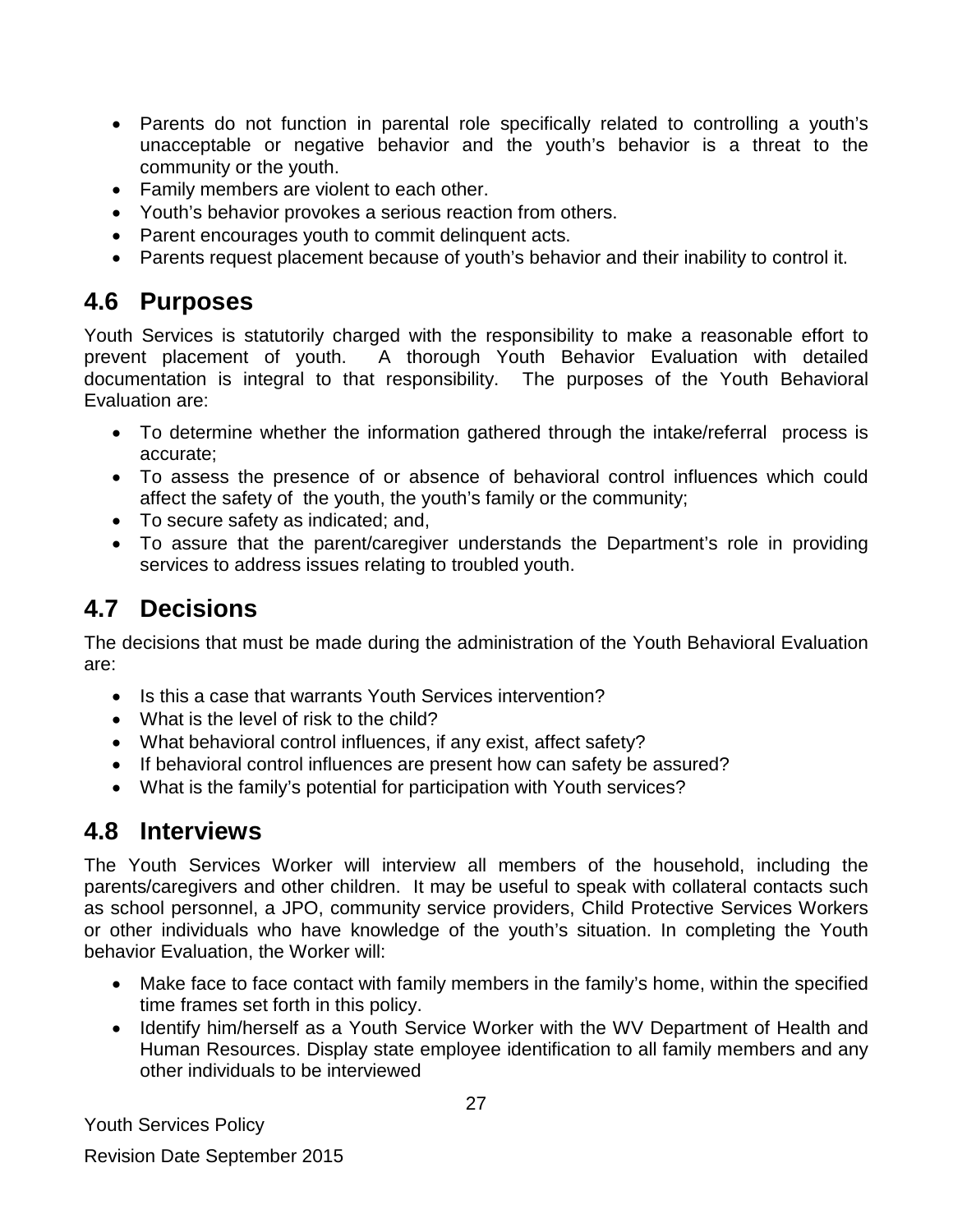- Parents do not function in parental role specifically related to controlling a youth's unacceptable or negative behavior and the youth's behavior is a threat to the community or the youth.
- Family members are violent to each other.
- Youth's behavior provokes a serious reaction from others.
- Parent encourages youth to commit delinquent acts.
- Parents request placement because of youth's behavior and their inability to control it.

### <span id="page-26-0"></span>**4.6 Purposes**

Youth Services is statutorily charged with the responsibility to make a reasonable effort to prevent placement of youth. A thorough Youth Behavior Evaluation with detailed documentation is integral to that responsibility. The purposes of the Youth Behavioral Evaluation are:

- To determine whether the information gathered through the intake/referral process is accurate;
- To assess the presence of or absence of behavioral control influences which could affect the safety of the youth, the youth's family or the community;
- To secure safety as indicated; and,
- To assure that the parent/caregiver understands the Department's role in providing services to address issues relating to troubled youth.

# <span id="page-26-1"></span>**4.7 Decisions**

The decisions that must be made during the administration of the Youth Behavioral Evaluation are:

- Is this a case that warrants Youth Services intervention?
- What is the level of risk to the child?
- What behavioral control influences, if any exist, affect safety?
- If behavioral control influences are present how can safety be assured?
- What is the family's potential for participation with Youth services?

### <span id="page-26-2"></span>**4.8 Interviews**

The Youth Services Worker will interview all members of the household, including the parents/caregivers and other children. It may be useful to speak with collateral contacts such as school personnel, a JPO, community service providers, Child Protective Services Workers or other individuals who have knowledge of the youth's situation. In completing the Youth behavior Evaluation, the Worker will:

- Make face to face contact with family members in the family's home, within the specified time frames set forth in this policy.
- Identify him/herself as a Youth Service Worker with the WV Department of Health and Human Resources. Display state employee identification to all family members and any other individuals to be interviewed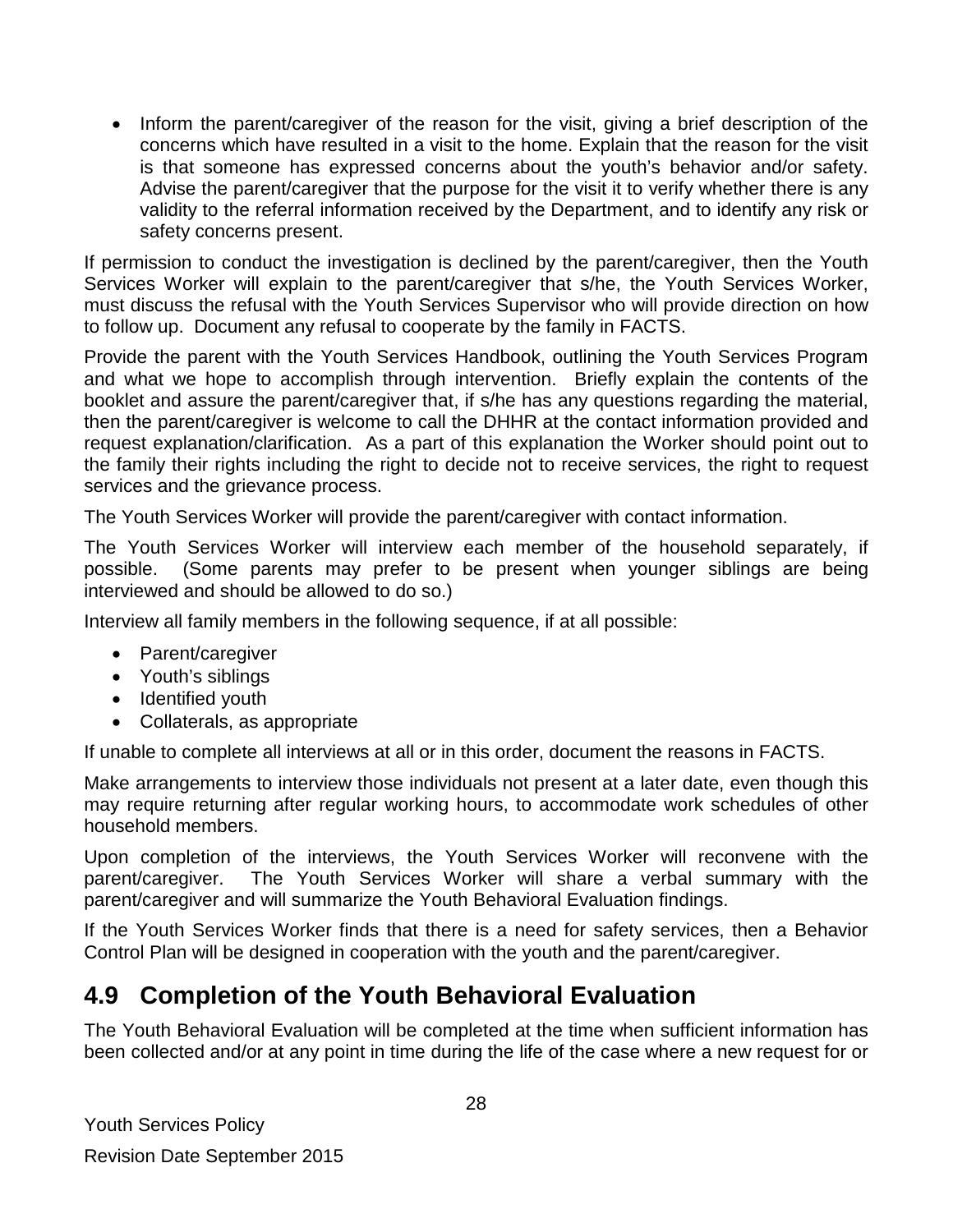• Inform the parent/caregiver of the reason for the visit, giving a brief description of the concerns which have resulted in a visit to the home. Explain that the reason for the visit is that someone has expressed concerns about the youth's behavior and/or safety. Advise the parent/caregiver that the purpose for the visit it to verify whether there is any validity to the referral information received by the Department, and to identify any risk or safety concerns present.

If permission to conduct the investigation is declined by the parent/caregiver, then the Youth Services Worker will explain to the parent/caregiver that s/he, the Youth Services Worker, must discuss the refusal with the Youth Services Supervisor who will provide direction on how to follow up. Document any refusal to cooperate by the family in FACTS.

Provide the parent with the Youth Services Handbook, outlining the Youth Services Program and what we hope to accomplish through intervention. Briefly explain the contents of the booklet and assure the parent/caregiver that, if s/he has any questions regarding the material, then the parent/caregiver is welcome to call the DHHR at the contact information provided and request explanation/clarification. As a part of this explanation the Worker should point out to the family their rights including the right to decide not to receive services, the right to request services and the grievance process.

The Youth Services Worker will provide the parent/caregiver with contact information.

The Youth Services Worker will interview each member of the household separately, if possible. (Some parents may prefer to be present when younger siblings are being interviewed and should be allowed to do so.)

Interview all family members in the following sequence, if at all possible:

- Parent/caregiver
- Youth's siblings
- Identified youth
- Collaterals, as appropriate

If unable to complete all interviews at all or in this order, document the reasons in FACTS.

Make arrangements to interview those individuals not present at a later date, even though this may require returning after regular working hours, to accommodate work schedules of other household members.

Upon completion of the interviews, the Youth Services Worker will reconvene with the parent/caregiver. The Youth Services Worker will share a verbal summary with the parent/caregiver and will summarize the Youth Behavioral Evaluation findings.

If the Youth Services Worker finds that there is a need for safety services, then a Behavior Control Plan will be designed in cooperation with the youth and the parent/caregiver.

### <span id="page-27-0"></span>**4.9 Completion of the Youth Behavioral Evaluation**

The Youth Behavioral Evaluation will be completed at the time when sufficient information has been collected and/or at any point in time during the life of the case where a new request for or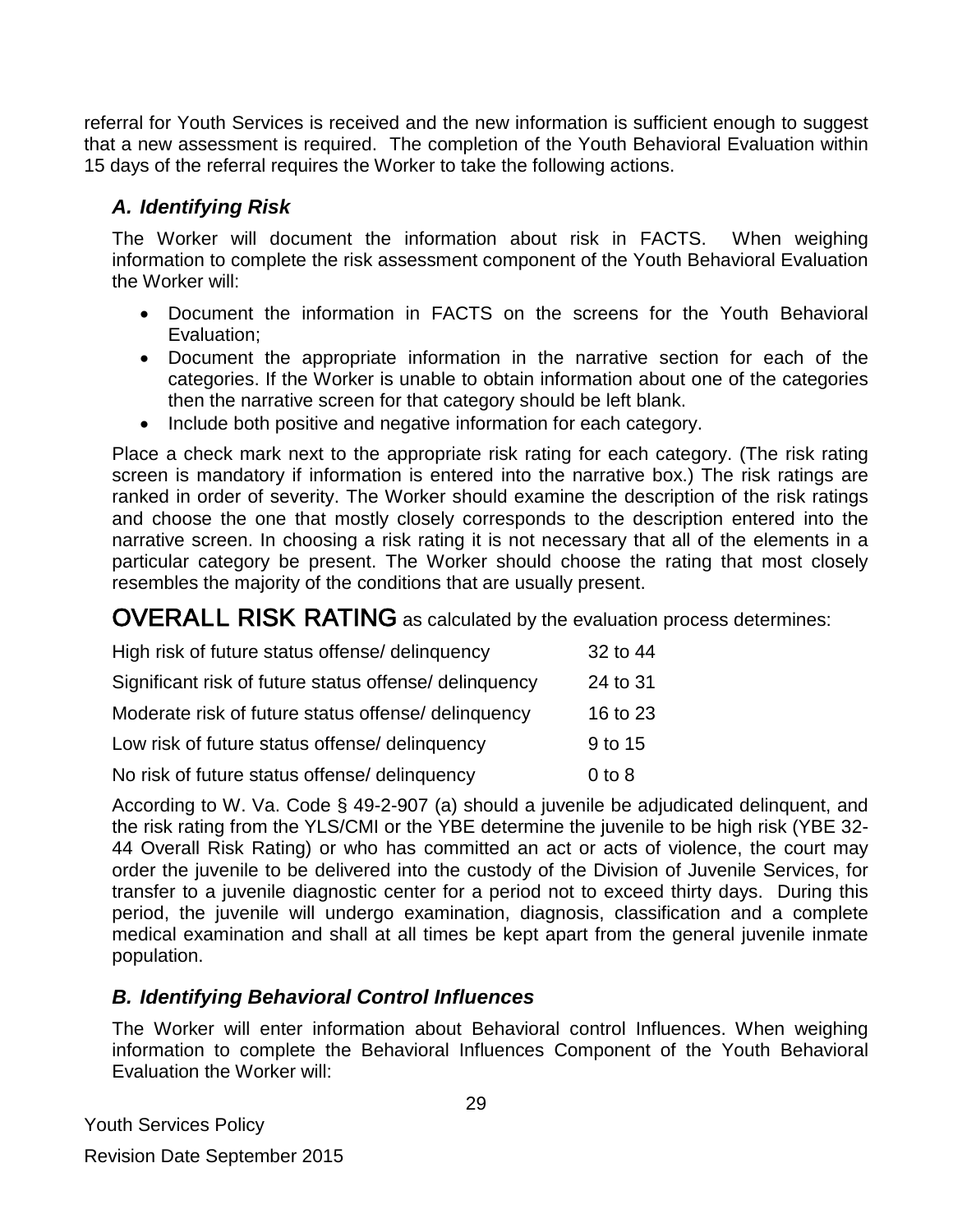referral for Youth Services is received and the new information is sufficient enough to suggest that a new assessment is required. The completion of the Youth Behavioral Evaluation within 15 days of the referral requires the Worker to take the following actions.

### *A. Identifying Risk*

The Worker will document the information about risk in FACTS. When weighing information to complete the risk assessment component of the Youth Behavioral Evaluation the Worker will:

- Document the information in FACTS on the screens for the Youth Behavioral Evaluation;
- Document the appropriate information in the narrative section for each of the categories. If the Worker is unable to obtain information about one of the categories then the narrative screen for that category should be left blank.
- Include both positive and negative information for each category.

Place a check mark next to the appropriate risk rating for each category. (The risk rating screen is mandatory if information is entered into the narrative box.) The risk ratings are ranked in order of severity. The Worker should examine the description of the risk ratings and choose the one that mostly closely corresponds to the description entered into the narrative screen. In choosing a risk rating it is not necessary that all of the elements in a particular category be present. The Worker should choose the rating that most closely resembles the majority of the conditions that are usually present.

<span id="page-28-0"></span>OVERALL RISK RATING as calculated by the evaluation process determines:

| High risk of future status offense/ delinquency        | 32 to 44   |
|--------------------------------------------------------|------------|
| Significant risk of future status offense/ delinquency | 24 to 31   |
| Moderate risk of future status offense/ delinguency    | 16 to 23   |
| Low risk of future status offense/ delinquency         | 9 to 15    |
| No risk of future status offense/ delinquency          | $0$ to $8$ |

According to W. Va. Code § 49-2-907 (a) should a juvenile be adjudicated delinquent, and the risk rating from the YLS/CMI or the YBE determine the juvenile to be high risk (YBE 32- 44 Overall Risk Rating) or who has committed an act or acts of violence, the court may order the juvenile to be delivered into the custody of the Division of Juvenile Services, for transfer to a juvenile diagnostic center for a period not to exceed thirty days. During this period, the juvenile will undergo examination, diagnosis, classification and a complete medical examination and shall at all times be kept apart from the general juvenile inmate population.

### *B. Identifying Behavioral Control Influences*

The Worker will enter information about Behavioral control Influences. When weighing information to complete the Behavioral Influences Component of the Youth Behavioral Evaluation the Worker will: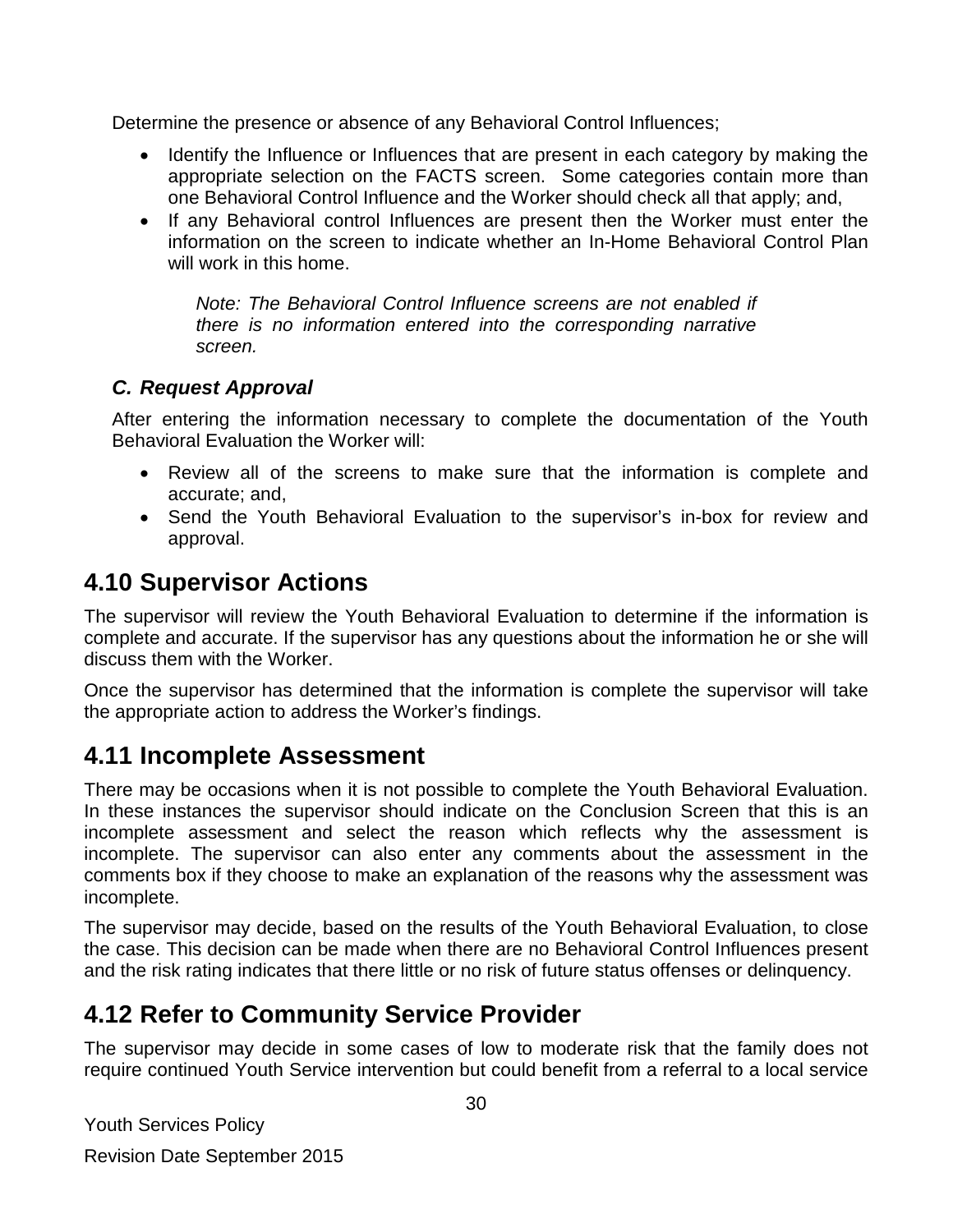Determine the presence or absence of any Behavioral Control Influences;

- Identify the Influence or Influences that are present in each category by making the appropriate selection on the FACTS screen. Some categories contain more than one Behavioral Control Influence and the Worker should check all that apply; and,
- If any Behavioral control Influences are present then the Worker must enter the information on the screen to indicate whether an In-Home Behavioral Control Plan will work in this home.

*Note: The Behavioral Control Influence screens are not enabled if there is no information entered into the corresponding narrative screen.* 

### *C. Request Approval*

After entering the information necessary to complete the documentation of the Youth Behavioral Evaluation the Worker will:

- Review all of the screens to make sure that the information is complete and accurate; and,
- Send the Youth Behavioral Evaluation to the supervisor's in-box for review and approval.

### <span id="page-29-0"></span>**4.10 Supervisor Actions**

The supervisor will review the Youth Behavioral Evaluation to determine if the information is complete and accurate. If the supervisor has any questions about the information he or she will discuss them with the Worker.

Once the supervisor has determined that the information is complete the supervisor will take the appropriate action to address the Worker's findings.

### <span id="page-29-1"></span>**4.11 Incomplete Assessment**

There may be occasions when it is not possible to complete the Youth Behavioral Evaluation. In these instances the supervisor should indicate on the Conclusion Screen that this is an incomplete assessment and select the reason which reflects why the assessment is incomplete. The supervisor can also enter any comments about the assessment in the comments box if they choose to make an explanation of the reasons why the assessment was incomplete.

The supervisor may decide, based on the results of the Youth Behavioral Evaluation, to close the case. This decision can be made when there are no Behavioral Control Influences present and the risk rating indicates that there little or no risk of future status offenses or delinquency.

### <span id="page-29-2"></span>**4.12 Refer to Community Service Provider**

The supervisor may decide in some cases of low to moderate risk that the family does not require continued Youth Service intervention but could benefit from a referral to a local service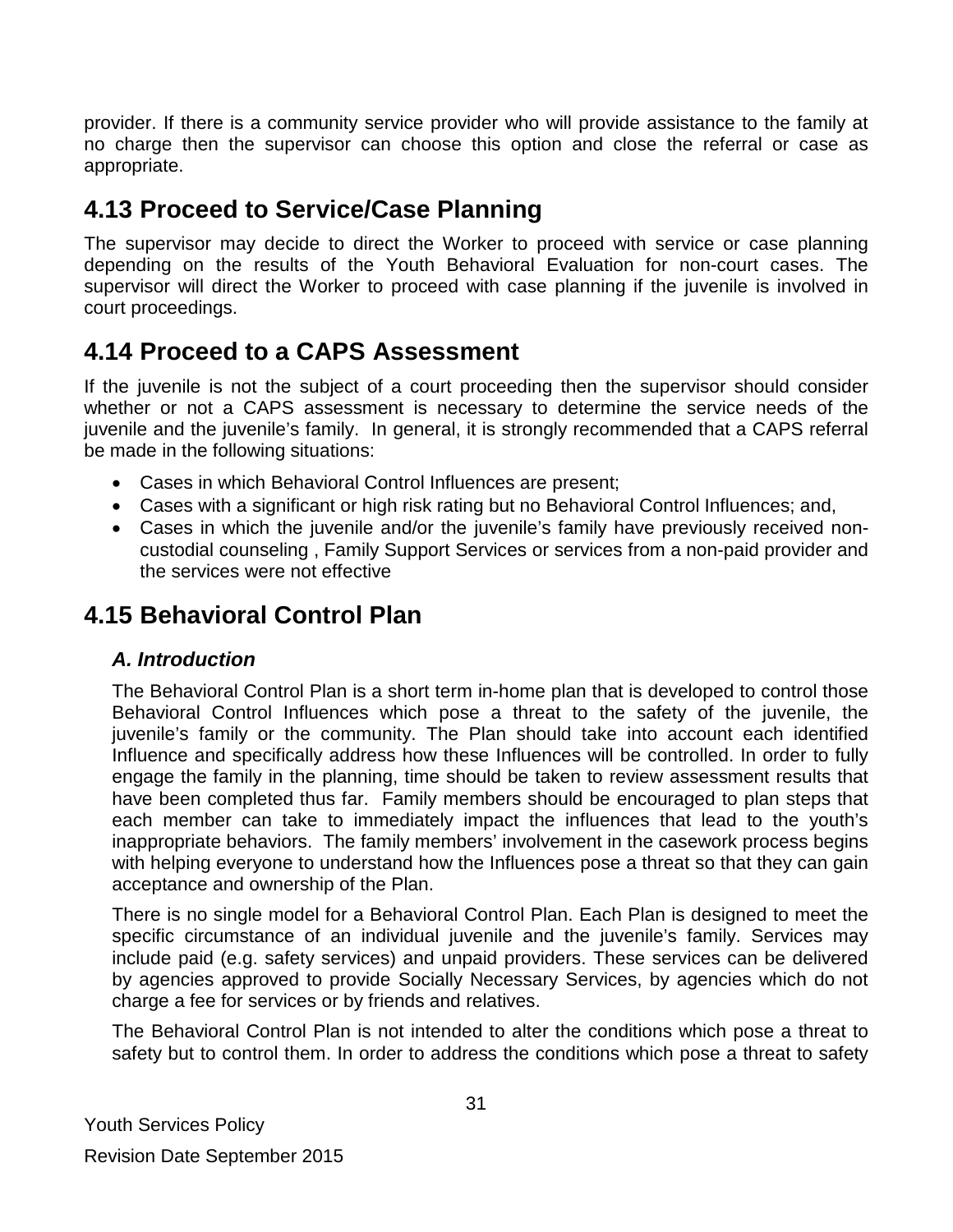provider. If there is a community service provider who will provide assistance to the family at no charge then the supervisor can choose this option and close the referral or case as appropriate.

### <span id="page-30-0"></span>**4.13 Proceed to Service/Case Planning**

The supervisor may decide to direct the Worker to proceed with service or case planning depending on the results of the Youth Behavioral Evaluation for non-court cases. The supervisor will direct the Worker to proceed with case planning if the juvenile is involved in court proceedings.

### <span id="page-30-1"></span>**4.14 Proceed to a CAPS Assessment**

If the juvenile is not the subject of a court proceeding then the supervisor should consider whether or not a CAPS assessment is necessary to determine the service needs of the juvenile and the juvenile's family. In general, it is strongly recommended that a CAPS referral be made in the following situations:

- Cases in which Behavioral Control Influences are present;
- Cases with a significant or high risk rating but no Behavioral Control Influences; and,
- Cases in which the juvenile and/or the juvenile's family have previously received noncustodial counseling , Family Support Services or services from a non-paid provider and the services were not effective

### <span id="page-30-2"></span>**4.15 Behavioral Control Plan**

### *A. Introduction*

The Behavioral Control Plan is a short term in-home plan that is developed to control those Behavioral Control Influences which pose a threat to the safety of the juvenile, the juvenile's family or the community. The Plan should take into account each identified Influence and specifically address how these Influences will be controlled. In order to fully engage the family in the planning, time should be taken to review assessment results that have been completed thus far. Family members should be encouraged to plan steps that each member can take to immediately impact the influences that lead to the youth's inappropriate behaviors. The family members' involvement in the casework process begins with helping everyone to understand how the Influences pose a threat so that they can gain acceptance and ownership of the Plan.

There is no single model for a Behavioral Control Plan. Each Plan is designed to meet the specific circumstance of an individual juvenile and the juvenile's family. Services may include paid (e.g. safety services) and unpaid providers. These services can be delivered by agencies approved to provide Socially Necessary Services, by agencies which do not charge a fee for services or by friends and relatives.

The Behavioral Control Plan is not intended to alter the conditions which pose a threat to safety but to control them. In order to address the conditions which pose a threat to safety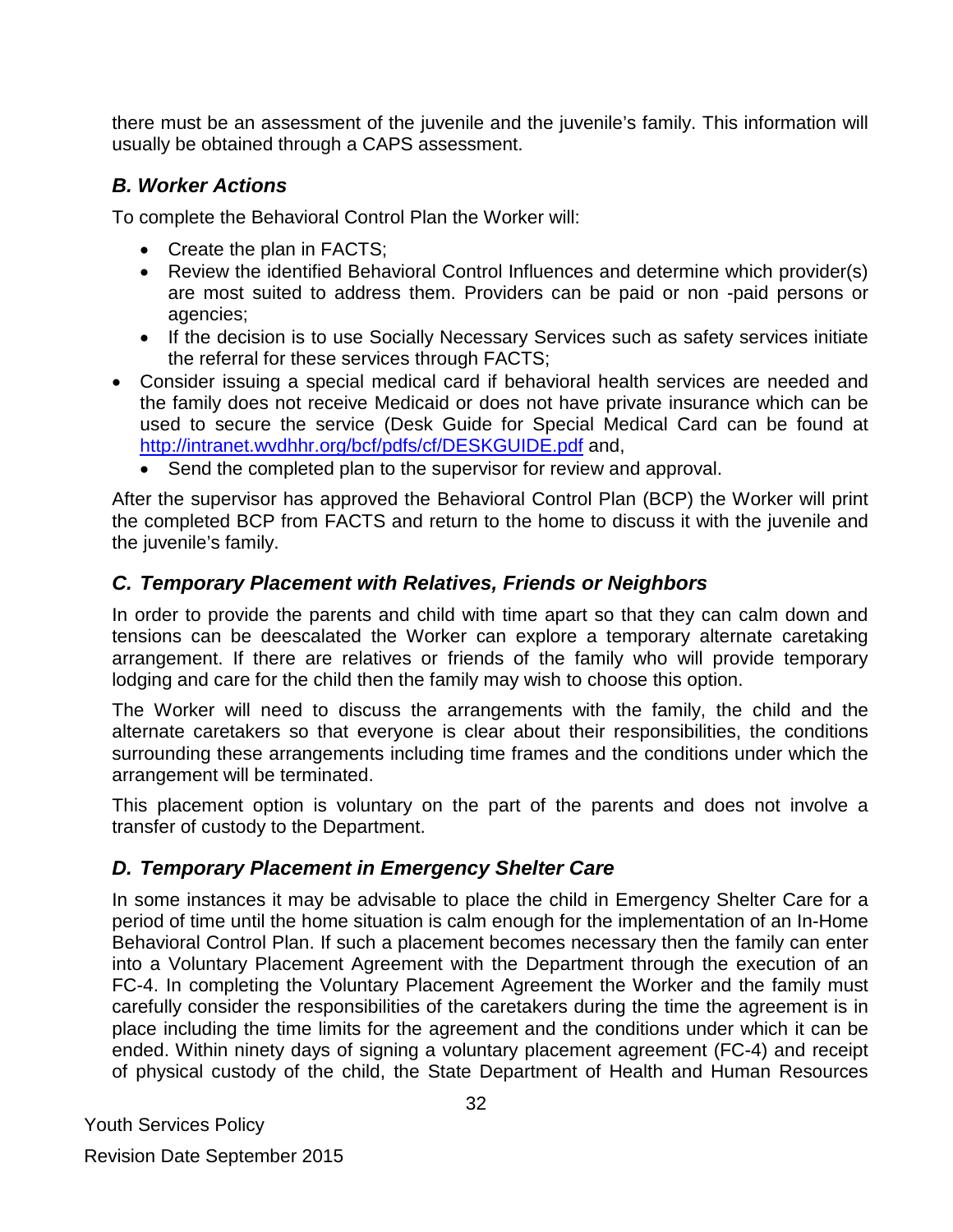there must be an assessment of the juvenile and the juvenile's family. This information will usually be obtained through a CAPS assessment.

### *B. Worker Actions*

To complete the Behavioral Control Plan the Worker will:

- Create the plan in FACTS;
- Review the identified Behavioral Control Influences and determine which provider(s) are most suited to address them. Providers can be paid or non -paid persons or agencies;
- If the decision is to use Socially Necessary Services such as safety services initiate the referral for these services through FACTS;
- Consider issuing a special medical card if behavioral health services are needed and the family does not receive Medicaid or does not have private insurance which can be used to secure the service (Desk Guide for Special Medical Card can be found at <http://intranet.wvdhhr.org/bcf/pdfs/cf/DESKGUIDE.pdf> and,
	- Send the completed plan to the supervisor for review and approval.

After the supervisor has approved the Behavioral Control Plan (BCP) the Worker will print the completed BCP from FACTS and return to the home to discuss it with the juvenile and the juvenile's family.

### *C. Temporary Placement with Relatives, Friends or Neighbors*

In order to provide the parents and child with time apart so that they can calm down and tensions can be deescalated the Worker can explore a temporary alternate caretaking arrangement. If there are relatives or friends of the family who will provide temporary lodging and care for the child then the family may wish to choose this option.

The Worker will need to discuss the arrangements with the family, the child and the alternate caretakers so that everyone is clear about their responsibilities, the conditions surrounding these arrangements including time frames and the conditions under which the arrangement will be terminated.

This placement option is voluntary on the part of the parents and does not involve a transfer of custody to the Department.

### *D. Temporary Placement in Emergency Shelter Care*

In some instances it may be advisable to place the child in Emergency Shelter Care for a period of time until the home situation is calm enough for the implementation of an In-Home Behavioral Control Plan. If such a placement becomes necessary then the family can enter into a Voluntary Placement Agreement with the Department through the execution of an FC-4. In completing the Voluntary Placement Agreement the Worker and the family must carefully consider the responsibilities of the caretakers during the time the agreement is in place including the time limits for the agreement and the conditions under which it can be ended. Within ninety days of signing a voluntary placement agreement (FC-4) and receipt of physical custody of the child, the State Department of Health and Human Resources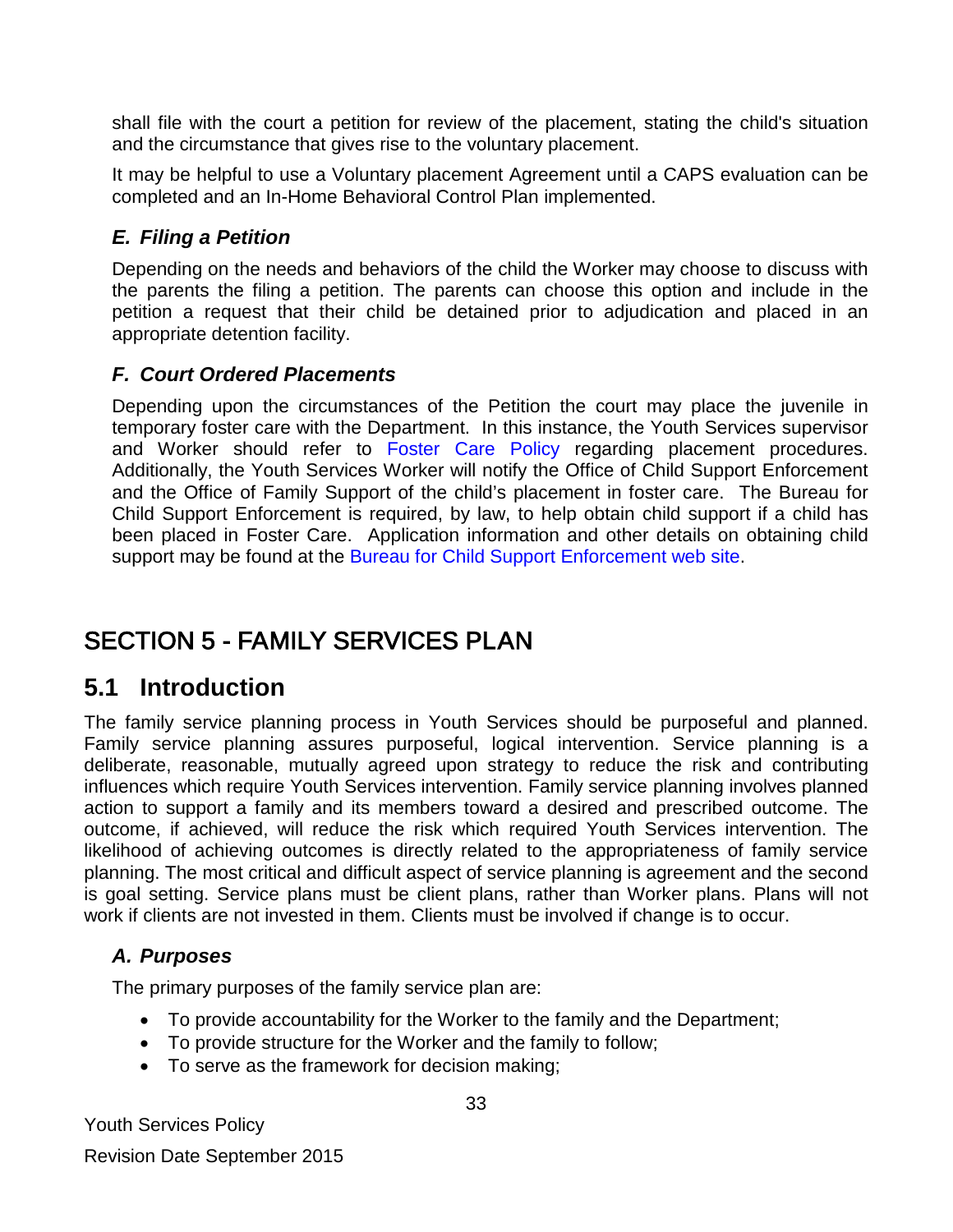shall file with the court a petition for review of the placement, stating the child's situation and the circumstance that gives rise to the voluntary placement.

It may be helpful to use a Voluntary placement Agreement until a CAPS evaluation can be completed and an In-Home Behavioral Control Plan implemented.

### *E. Filing a Petition*

Depending on the needs and behaviors of the child the Worker may choose to discuss with the parents the filing a petition. The parents can choose this option and include in the petition a request that their child be detained prior to adjudication and placed in an appropriate detention facility.

### *F. Court Ordered Placements*

Depending upon the circumstances of the Petition the court may place the juvenile in temporary foster care with the Department. In this instance, the Youth Services supervisor and Worker should refer to [Foster Care Policy](http://www.wvdhhr.org/bcf/children_adult/foster/documents/fostercarepolicy1-12.pdf) regarding placement procedures. Additionally, the Youth Services Worker will notify the Office of Child Support Enforcement and the Office of Family Support of the child's placement in foster care. The Bureau for Child Support Enforcement is required, by law, to help obtain child support if a child has been placed in Foster Care. Application information and other details on obtaining child support may be found at the [Bureau for Child Support Enforcement web site.](http://www.dhhr.wv.gov/bcse/application/Pages/default.aspx)

# <span id="page-32-0"></span>SECTION 5 - FAMILY SERVICES PLAN

### <span id="page-32-1"></span>**5.1 Introduction**

The family service planning process in Youth Services should be purposeful and planned. Family service planning assures purposeful, logical intervention. Service planning is a deliberate, reasonable, mutually agreed upon strategy to reduce the risk and contributing influences which require Youth Services intervention. Family service planning involves planned action to support a family and its members toward a desired and prescribed outcome. The outcome, if achieved, will reduce the risk which required Youth Services intervention. The likelihood of achieving outcomes is directly related to the appropriateness of family service planning. The most critical and difficult aspect of service planning is agreement and the second is goal setting. Service plans must be client plans, rather than Worker plans. Plans will not work if clients are not invested in them. Clients must be involved if change is to occur.

### *A. Purposes*

The primary purposes of the family service plan are:

- To provide accountability for the Worker to the family and the Department;
- To provide structure for the Worker and the family to follow;
- To serve as the framework for decision making;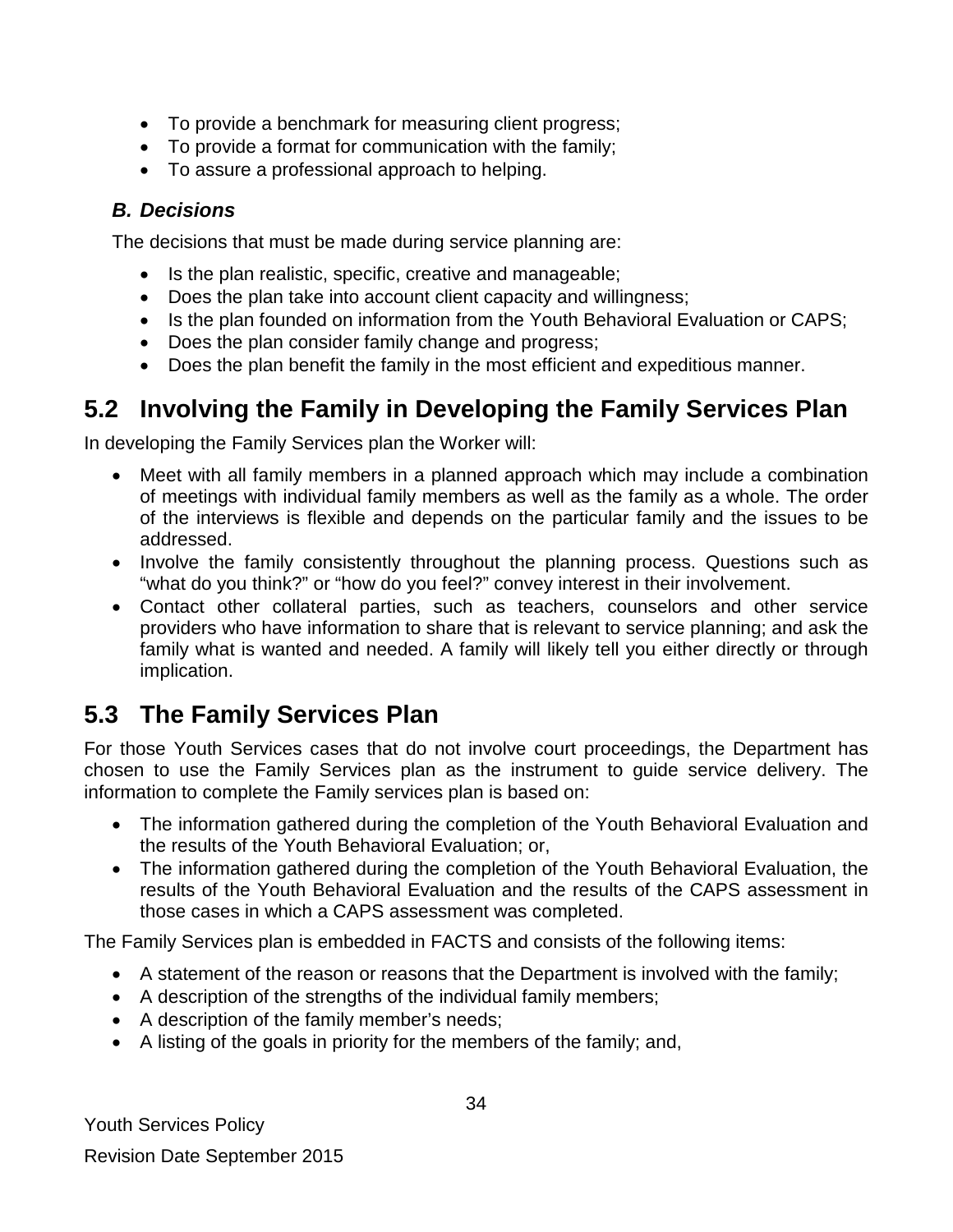- To provide a benchmark for measuring client progress;
- To provide a format for communication with the family;
- To assure a professional approach to helping.

### *B. Decisions*

The decisions that must be made during service planning are:

- Is the plan realistic, specific, creative and manageable;
- Does the plan take into account client capacity and willingness;
- Is the plan founded on information from the Youth Behavioral Evaluation or CAPS;
- Does the plan consider family change and progress;
- Does the plan benefit the family in the most efficient and expeditious manner.

# <span id="page-33-0"></span>**5.2 Involving the Family in Developing the Family Services Plan**

In developing the Family Services plan the Worker will:

- Meet with all family members in a planned approach which may include a combination of meetings with individual family members as well as the family as a whole. The order of the interviews is flexible and depends on the particular family and the issues to be addressed.
- Involve the family consistently throughout the planning process. Questions such as "what do you think?" or "how do you feel?" convey interest in their involvement.
- Contact other collateral parties, such as teachers, counselors and other service providers who have information to share that is relevant to service planning; and ask the family what is wanted and needed. A family will likely tell you either directly or through implication.

# <span id="page-33-1"></span>**5.3 The Family Services Plan**

For those Youth Services cases that do not involve court proceedings, the Department has chosen to use the Family Services plan as the instrument to guide service delivery. The information to complete the Family services plan is based on:

- The information gathered during the completion of the Youth Behavioral Evaluation and the results of the Youth Behavioral Evaluation; or,
- The information gathered during the completion of the Youth Behavioral Evaluation, the results of the Youth Behavioral Evaluation and the results of the CAPS assessment in those cases in which a CAPS assessment was completed.

The Family Services plan is embedded in FACTS and consists of the following items:

- A statement of the reason or reasons that the Department is involved with the family;
- A description of the strengths of the individual family members;
- A description of the family member's needs;
- A listing of the goals in priority for the members of the family; and,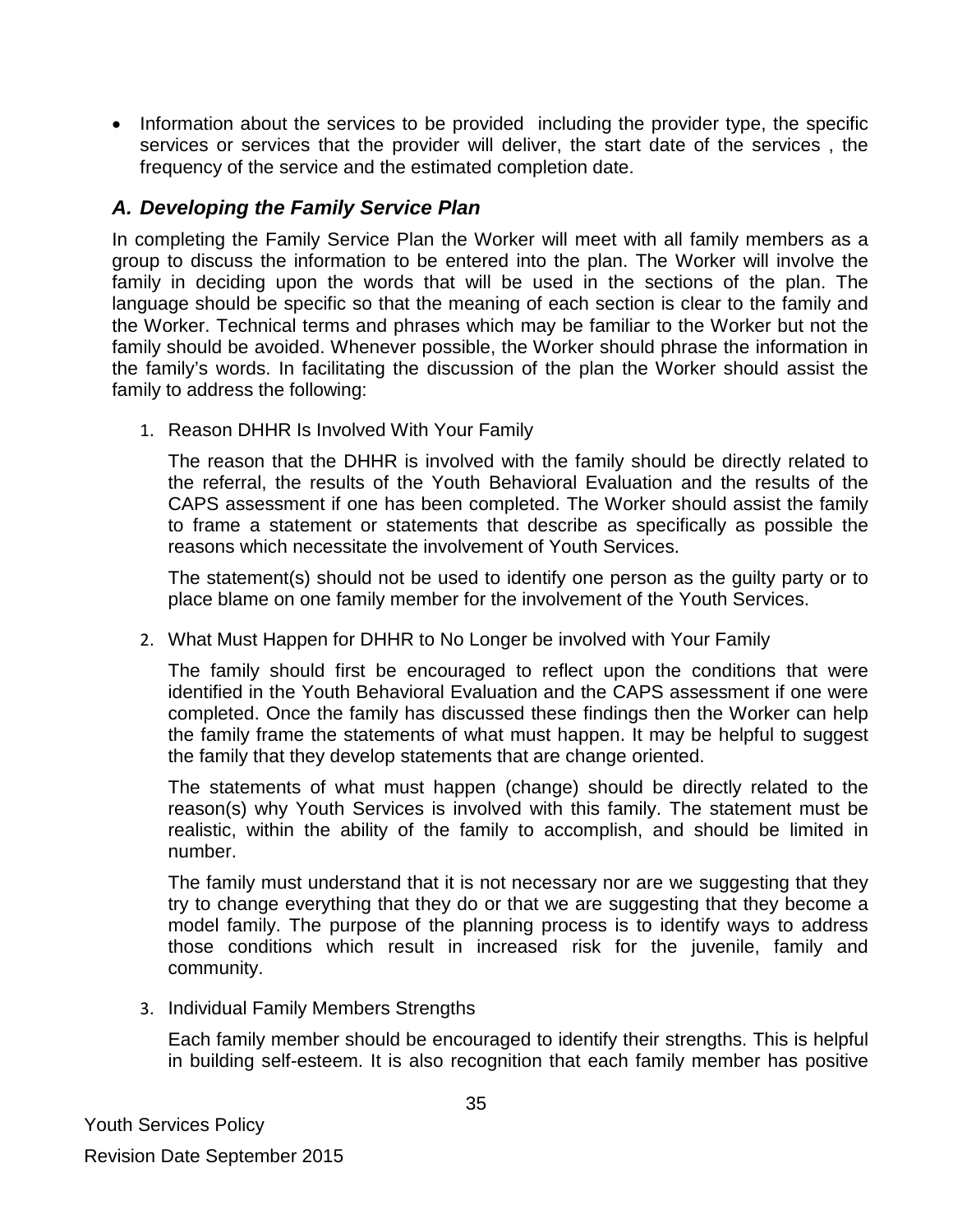• Information about the services to be provided including the provider type, the specific services or services that the provider will deliver, the start date of the services , the frequency of the service and the estimated completion date.

### *A. Developing the Family Service Plan*

In completing the Family Service Plan the Worker will meet with all family members as a group to discuss the information to be entered into the plan. The Worker will involve the family in deciding upon the words that will be used in the sections of the plan. The language should be specific so that the meaning of each section is clear to the family and the Worker. Technical terms and phrases which may be familiar to the Worker but not the family should be avoided. Whenever possible, the Worker should phrase the information in the family's words. In facilitating the discussion of the plan the Worker should assist the family to address the following:

1. Reason DHHR Is Involved With Your Family

The reason that the DHHR is involved with the family should be directly related to the referral, the results of the Youth Behavioral Evaluation and the results of the CAPS assessment if one has been completed. The Worker should assist the family to frame a statement or statements that describe as specifically as possible the reasons which necessitate the involvement of Youth Services.

The statement(s) should not be used to identify one person as the guilty party or to place blame on one family member for the involvement of the Youth Services.

2. What Must Happen for DHHR to No Longer be involved with Your Family

The family should first be encouraged to reflect upon the conditions that were identified in the Youth Behavioral Evaluation and the CAPS assessment if one were completed. Once the family has discussed these findings then the Worker can help the family frame the statements of what must happen. It may be helpful to suggest the family that they develop statements that are change oriented.

The statements of what must happen (change) should be directly related to the reason(s) why Youth Services is involved with this family. The statement must be realistic, within the ability of the family to accomplish, and should be limited in number.

The family must understand that it is not necessary nor are we suggesting that they try to change everything that they do or that we are suggesting that they become a model family. The purpose of the planning process is to identify ways to address those conditions which result in increased risk for the juvenile, family and community.

3. Individual Family Members Strengths

Each family member should be encouraged to identify their strengths. This is helpful in building self-esteem. It is also recognition that each family member has positive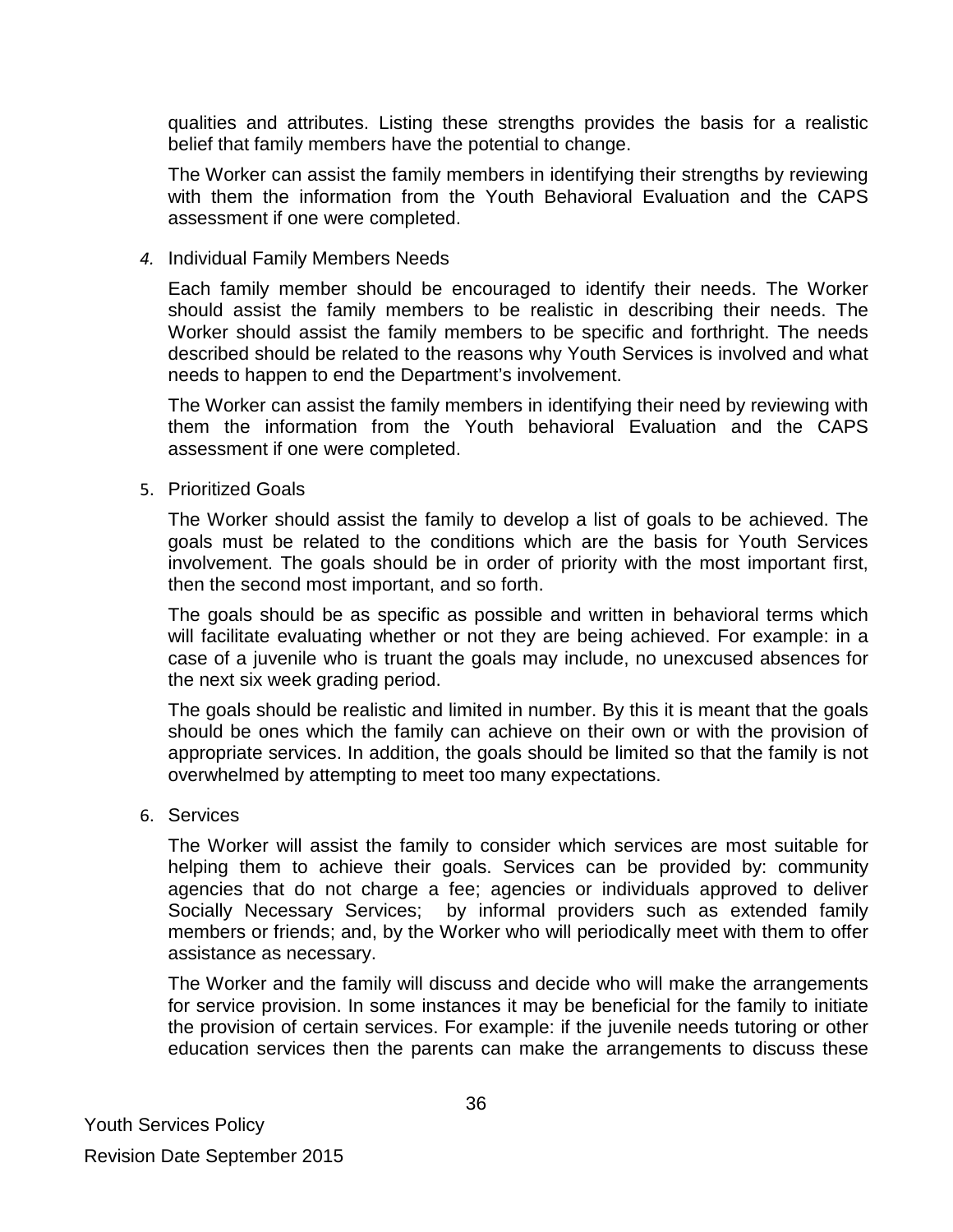qualities and attributes. Listing these strengths provides the basis for a realistic belief that family members have the potential to change.

The Worker can assist the family members in identifying their strengths by reviewing with them the information from the Youth Behavioral Evaluation and the CAPS assessment if one were completed.

#### *4.* Individual Family Members Needs

Each family member should be encouraged to identify their needs. The Worker should assist the family members to be realistic in describing their needs. The Worker should assist the family members to be specific and forthright. The needs described should be related to the reasons why Youth Services is involved and what needs to happen to end the Department's involvement.

The Worker can assist the family members in identifying their need by reviewing with them the information from the Youth behavioral Evaluation and the CAPS assessment if one were completed.

#### 5. Prioritized Goals

The Worker should assist the family to develop a list of goals to be achieved. The goals must be related to the conditions which are the basis for Youth Services involvement. The goals should be in order of priority with the most important first, then the second most important, and so forth.

The goals should be as specific as possible and written in behavioral terms which will facilitate evaluating whether or not they are being achieved. For example: in a case of a juvenile who is truant the goals may include, no unexcused absences for the next six week grading period.

The goals should be realistic and limited in number. By this it is meant that the goals should be ones which the family can achieve on their own or with the provision of appropriate services. In addition, the goals should be limited so that the family is not overwhelmed by attempting to meet too many expectations.

#### 6. Services

The Worker will assist the family to consider which services are most suitable for helping them to achieve their goals. Services can be provided by: community agencies that do not charge a fee; agencies or individuals approved to deliver Socially Necessary Services; by informal providers such as extended family members or friends; and, by the Worker who will periodically meet with them to offer assistance as necessary.

The Worker and the family will discuss and decide who will make the arrangements for service provision. In some instances it may be beneficial for the family to initiate the provision of certain services. For example: if the juvenile needs tutoring or other education services then the parents can make the arrangements to discuss these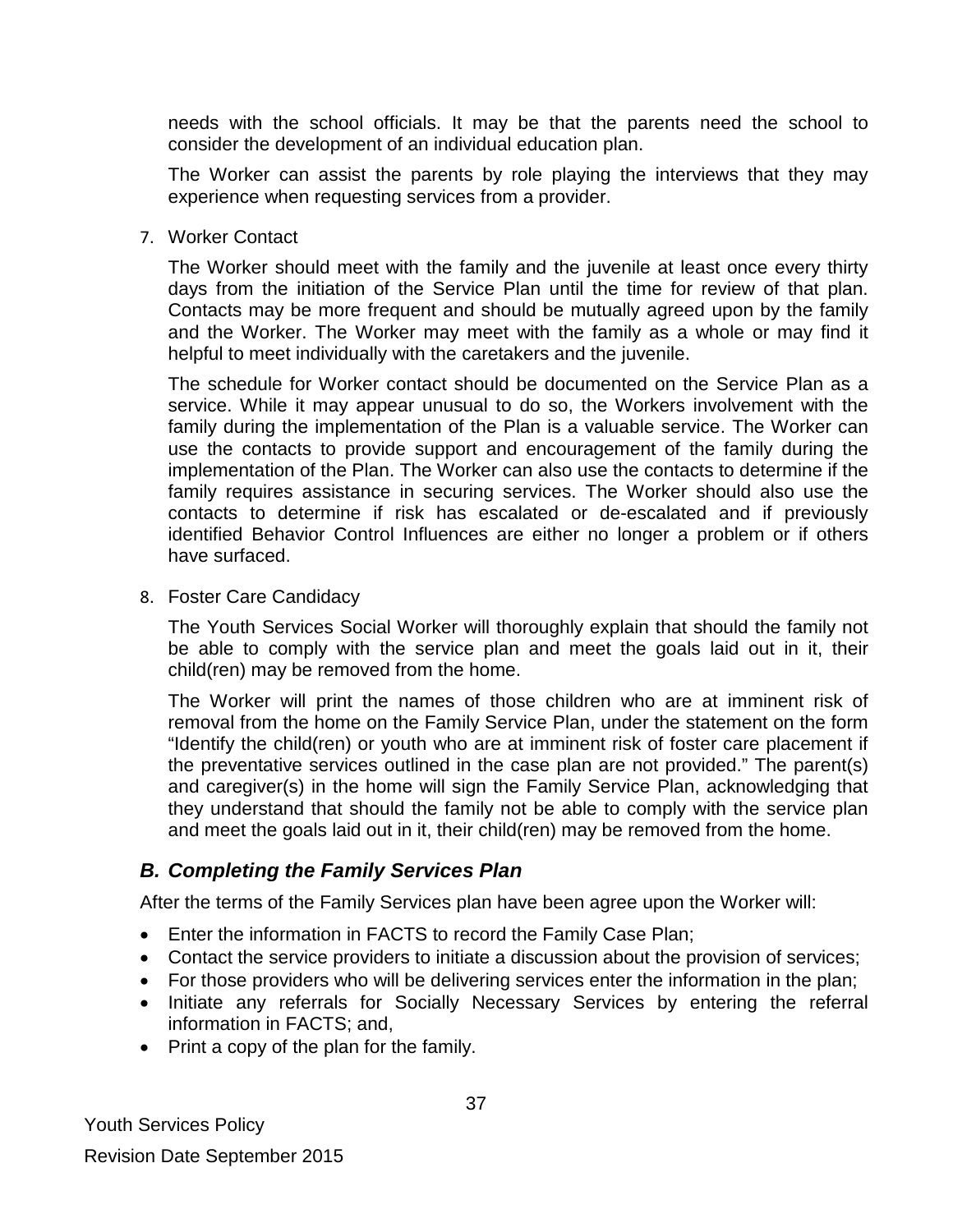needs with the school officials. It may be that the parents need the school to consider the development of an individual education plan.

The Worker can assist the parents by role playing the interviews that they may experience when requesting services from a provider.

7. Worker Contact

The Worker should meet with the family and the juvenile at least once every thirty days from the initiation of the Service Plan until the time for review of that plan. Contacts may be more frequent and should be mutually agreed upon by the family and the Worker. The Worker may meet with the family as a whole or may find it helpful to meet individually with the caretakers and the juvenile.

The schedule for Worker contact should be documented on the Service Plan as a service. While it may appear unusual to do so, the Workers involvement with the family during the implementation of the Plan is a valuable service. The Worker can use the contacts to provide support and encouragement of the family during the implementation of the Plan. The Worker can also use the contacts to determine if the family requires assistance in securing services. The Worker should also use the contacts to determine if risk has escalated or de-escalated and if previously identified Behavior Control Influences are either no longer a problem or if others have surfaced.

8. Foster Care Candidacy

The Youth Services Social Worker will thoroughly explain that should the family not be able to comply with the service plan and meet the goals laid out in it, their child(ren) may be removed from the home.

The Worker will print the names of those children who are at imminent risk of removal from the home on the Family Service Plan, under the statement on the form "Identify the child(ren) or youth who are at imminent risk of foster care placement if the preventative services outlined in the case plan are not provided." The parent(s) and caregiver(s) in the home will sign the Family Service Plan, acknowledging that they understand that should the family not be able to comply with the service plan and meet the goals laid out in it, their child(ren) may be removed from the home.

### *B. Completing the Family Services Plan*

After the terms of the Family Services plan have been agree upon the Worker will:

- Enter the information in FACTS to record the Family Case Plan;
- Contact the service providers to initiate a discussion about the provision of services;
- For those providers who will be delivering services enter the information in the plan;
- Initiate any referrals for Socially Necessary Services by entering the referral information in FACTS; and,
- Print a copy of the plan for the family.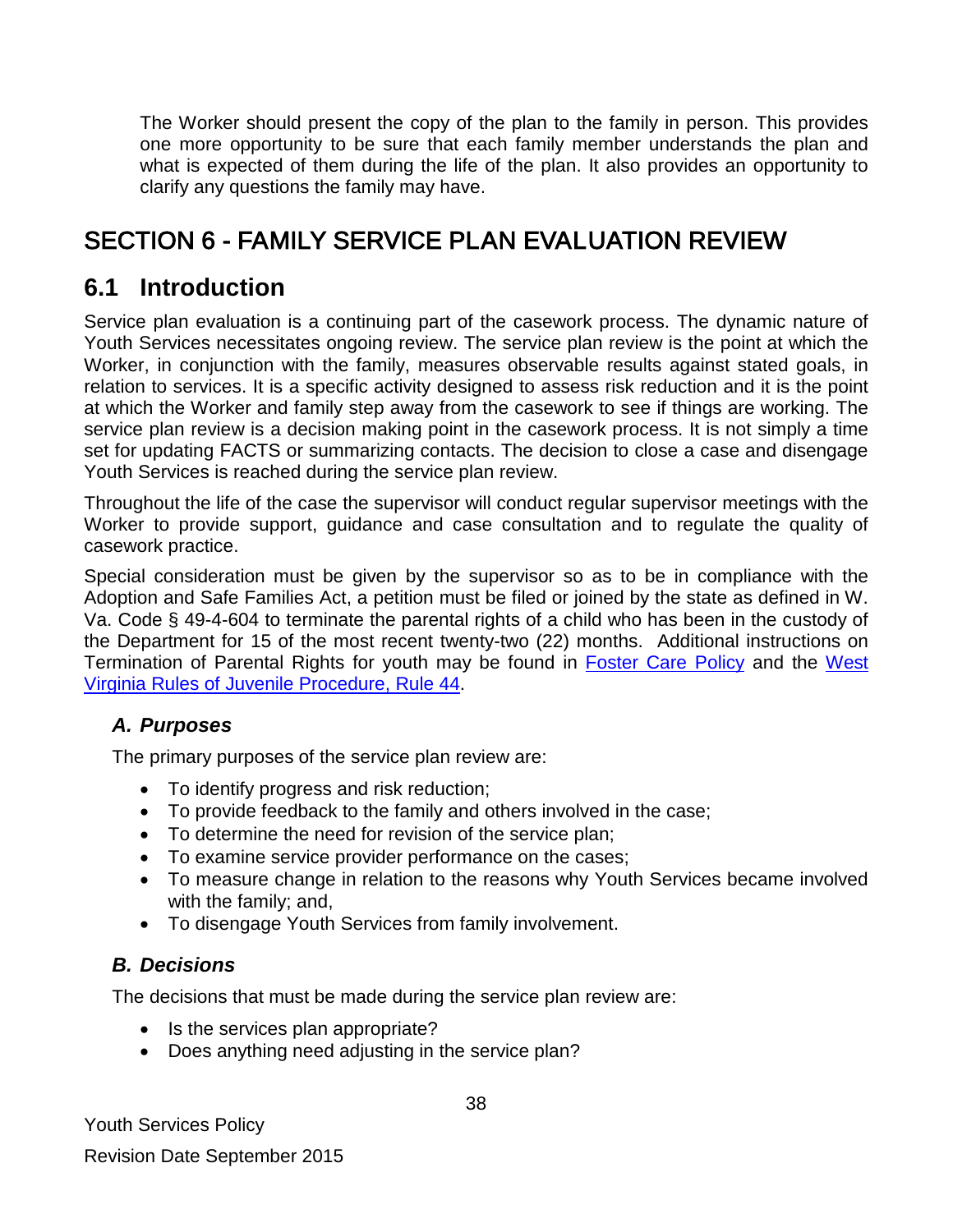The Worker should present the copy of the plan to the family in person. This provides one more opportunity to be sure that each family member understands the plan and what is expected of them during the life of the plan. It also provides an opportunity to clarify any questions the family may have.

# <span id="page-37-0"></span>SECTION 6 - FAMILY SERVICE PLAN EVALUATION REVIEW

### <span id="page-37-1"></span>**6.1 Introduction**

Service plan evaluation is a continuing part of the casework process. The dynamic nature of Youth Services necessitates ongoing review. The service plan review is the point at which the Worker, in conjunction with the family, measures observable results against stated goals, in relation to services. It is a specific activity designed to assess risk reduction and it is the point at which the Worker and family step away from the casework to see if things are working. The service plan review is a decision making point in the casework process. It is not simply a time set for updating FACTS or summarizing contacts. The decision to close a case and disengage Youth Services is reached during the service plan review.

Throughout the life of the case the supervisor will conduct regular supervisor meetings with the Worker to provide support, guidance and case consultation and to regulate the quality of casework practice.

Special consideration must be given by the supervisor so as to be in compliance with the Adoption and Safe Families Act, a petition must be filed or joined by the state as defined in W. Va. Code § 49-4-604 to terminate the parental rights of a child who has been in the custody of the Department for 15 of the most recent twenty-two (22) months. Additional instructions on Termination of Parental Rights for youth may be found in [Foster Care Policy](http://www.wvdhhr.org/bcf/children_adult/foster/documents/fostercarepolicy1-12.pdf) and the [West](http://www.courtswv.gov/legal-community/court-rules/juvenile-procedure/juvenile-rules41-51.html)  Virginia [Rules of Juvenile Procedure, Rule 44.](http://www.courtswv.gov/legal-community/court-rules/juvenile-procedure/juvenile-rules41-51.html)

### *A. Purposes*

The primary purposes of the service plan review are:

- To identify progress and risk reduction;
- To provide feedback to the family and others involved in the case;
- To determine the need for revision of the service plan;
- To examine service provider performance on the cases;
- To measure change in relation to the reasons why Youth Services became involved with the family; and,
- To disengage Youth Services from family involvement.

### *B. Decisions*

The decisions that must be made during the service plan review are:

- Is the services plan appropriate?
- Does anything need adjusting in the service plan?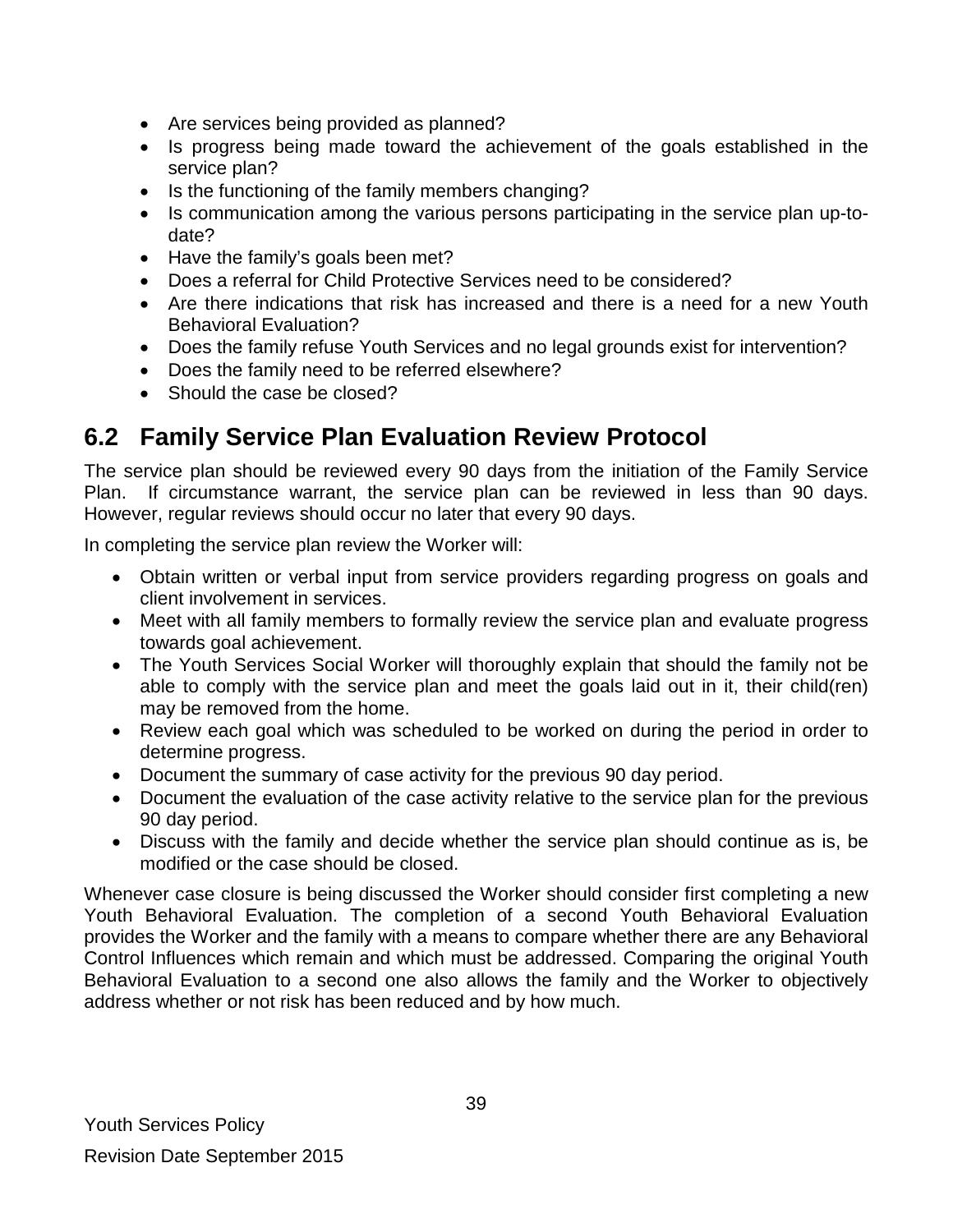- Are services being provided as planned?
- Is progress being made toward the achievement of the goals established in the service plan?
- Is the functioning of the family members changing?
- Is communication among the various persons participating in the service plan up-todate?
- Have the family's goals been met?
- Does a referral for Child Protective Services need to be considered?
- Are there indications that risk has increased and there is a need for a new Youth Behavioral Evaluation?
- Does the family refuse Youth Services and no legal grounds exist for intervention?
- Does the family need to be referred elsewhere?
- Should the case be closed?

### <span id="page-38-0"></span>**6.2 Family Service Plan Evaluation Review Protocol**

The service plan should be reviewed every 90 days from the initiation of the Family Service Plan. If circumstance warrant, the service plan can be reviewed in less than 90 days. However, regular reviews should occur no later that every 90 days.

In completing the service plan review the Worker will:

- Obtain written or verbal input from service providers regarding progress on goals and client involvement in services.
- Meet with all family members to formally review the service plan and evaluate progress towards goal achievement.
- The Youth Services Social Worker will thoroughly explain that should the family not be able to comply with the service plan and meet the goals laid out in it, their child(ren) may be removed from the home.
- Review each goal which was scheduled to be worked on during the period in order to determine progress.
- Document the summary of case activity for the previous 90 day period.
- Document the evaluation of the case activity relative to the service plan for the previous 90 day period.
- Discuss with the family and decide whether the service plan should continue as is, be modified or the case should be closed.

Whenever case closure is being discussed the Worker should consider first completing a new Youth Behavioral Evaluation. The completion of a second Youth Behavioral Evaluation provides the Worker and the family with a means to compare whether there are any Behavioral Control Influences which remain and which must be addressed. Comparing the original Youth Behavioral Evaluation to a second one also allows the family and the Worker to objectively address whether or not risk has been reduced and by how much.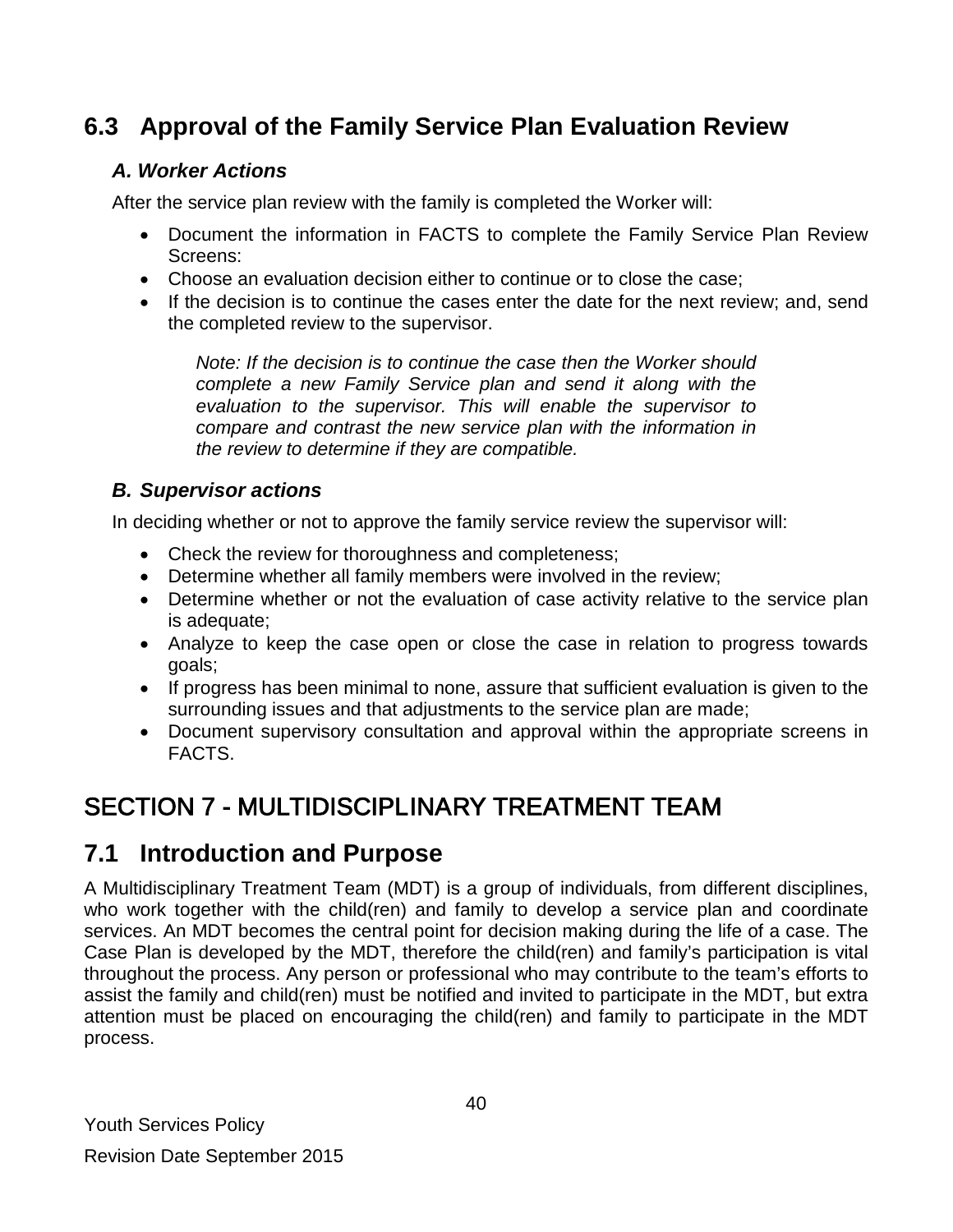# <span id="page-39-0"></span>**6.3 Approval of the Family Service Plan Evaluation Review**

### *A. Worker Actions*

After the service plan review with the family is completed the Worker will:

- Document the information in FACTS to complete the Family Service Plan Review Screens:
- Choose an evaluation decision either to continue or to close the case;
- If the decision is to continue the cases enter the date for the next review; and, send the completed review to the supervisor.

*Note: If the decision is to continue the case then the Worker should complete a new Family Service plan and send it along with the evaluation to the supervisor. This will enable the supervisor to compare and contrast the new service plan with the information in the review to determine if they are compatible.* 

### *B. Supervisor actions*

In deciding whether or not to approve the family service review the supervisor will:

- Check the review for thoroughness and completeness;
- Determine whether all family members were involved in the review;
- Determine whether or not the evaluation of case activity relative to the service plan is adequate;
- Analyze to keep the case open or close the case in relation to progress towards goals;
- If progress has been minimal to none, assure that sufficient evaluation is given to the surrounding issues and that adjustments to the service plan are made;
- Document supervisory consultation and approval within the appropriate screens in FACTS.

# <span id="page-39-1"></span>SECTION 7 - MULTIDISCIPLINARY TREATMENT TEAM

# <span id="page-39-2"></span>**7.1 Introduction and Purpose**

A Multidisciplinary Treatment Team (MDT) is a group of individuals, from different disciplines, who work together with the child(ren) and family to develop a service plan and coordinate services. An MDT becomes the central point for decision making during the life of a case. The Case Plan is developed by the MDT, therefore the child(ren) and family's participation is vital throughout the process. Any person or professional who may contribute to the team's efforts to assist the family and child(ren) must be notified and invited to participate in the MDT, but extra attention must be placed on encouraging the child(ren) and family to participate in the MDT process.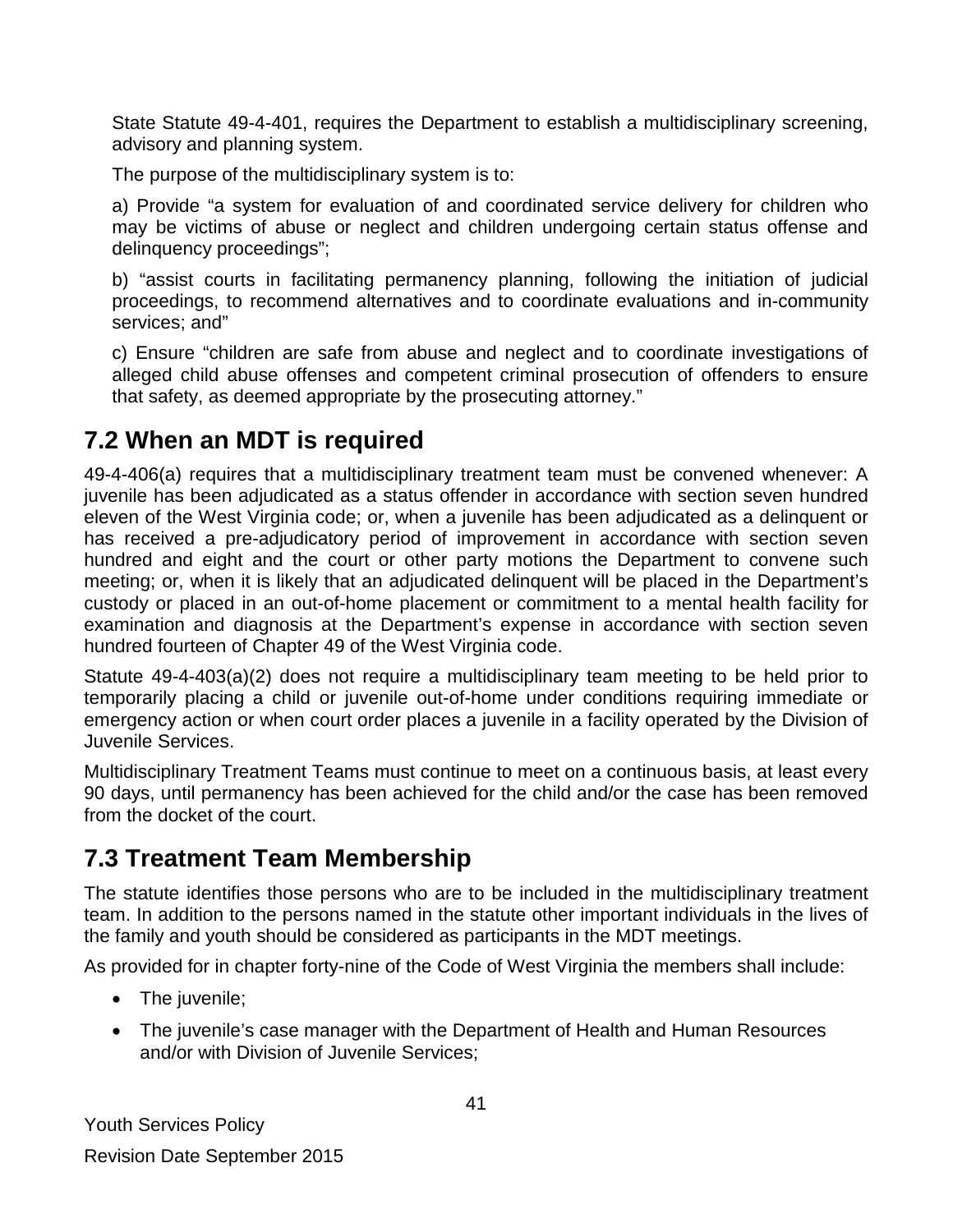State Statute 49-4-401, requires the Department to establish a multidisciplinary screening, advisory and planning system.

The purpose of the multidisciplinary system is to:

a) Provide "a system for evaluation of and coordinated service delivery for children who may be victims of abuse or neglect and children undergoing certain status offense and delinquency proceedings";

b) "assist courts in facilitating permanency planning, following the initiation of judicial proceedings, to recommend alternatives and to coordinate evaluations and in-community services; and"

c) Ensure "children are safe from abuse and neglect and to coordinate investigations of alleged child abuse offenses and competent criminal prosecution of offenders to ensure that safety, as deemed appropriate by the prosecuting attorney."

# <span id="page-40-0"></span>**7.2 When an MDT is required**

49-4-406(a) requires that a multidisciplinary treatment team must be convened whenever: A juvenile has been adjudicated as a status offender in accordance with section seven hundred eleven of the West Virginia code; or, when a juvenile has been adjudicated as a delinquent or has received a pre-adjudicatory period of improvement in accordance with section seven hundred and eight and the court or other party motions the Department to convene such meeting; or, when it is likely that an adjudicated delinquent will be placed in the Department's custody or placed in an out-of-home placement or commitment to a mental health facility for examination and diagnosis at the Department's expense in accordance with section seven hundred fourteen of Chapter 49 of the West Virginia code.

Statute 49-4-403(a)(2) does not require a multidisciplinary team meeting to be held prior to temporarily placing a child or juvenile out-of-home under conditions requiring immediate or emergency action or when court order places a juvenile in a facility operated by the Division of Juvenile Services.

Multidisciplinary Treatment Teams must continue to meet on a continuous basis, at least every 90 days, until permanency has been achieved for the child and/or the case has been removed from the docket of the court.

# <span id="page-40-1"></span>**7.3 Treatment Team Membership**

The statute identifies those persons who are to be included in the multidisciplinary treatment team. In addition to the persons named in the statute other important individuals in the lives of the family and youth should be considered as participants in the MDT meetings.

As provided for in chapter forty-nine of the Code of West Virginia the members shall include:

- The juvenile;
- The juvenile's case manager with the Department of Health and Human Resources and/or with Division of Juvenile Services;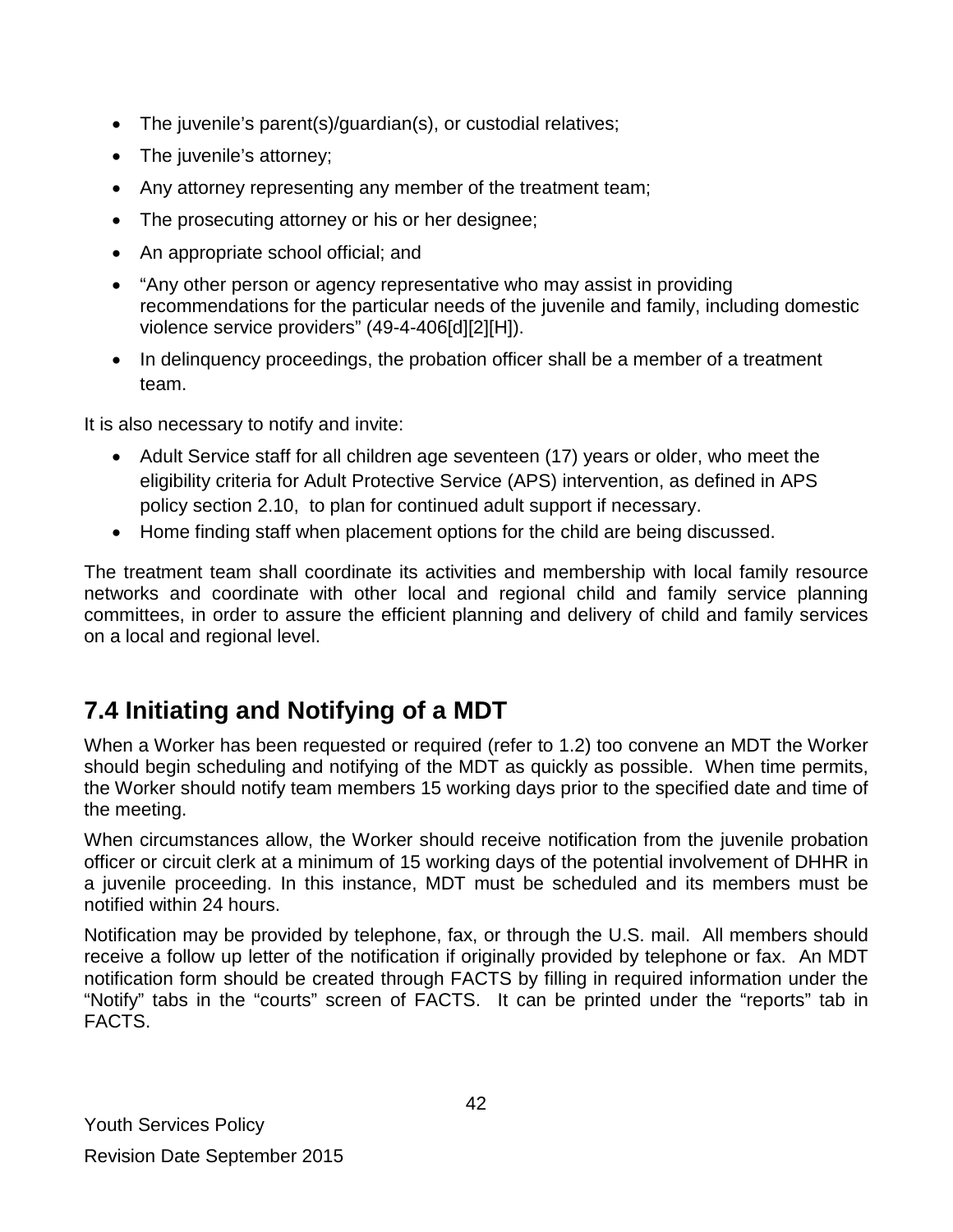- The juvenile's parent(s)/guardian(s), or custodial relatives;
- The juvenile's attorney;
- Any attorney representing any member of the treatment team;
- The prosecuting attorney or his or her designee;
- An appropriate school official; and
- "Any other person or agency representative who may assist in providing recommendations for the particular needs of the juvenile and family, including domestic violence service providers" (49-4-406[d][2][H]).
- In delinquency proceedings, the probation officer shall be a member of a treatment team.

It is also necessary to notify and invite:

- Adult Service staff for all children age seventeen (17) years or older, who meet the eligibility criteria for Adult Protective Service (APS) intervention, as defined in APS policy section 2.10, to plan for continued adult support if necessary.
- Home finding staff when placement options for the child are being discussed.

The treatment team shall coordinate its activities and membership with local family resource networks and coordinate with other local and regional child and family service planning committees, in order to assure the efficient planning and delivery of child and family services on a local and regional level.

# <span id="page-41-0"></span>**7.4 Initiating and Notifying of a MDT**

When a Worker has been requested or required (refer to 1.2) too convene an MDT the Worker should begin scheduling and notifying of the MDT as quickly as possible. When time permits, the Worker should notify team members 15 working days prior to the specified date and time of the meeting.

When circumstances allow, the Worker should receive notification from the juvenile probation officer or circuit clerk at a minimum of 15 working days of the potential involvement of DHHR in a juvenile proceeding. In this instance, MDT must be scheduled and its members must be notified within 24 hours.

Notification may be provided by telephone, fax, or through the U.S. mail. All members should receive a follow up letter of the notification if originally provided by telephone or fax. An MDT notification form should be created through FACTS by filling in required information under the "Notify" tabs in the "courts" screen of FACTS. It can be printed under the "reports" tab in FACTS.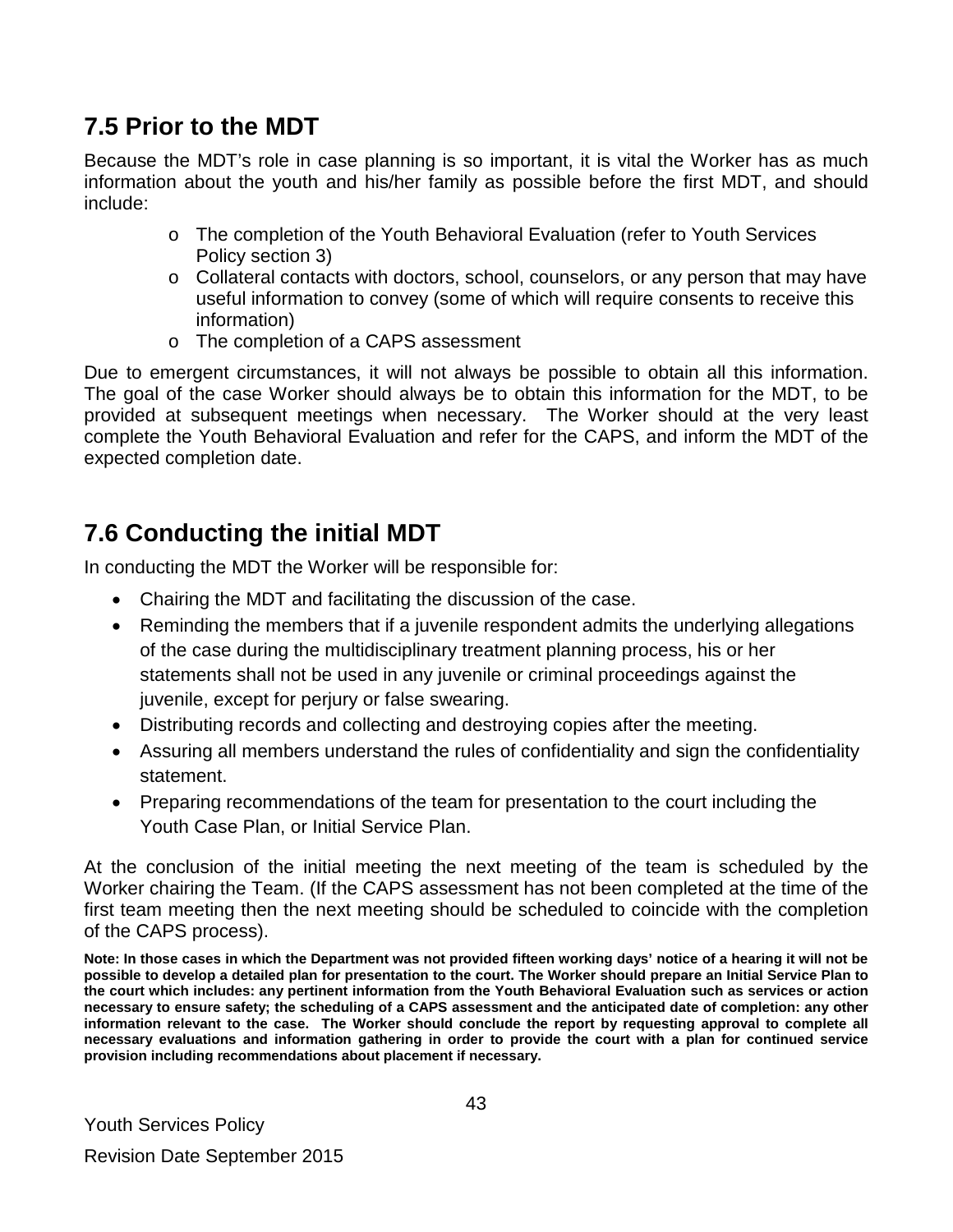### <span id="page-42-0"></span>**7.5 Prior to the MDT**

Because the MDT's role in case planning is so important, it is vital the Worker has as much information about the youth and his/her family as possible before the first MDT, and should include:

- o The completion of the Youth Behavioral Evaluation (refer to Youth Services Policy section 3)
- $\circ$  Collateral contacts with doctors, school, counselors, or any person that may have useful information to convey (some of which will require consents to receive this information)
- o The completion of a CAPS assessment

Due to emergent circumstances, it will not always be possible to obtain all this information. The goal of the case Worker should always be to obtain this information for the MDT, to be provided at subsequent meetings when necessary. The Worker should at the very least complete the Youth Behavioral Evaluation and refer for the CAPS, and inform the MDT of the expected completion date.

# <span id="page-42-1"></span>**7.6 Conducting the initial MDT**

In conducting the MDT the Worker will be responsible for:

- Chairing the MDT and facilitating the discussion of the case.
- Reminding the members that if a juvenile respondent admits the underlying allegations of the case during the multidisciplinary treatment planning process, his or her statements shall not be used in any juvenile or criminal proceedings against the juvenile, except for perjury or false swearing.
- Distributing records and collecting and destroying copies after the meeting.
- Assuring all members understand the rules of confidentiality and sign the confidentiality statement.
- Preparing recommendations of the team for presentation to the court including the Youth Case Plan, or Initial Service Plan.

At the conclusion of the initial meeting the next meeting of the team is scheduled by the Worker chairing the Team. (If the CAPS assessment has not been completed at the time of the first team meeting then the next meeting should be scheduled to coincide with the completion of the CAPS process).

**Note: In those cases in which the Department was not provided fifteen working days' notice of a hearing it will not be possible to develop a detailed plan for presentation to the court. The Worker should prepare an Initial Service Plan to the court which includes: any pertinent information from the Youth Behavioral Evaluation such as services or action necessary to ensure safety; the scheduling of a CAPS assessment and the anticipated date of completion: any other information relevant to the case. The Worker should conclude the report by requesting approval to complete all necessary evaluations and information gathering in order to provide the court with a plan for continued service provision including recommendations about placement if necessary.**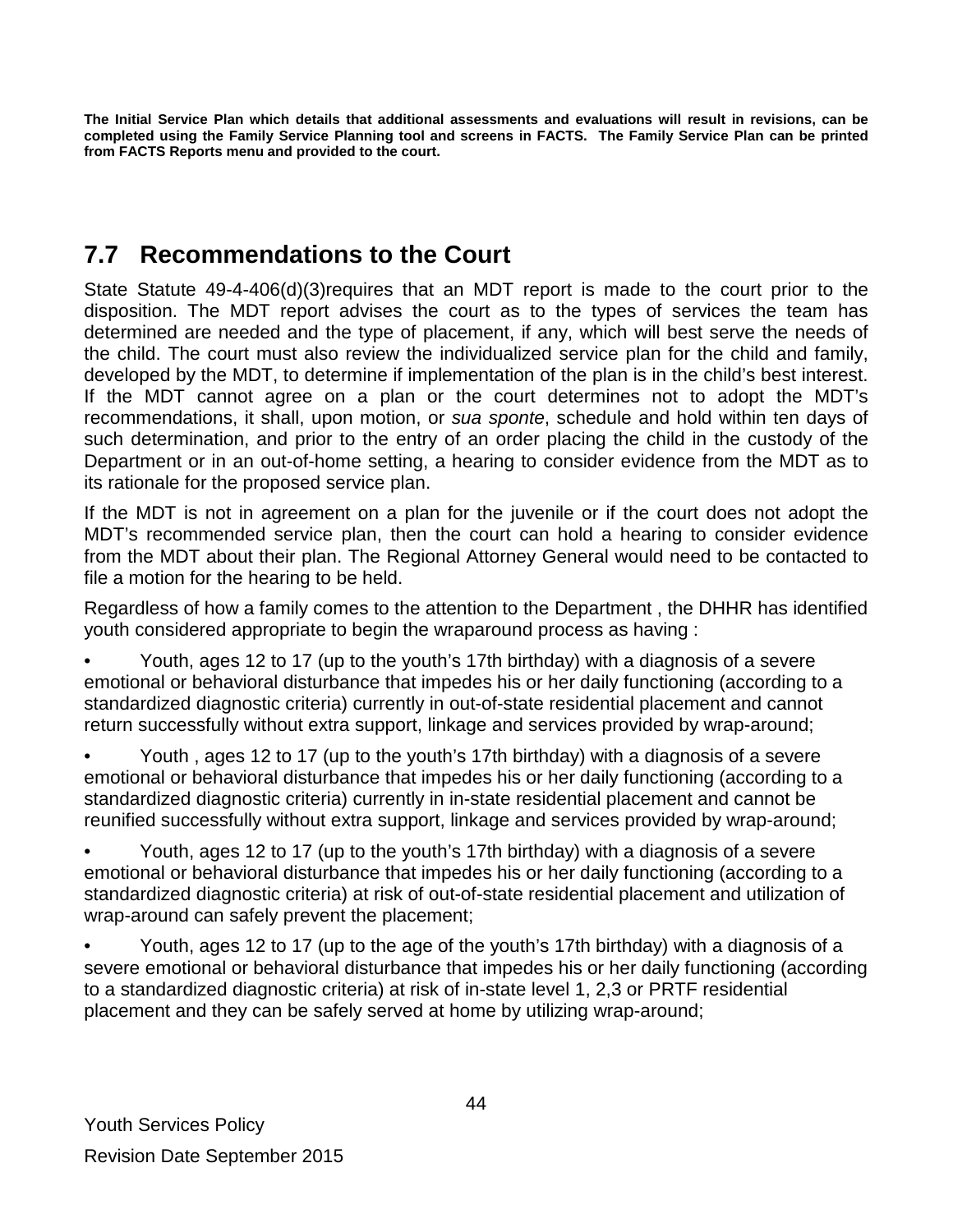**The Initial Service Plan which details that additional assessments and evaluations will result in revisions, can be completed using the Family Service Planning tool and screens in FACTS. The Family Service Plan can be printed from FACTS Reports menu and provided to the court.**

### <span id="page-43-0"></span>**7.7 Recommendations to the Court**

State Statute 49-4-406(d)(3)requires that an MDT report is made to the court prior to the disposition. The MDT report advises the court as to the types of services the team has determined are needed and the type of placement, if any, which will best serve the needs of the child. The court must also review the individualized service plan for the child and family, developed by the MDT, to determine if implementation of the plan is in the child's best interest. If the MDT cannot agree on a plan or the court determines not to adopt the MDT's recommendations, it shall, upon motion, or *sua sponte*, schedule and hold within ten days of such determination, and prior to the entry of an order placing the child in the custody of the Department or in an out-of-home setting, a hearing to consider evidence from the MDT as to its rationale for the proposed service plan.

If the MDT is not in agreement on a plan for the juvenile or if the court does not adopt the MDT's recommended service plan, then the court can hold a hearing to consider evidence from the MDT about their plan. The Regional Attorney General would need to be contacted to file a motion for the hearing to be held.

Regardless of how a family comes to the attention to the Department , the DHHR has identified youth considered appropriate to begin the wraparound process as having :

• Youth, ages 12 to 17 (up to the youth's 17th birthday) with a diagnosis of a severe emotional or behavioral disturbance that impedes his or her daily functioning (according to a standardized diagnostic criteria) currently in out-of-state residential placement and cannot return successfully without extra support, linkage and services provided by wrap-around;

• Youth , ages 12 to 17 (up to the youth's 17th birthday) with a diagnosis of a severe emotional or behavioral disturbance that impedes his or her daily functioning (according to a standardized diagnostic criteria) currently in in-state residential placement and cannot be reunified successfully without extra support, linkage and services provided by wrap-around;

• Youth, ages 12 to 17 (up to the youth's 17th birthday) with a diagnosis of a severe emotional or behavioral disturbance that impedes his or her daily functioning (according to a standardized diagnostic criteria) at risk of out-of-state residential placement and utilization of wrap-around can safely prevent the placement;

• Youth, ages 12 to 17 (up to the age of the youth's 17th birthday) with a diagnosis of a severe emotional or behavioral disturbance that impedes his or her daily functioning (according to a standardized diagnostic criteria) at risk of in-state level 1, 2,3 or PRTF residential placement and they can be safely served at home by utilizing wrap-around;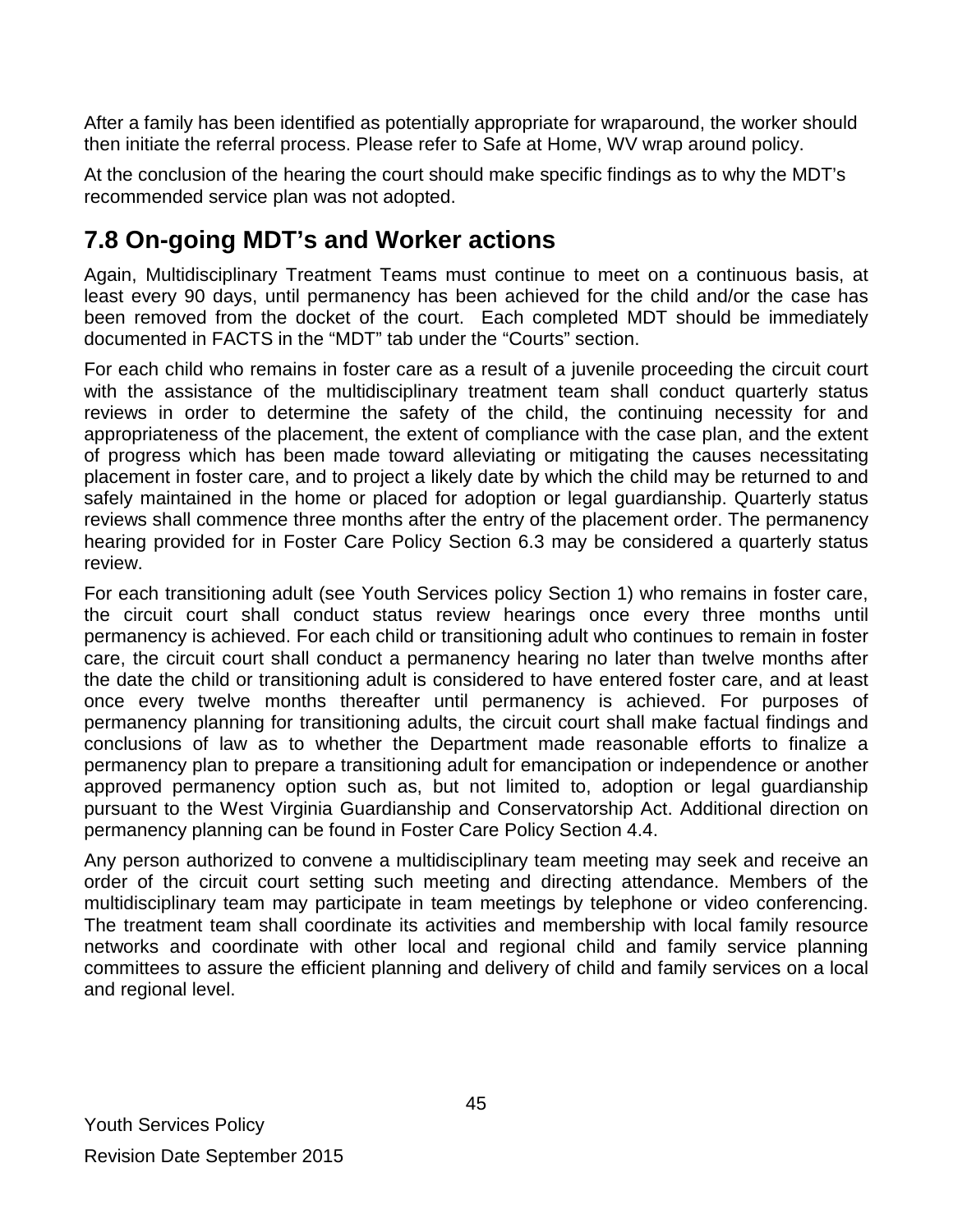After a family has been identified as potentially appropriate for wraparound, the worker should then initiate the referral process. Please refer to Safe at Home, WV wrap around policy.

At the conclusion of the hearing the court should make specific findings as to why the MDT's recommended service plan was not adopted.

# <span id="page-44-0"></span>**7.8 On-going MDT's and Worker actions**

Again, Multidisciplinary Treatment Teams must continue to meet on a continuous basis, at least every 90 days, until permanency has been achieved for the child and/or the case has been removed from the docket of the court. Each completed MDT should be immediately documented in FACTS in the "MDT" tab under the "Courts" section.

For each child who remains in foster care as a result of a juvenile proceeding the circuit court with the assistance of the multidisciplinary treatment team shall conduct quarterly status reviews in order to determine the safety of the child, the continuing necessity for and appropriateness of the placement, the extent of compliance with the case plan, and the extent of progress which has been made toward alleviating or mitigating the causes necessitating placement in foster care, and to project a likely date by which the child may be returned to and safely maintained in the home or placed for adoption or legal guardianship. Quarterly status reviews shall commence three months after the entry of the placement order. The permanency hearing provided for in Foster Care Policy Section 6.3 may be considered a quarterly status review.

For each transitioning adult (see Youth Services policy Section 1) who remains in foster care, the circuit court shall conduct status review hearings once every three months until permanency is achieved. For each child or transitioning adult who continues to remain in foster care, the circuit court shall conduct a permanency hearing no later than twelve months after the date the child or transitioning adult is considered to have entered foster care, and at least once every twelve months thereafter until permanency is achieved. For purposes of permanency planning for transitioning adults, the circuit court shall make factual findings and conclusions of law as to whether the Department made reasonable efforts to finalize a permanency plan to prepare a transitioning adult for emancipation or independence or another approved permanency option such as, but not limited to, adoption or legal guardianship pursuant to the West Virginia Guardianship and Conservatorship Act. Additional direction on permanency planning can be found in Foster Care Policy Section 4.4.

Any person authorized to convene a multidisciplinary team meeting may seek and receive an order of the circuit court setting such meeting and directing attendance. Members of the multidisciplinary team may participate in team meetings by telephone or video conferencing. The treatment team shall coordinate its activities and membership with local family resource networks and coordinate with other local and regional child and family service planning committees to assure the efficient planning and delivery of child and family services on a local and regional level.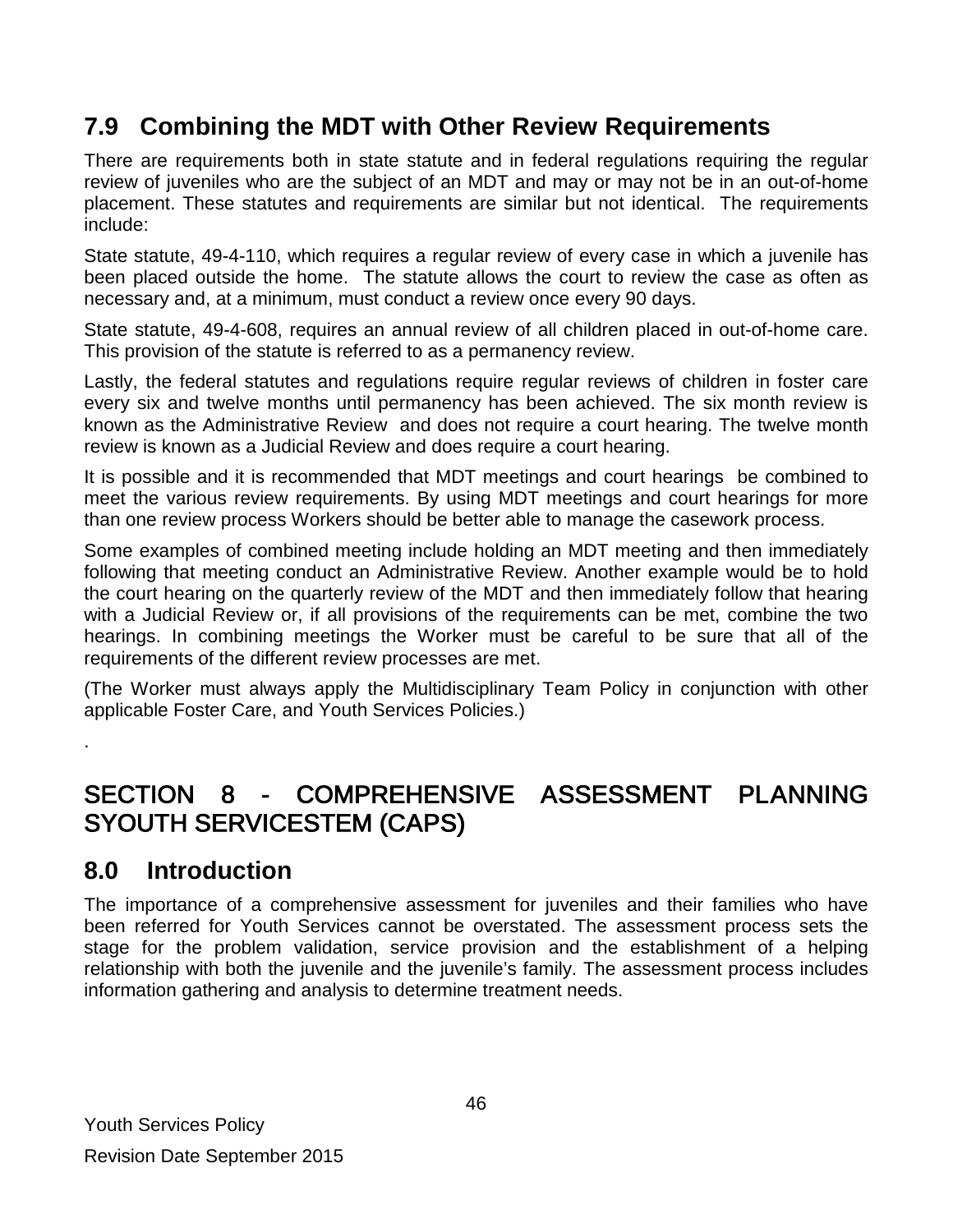### <span id="page-45-0"></span>**7.9 Combining the MDT with Other Review Requirements**

There are requirements both in state statute and in federal regulations requiring the regular review of juveniles who are the subject of an MDT and may or may not be in an out-of-home placement. These statutes and requirements are similar but not identical. The requirements include:

State statute, 49-4-110, which requires a regular review of every case in which a juvenile has been placed outside the home. The statute allows the court to review the case as often as necessary and, at a minimum, must conduct a review once every 90 days.

State statute, 49-4-608, requires an annual review of all children placed in out-of-home care. This provision of the statute is referred to as a permanency review.

Lastly, the federal statutes and regulations require regular reviews of children in foster care every six and twelve months until permanency has been achieved. The six month review is known as the Administrative Review and does not require a court hearing. The twelve month review is known as a Judicial Review and does require a court hearing.

It is possible and it is recommended that MDT meetings and court hearings be combined to meet the various review requirements. By using MDT meetings and court hearings for more than one review process Workers should be better able to manage the casework process.

Some examples of combined meeting include holding an MDT meeting and then immediately following that meeting conduct an Administrative Review. Another example would be to hold the court hearing on the quarterly review of the MDT and then immediately follow that hearing with a Judicial Review or, if all provisions of the requirements can be met, combine the two hearings. In combining meetings the Worker must be careful to be sure that all of the requirements of the different review processes are met.

(The Worker must always apply the Multidisciplinary Team Policy in conjunction with other applicable Foster Care, and Youth Services Policies.)

### <span id="page-45-1"></span>SECTION 8 - COMPREHENSIVE ASSESSMENT PLANNING SYOUTH SERVICESTEM (CAPS)

### <span id="page-45-2"></span>**8.0 Introduction**

.

The importance of a comprehensive assessment for juveniles and their families who have been referred for Youth Services cannot be overstated. The assessment process sets the stage for the problem validation, service provision and the establishment of a helping relationship with both the juvenile and the juvenile's family. The assessment process includes information gathering and analysis to determine treatment needs.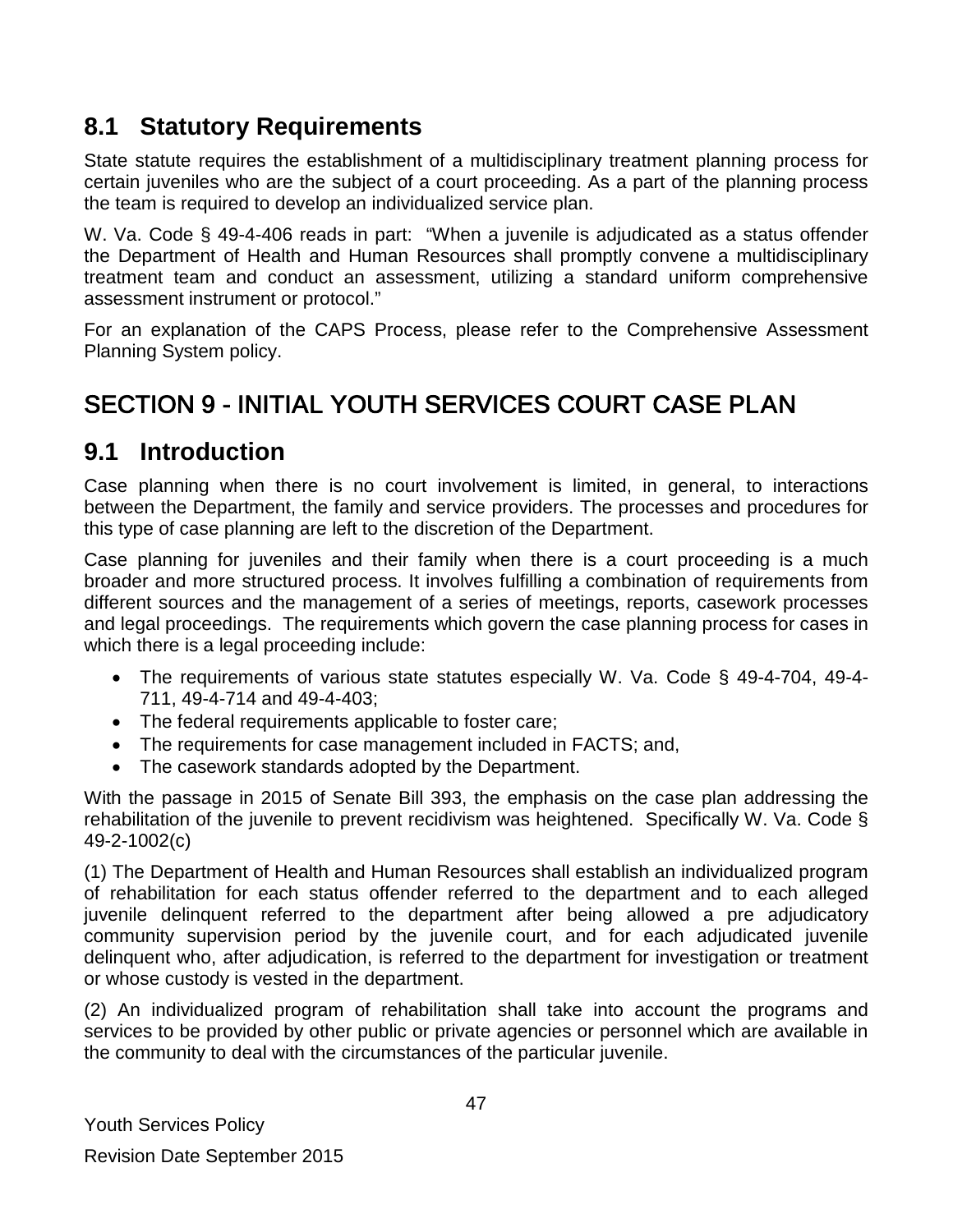### <span id="page-46-0"></span>**8.1 Statutory Requirements**

State statute requires the establishment of a multidisciplinary treatment planning process for certain juveniles who are the subject of a court proceeding. As a part of the planning process the team is required to develop an individualized service plan.

W. Va. Code § 49-4-406 reads in part: "When a juvenile is adjudicated as a status offender the Department of Health and Human Resources shall promptly convene a multidisciplinary treatment team and conduct an assessment, utilizing a standard uniform comprehensive assessment instrument or protocol."

For an explanation of the CAPS Process, please refer to the Comprehensive Assessment Planning System policy.

# <span id="page-46-1"></span>SECTION 9 - INITIAL YOUTH SERVICES COURT CASE PLAN

### <span id="page-46-2"></span>**9.1 Introduction**

Case planning when there is no court involvement is limited, in general, to interactions between the Department, the family and service providers. The processes and procedures for this type of case planning are left to the discretion of the Department.

Case planning for juveniles and their family when there is a court proceeding is a much broader and more structured process. It involves fulfilling a combination of requirements from different sources and the management of a series of meetings, reports, casework processes and legal proceedings. The requirements which govern the case planning process for cases in which there is a legal proceeding include:

- The requirements of various state statutes especially W. Va. Code § 49-4-704, 49-4- 711, 49-4-714 and 49-4-403;
- The federal requirements applicable to foster care;
- The requirements for case management included in FACTS; and,
- The casework standards adopted by the Department.

With the passage in 2015 of Senate Bill 393, the emphasis on the case plan addressing the rehabilitation of the juvenile to prevent recidivism was heightened. Specifically W. Va. Code § 49-2-1002(c)

(1) The Department of Health and Human Resources shall establish an individualized program of rehabilitation for each status offender referred to the department and to each alleged juvenile delinquent referred to the department after being allowed a pre adjudicatory community supervision period by the juvenile court, and for each adjudicated juvenile delinquent who, after adjudication, is referred to the department for investigation or treatment or whose custody is vested in the department.

(2) An individualized program of rehabilitation shall take into account the programs and services to be provided by other public or private agencies or personnel which are available in the community to deal with the circumstances of the particular juvenile.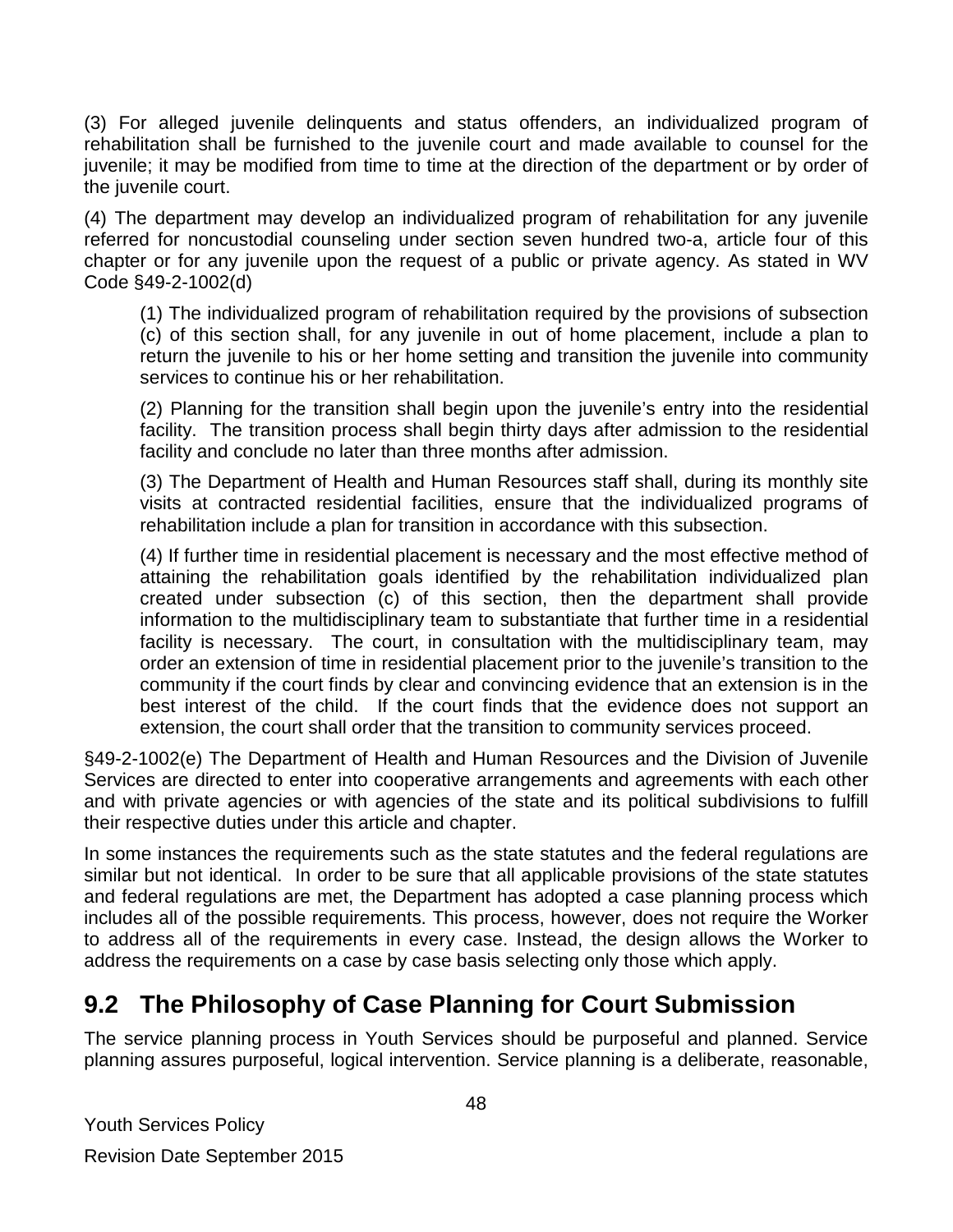(3) For alleged juvenile delinquents and status offenders, an individualized program of rehabilitation shall be furnished to the juvenile court and made available to counsel for the juvenile; it may be modified from time to time at the direction of the department or by order of the juvenile court.

(4) The department may develop an individualized program of rehabilitation for any juvenile referred for noncustodial counseling under section seven hundred two-a, article four of this chapter or for any juvenile upon the request of a public or private agency. As stated in WV Code §49-2-1002(d)

(1) The individualized program of rehabilitation required by the provisions of subsection (c) of this section shall, for any juvenile in out of home placement, include a plan to return the juvenile to his or her home setting and transition the juvenile into community services to continue his or her rehabilitation.

(2) Planning for the transition shall begin upon the juvenile's entry into the residential facility. The transition process shall begin thirty days after admission to the residential facility and conclude no later than three months after admission.

(3) The Department of Health and Human Resources staff shall, during its monthly site visits at contracted residential facilities, ensure that the individualized programs of rehabilitation include a plan for transition in accordance with this subsection.

(4) If further time in residential placement is necessary and the most effective method of attaining the rehabilitation goals identified by the rehabilitation individualized plan created under subsection (c) of this section, then the department shall provide information to the multidisciplinary team to substantiate that further time in a residential facility is necessary. The court, in consultation with the multidisciplinary team, may order an extension of time in residential placement prior to the juvenile's transition to the community if the court finds by clear and convincing evidence that an extension is in the best interest of the child. If the court finds that the evidence does not support an extension, the court shall order that the transition to community services proceed.

§49-2-1002(e) The Department of Health and Human Resources and the Division of Juvenile Services are directed to enter into cooperative arrangements and agreements with each other and with private agencies or with agencies of the state and its political subdivisions to fulfill their respective duties under this article and chapter.

In some instances the requirements such as the state statutes and the federal regulations are similar but not identical. In order to be sure that all applicable provisions of the state statutes and federal regulations are met, the Department has adopted a case planning process which includes all of the possible requirements. This process, however, does not require the Worker to address all of the requirements in every case. Instead, the design allows the Worker to address the requirements on a case by case basis selecting only those which apply.

### <span id="page-47-0"></span>**9.2 The Philosophy of Case Planning for Court Submission**

The service planning process in Youth Services should be purposeful and planned. Service planning assures purposeful, logical intervention. Service planning is a deliberate, reasonable,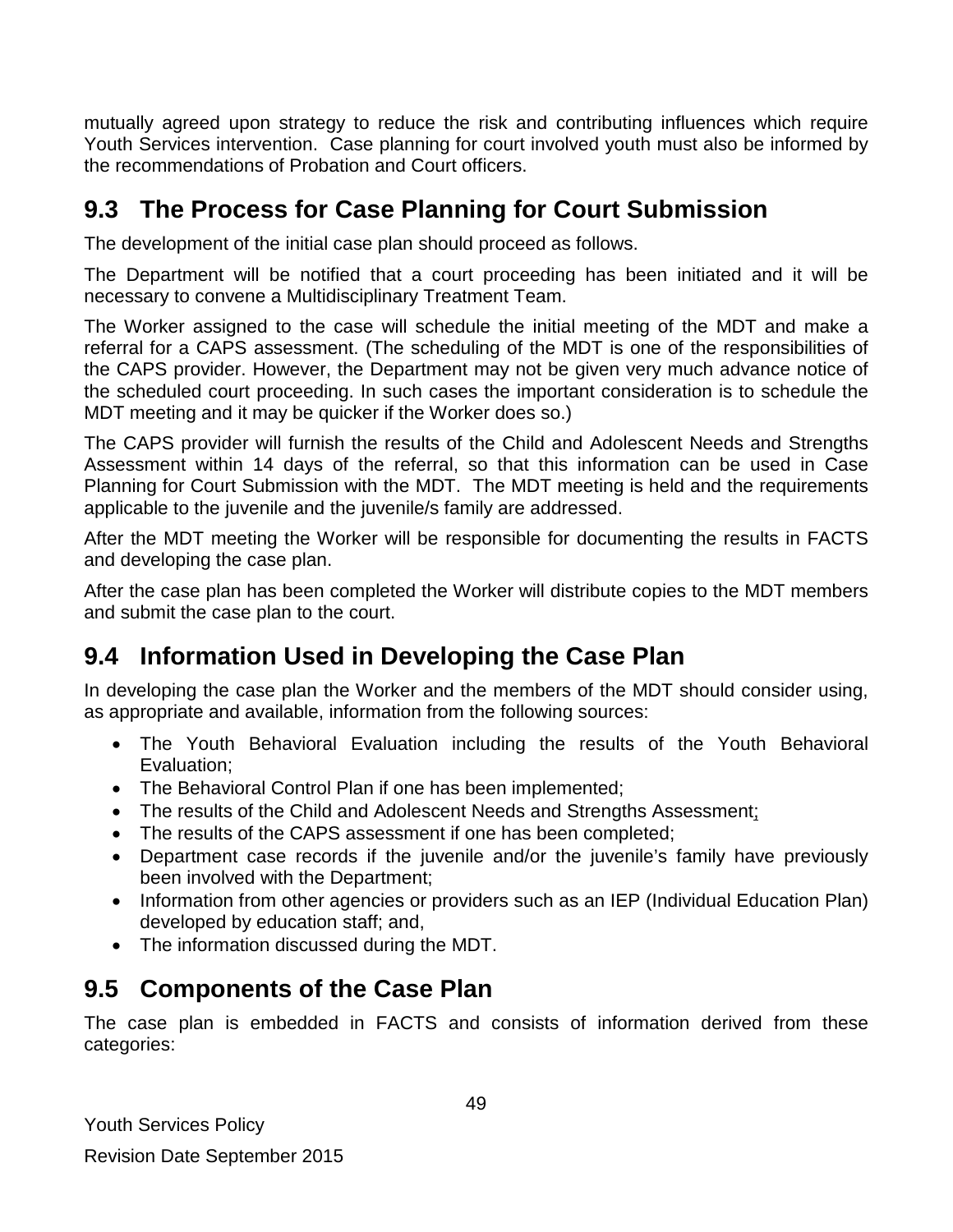mutually agreed upon strategy to reduce the risk and contributing influences which require Youth Services intervention. Case planning for court involved youth must also be informed by the recommendations of Probation and Court officers.

# <span id="page-48-0"></span>**9.3 The Process for Case Planning for Court Submission**

The development of the initial case plan should proceed as follows.

The Department will be notified that a court proceeding has been initiated and it will be necessary to convene a Multidisciplinary Treatment Team.

The Worker assigned to the case will schedule the initial meeting of the MDT and make a referral for a CAPS assessment. (The scheduling of the MDT is one of the responsibilities of the CAPS provider. However, the Department may not be given very much advance notice of the scheduled court proceeding. In such cases the important consideration is to schedule the MDT meeting and it may be quicker if the Worker does so.)

The CAPS provider will furnish the results of the Child and Adolescent Needs and Strengths Assessment within 14 days of the referral, so that this information can be used in Case Planning for Court Submission with the MDT. The MDT meeting is held and the requirements applicable to the juvenile and the juvenile/s family are addressed.

After the MDT meeting the Worker will be responsible for documenting the results in FACTS and developing the case plan.

After the case plan has been completed the Worker will distribute copies to the MDT members and submit the case plan to the court.

# <span id="page-48-1"></span>**9.4 Information Used in Developing the Case Plan**

In developing the case plan the Worker and the members of the MDT should consider using, as appropriate and available, information from the following sources:

- The Youth Behavioral Evaluation including the results of the Youth Behavioral Evaluation;
- The Behavioral Control Plan if one has been implemented;
- The results of the Child and Adolescent Needs and Strengths Assessment;
- The results of the CAPS assessment if one has been completed;
- Department case records if the juvenile and/or the juvenile's family have previously been involved with the Department;
- Information from other agencies or providers such as an IEP (Individual Education Plan) developed by education staff; and,
- The information discussed during the MDT.

### <span id="page-48-2"></span>**9.5 Components of the Case Plan**

The case plan is embedded in FACTS and consists of information derived from these categories: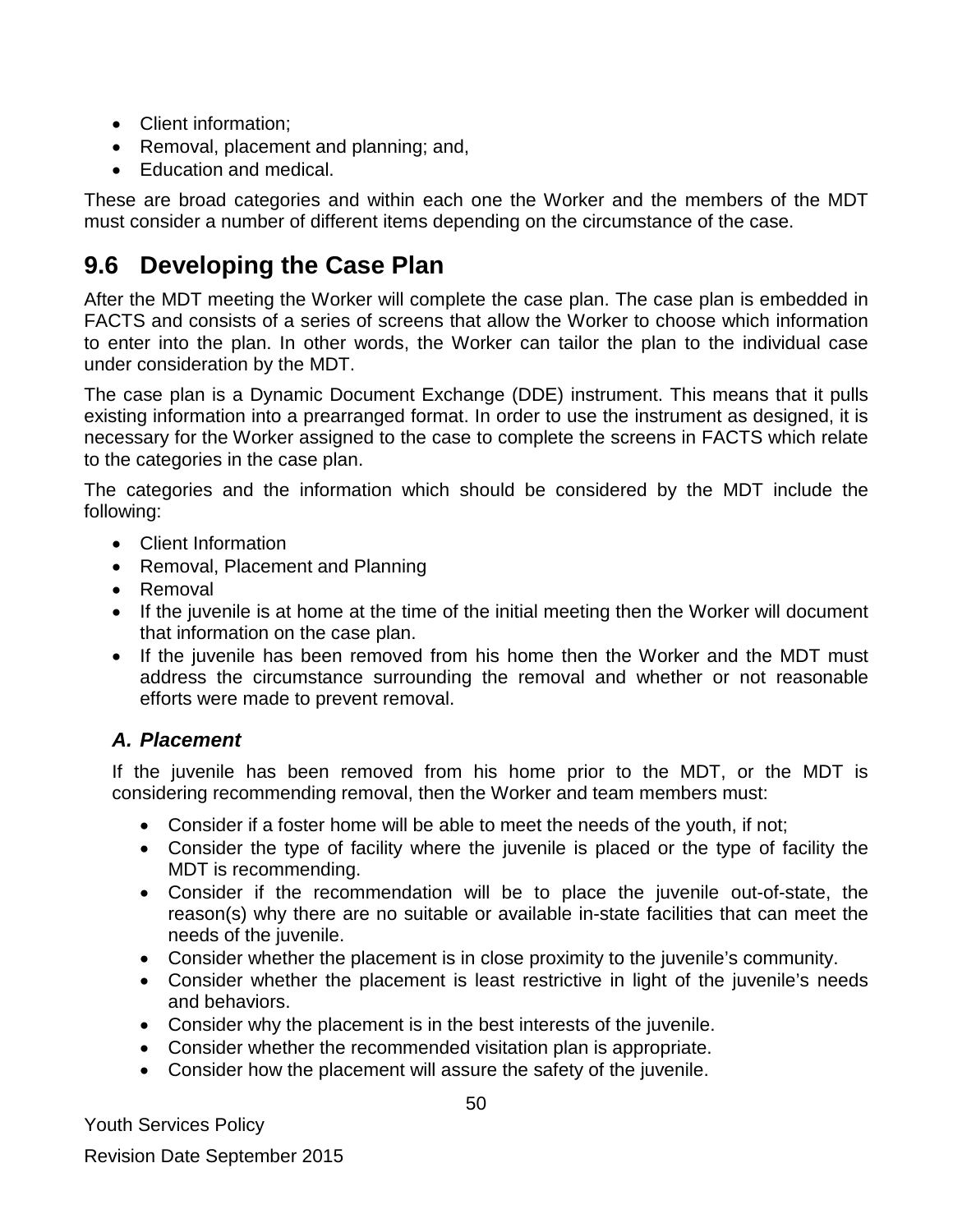- Client information:
- Removal, placement and planning; and,
- Education and medical.

These are broad categories and within each one the Worker and the members of the MDT must consider a number of different items depending on the circumstance of the case.

### <span id="page-49-0"></span>**9.6 Developing the Case Plan**

After the MDT meeting the Worker will complete the case plan. The case plan is embedded in FACTS and consists of a series of screens that allow the Worker to choose which information to enter into the plan. In other words, the Worker can tailor the plan to the individual case under consideration by the MDT.

The case plan is a Dynamic Document Exchange (DDE) instrument. This means that it pulls existing information into a prearranged format. In order to use the instrument as designed, it is necessary for the Worker assigned to the case to complete the screens in FACTS which relate to the categories in the case plan.

The categories and the information which should be considered by the MDT include the following:

- Client Information
- Removal, Placement and Planning
- Removal
- If the juvenile is at home at the time of the initial meeting then the Worker will document that information on the case plan.
- If the juvenile has been removed from his home then the Worker and the MDT must address the circumstance surrounding the removal and whether or not reasonable efforts were made to prevent removal.

#### *A. Placement*

If the juvenile has been removed from his home prior to the MDT, or the MDT is considering recommending removal, then the Worker and team members must:

- Consider if a foster home will be able to meet the needs of the youth, if not;
- Consider the type of facility where the juvenile is placed or the type of facility the MDT is recommending.
- Consider if the recommendation will be to place the juvenile out-of-state, the reason(s) why there are no suitable or available in-state facilities that can meet the needs of the juvenile.
- Consider whether the placement is in close proximity to the juvenile's community.
- Consider whether the placement is least restrictive in light of the juvenile's needs and behaviors.
- Consider why the placement is in the best interests of the juvenile.
- Consider whether the recommended visitation plan is appropriate.
- Consider how the placement will assure the safety of the juvenile.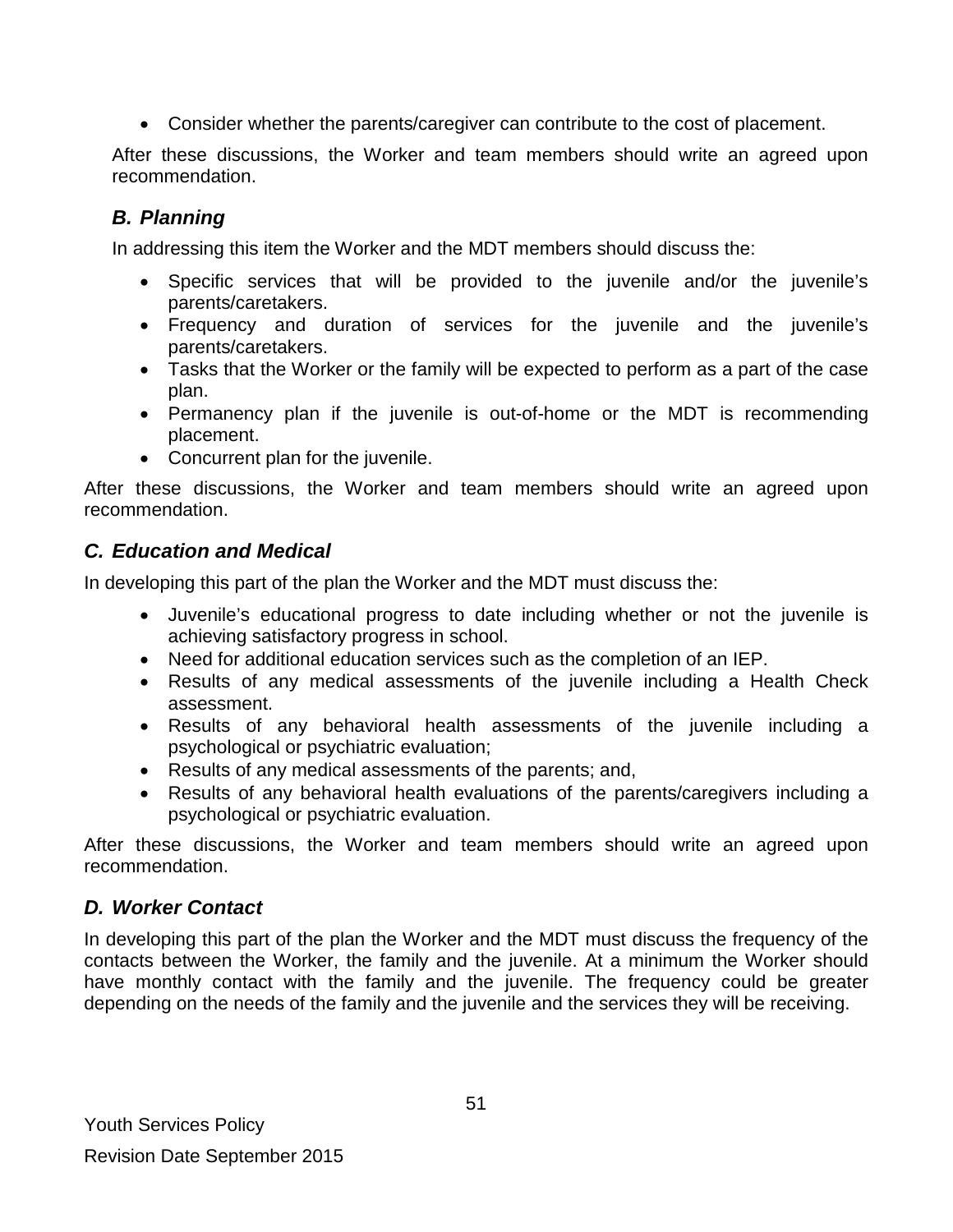• Consider whether the parents/caregiver can contribute to the cost of placement.

After these discussions, the Worker and team members should write an agreed upon recommendation.

### *B. Planning*

In addressing this item the Worker and the MDT members should discuss the:

- Specific services that will be provided to the juvenile and/or the juvenile's parents/caretakers.
- Frequency and duration of services for the juvenile and the juvenile's parents/caretakers.
- Tasks that the Worker or the family will be expected to perform as a part of the case plan.
- Permanency plan if the juvenile is out-of-home or the MDT is recommending placement.
- Concurrent plan for the juvenile.

After these discussions, the Worker and team members should write an agreed upon recommendation.

### *C. Education and Medical*

In developing this part of the plan the Worker and the MDT must discuss the:

- Juvenile's educational progress to date including whether or not the juvenile is achieving satisfactory progress in school.
- Need for additional education services such as the completion of an IEP.
- Results of any medical assessments of the juvenile including a Health Check assessment.
- Results of any behavioral health assessments of the juvenile including a psychological or psychiatric evaluation;
- Results of any medical assessments of the parents; and,
- Results of any behavioral health evaluations of the parents/caregivers including a psychological or psychiatric evaluation.

After these discussions, the Worker and team members should write an agreed upon recommendation.

### *D. Worker Contact*

In developing this part of the plan the Worker and the MDT must discuss the frequency of the contacts between the Worker, the family and the juvenile. At a minimum the Worker should have monthly contact with the family and the juvenile. The frequency could be greater depending on the needs of the family and the juvenile and the services they will be receiving.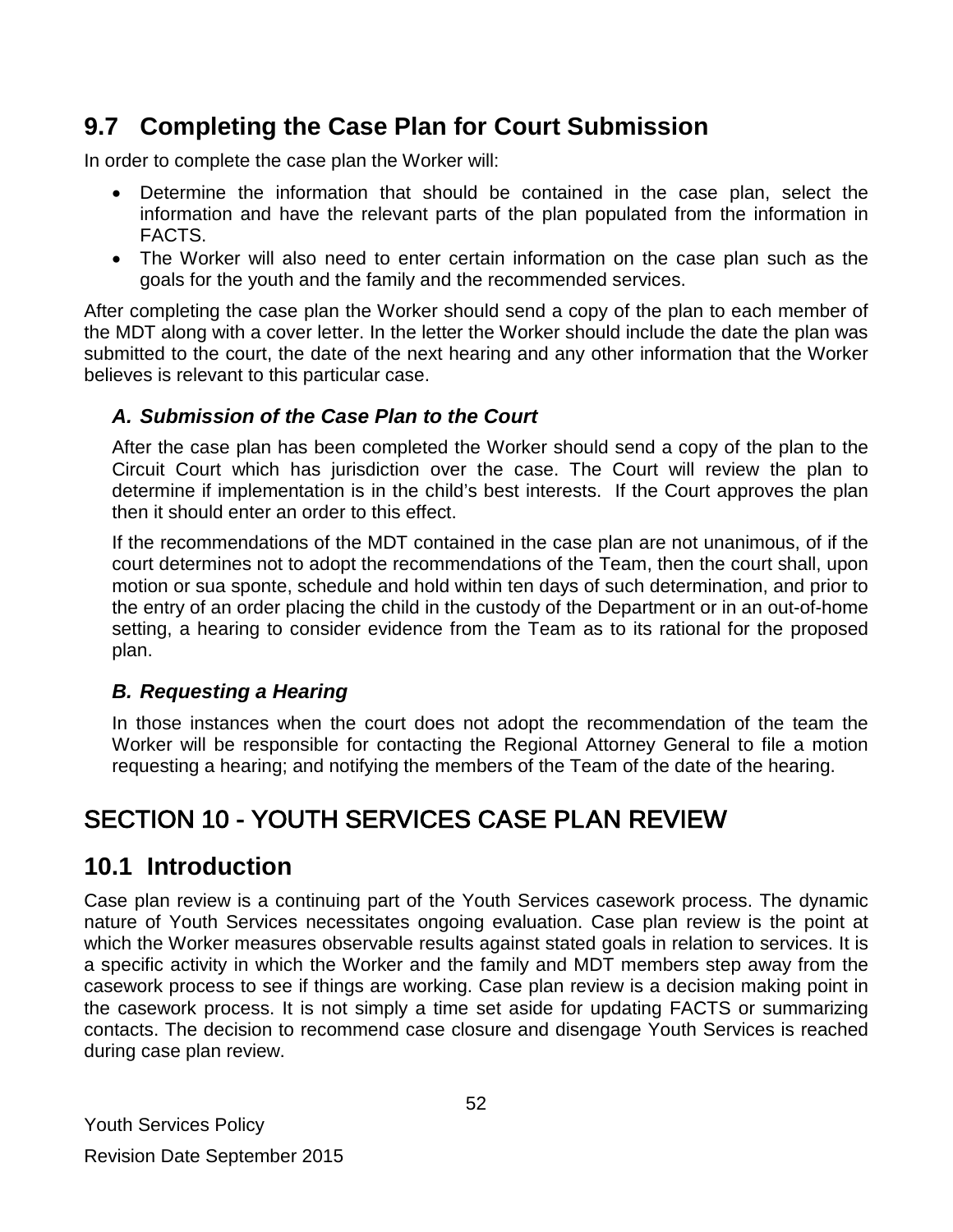# <span id="page-51-0"></span>**9.7 Completing the Case Plan for Court Submission**

In order to complete the case plan the Worker will:

- Determine the information that should be contained in the case plan, select the information and have the relevant parts of the plan populated from the information in FACTS.
- The Worker will also need to enter certain information on the case plan such as the goals for the youth and the family and the recommended services.

After completing the case plan the Worker should send a copy of the plan to each member of the MDT along with a cover letter. In the letter the Worker should include the date the plan was submitted to the court, the date of the next hearing and any other information that the Worker believes is relevant to this particular case.

### *A. Submission of the Case Plan to the Court*

After the case plan has been completed the Worker should send a copy of the plan to the Circuit Court which has jurisdiction over the case. The Court will review the plan to determine if implementation is in the child's best interests. If the Court approves the plan then it should enter an order to this effect.

If the recommendations of the MDT contained in the case plan are not unanimous, of if the court determines not to adopt the recommendations of the Team, then the court shall, upon motion or sua sponte, schedule and hold within ten days of such determination, and prior to the entry of an order placing the child in the custody of the Department or in an out-of-home setting, a hearing to consider evidence from the Team as to its rational for the proposed plan.

### *B. Requesting a Hearing*

In those instances when the court does not adopt the recommendation of the team the Worker will be responsible for contacting the Regional Attorney General to file a motion requesting a hearing; and notifying the members of the Team of the date of the hearing.

# <span id="page-51-1"></span>SECTION 10 - YOUTH SERVICES CASE PLAN REVIEW

### <span id="page-51-2"></span>**10.1 Introduction**

Case plan review is a continuing part of the Youth Services casework process. The dynamic nature of Youth Services necessitates ongoing evaluation. Case plan review is the point at which the Worker measures observable results against stated goals in relation to services. It is a specific activity in which the Worker and the family and MDT members step away from the casework process to see if things are working. Case plan review is a decision making point in the casework process. It is not simply a time set aside for updating FACTS or summarizing contacts. The decision to recommend case closure and disengage Youth Services is reached during case plan review.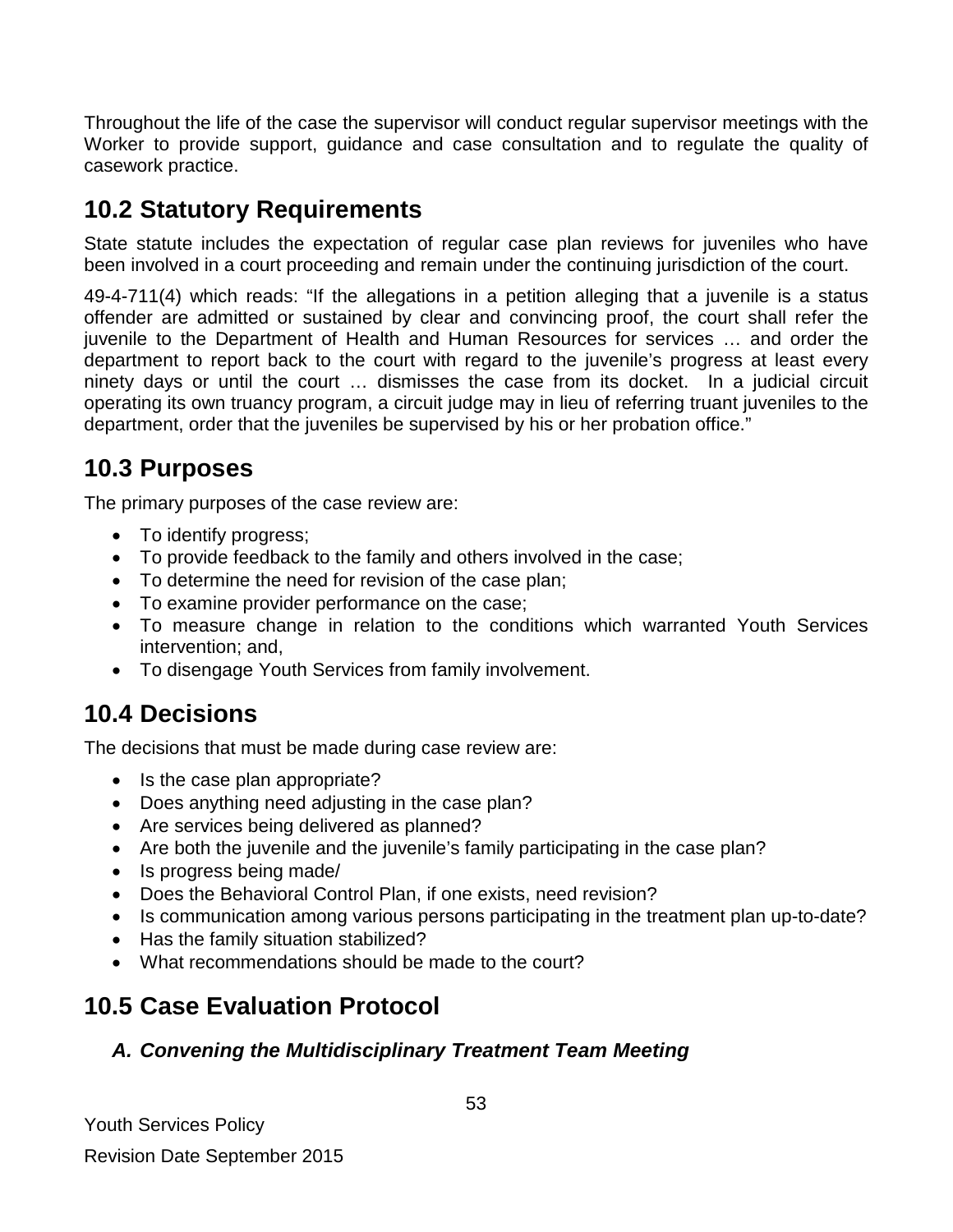Throughout the life of the case the supervisor will conduct regular supervisor meetings with the Worker to provide support, guidance and case consultation and to regulate the quality of casework practice.

# <span id="page-52-0"></span>**10.2 Statutory Requirements**

State statute includes the expectation of regular case plan reviews for juveniles who have been involved in a court proceeding and remain under the continuing jurisdiction of the court.

49-4-711(4) which reads: "If the allegations in a petition alleging that a juvenile is a status offender are admitted or sustained by clear and convincing proof, the court shall refer the juvenile to the Department of Health and Human Resources for services … and order the department to report back to the court with regard to the juvenile's progress at least every ninety days or until the court … dismisses the case from its docket. In a judicial circuit operating its own truancy program, a circuit judge may in lieu of referring truant juveniles to the department, order that the juveniles be supervised by his or her probation office."

# <span id="page-52-1"></span>**10.3 Purposes**

The primary purposes of the case review are:

- To identify progress;
- To provide feedback to the family and others involved in the case;
- To determine the need for revision of the case plan;
- To examine provider performance on the case;
- To measure change in relation to the conditions which warranted Youth Services intervention; and,
- To disengage Youth Services from family involvement.

# <span id="page-52-2"></span>**10.4 Decisions**

The decisions that must be made during case review are:

- Is the case plan appropriate?
- Does anything need adjusting in the case plan?
- Are services being delivered as planned?
- Are both the juvenile and the juvenile's family participating in the case plan?
- Is progress being made/
- Does the Behavioral Control Plan, if one exists, need revision?
- Is communication among various persons participating in the treatment plan up-to-date?
- Has the family situation stabilized?
- What recommendations should be made to the court?

# <span id="page-52-3"></span>**10.5 Case Evaluation Protocol**

### *A. Convening the Multidisciplinary Treatment Team Meeting*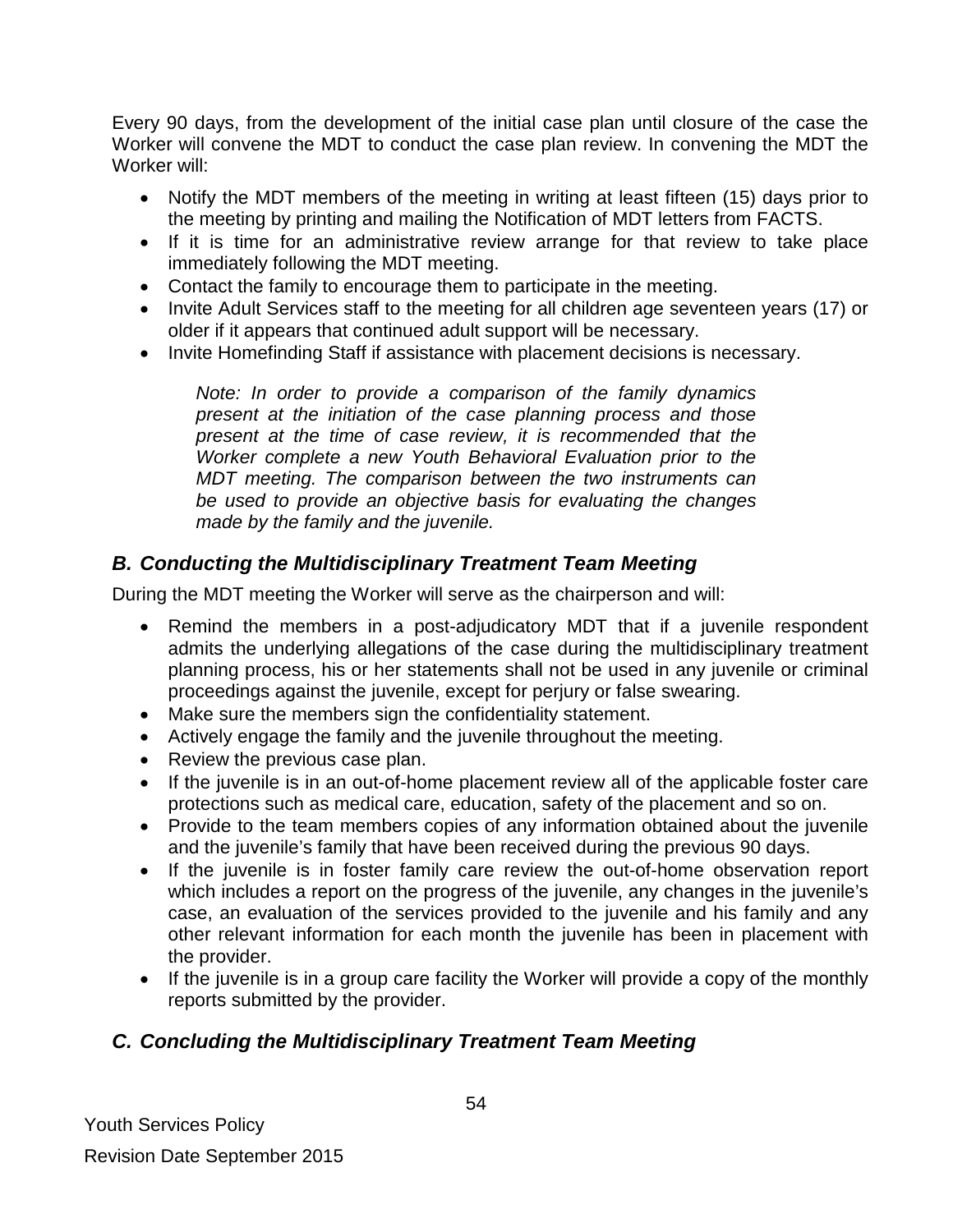Every 90 days, from the development of the initial case plan until closure of the case the Worker will convene the MDT to conduct the case plan review. In convening the MDT the Worker will:

- Notify the MDT members of the meeting in writing at least fifteen (15) days prior to the meeting by printing and mailing the Notification of MDT letters from FACTS.
- If it is time for an administrative review arrange for that review to take place immediately following the MDT meeting.
- Contact the family to encourage them to participate in the meeting.
- Invite Adult Services staff to the meeting for all children age seventeen years (17) or older if it appears that continued adult support will be necessary.
- Invite Homefinding Staff if assistance with placement decisions is necessary.

*Note: In order to provide a comparison of the family dynamics present at the initiation of the case planning process and those present at the time of case review, it is recommended that the Worker complete a new Youth Behavioral Evaluation prior to the MDT meeting. The comparison between the two instruments can be used to provide an objective basis for evaluating the changes made by the family and the juvenile.* 

### *B. Conducting the Multidisciplinary Treatment Team Meeting*

During the MDT meeting the Worker will serve as the chairperson and will:

- Remind the members in a post-adjudicatory MDT that if a juvenile respondent admits the underlying allegations of the case during the multidisciplinary treatment planning process, his or her statements shall not be used in any juvenile or criminal proceedings against the juvenile, except for perjury or false swearing.
- Make sure the members sign the confidentiality statement.
- Actively engage the family and the juvenile throughout the meeting.
- Review the previous case plan.
- If the juvenile is in an out-of-home placement review all of the applicable foster care protections such as medical care, education, safety of the placement and so on.
- Provide to the team members copies of any information obtained about the juvenile and the juvenile's family that have been received during the previous 90 days.
- If the juvenile is in foster family care review the out-of-home observation report which includes a report on the progress of the juvenile, any changes in the juvenile's case, an evaluation of the services provided to the juvenile and his family and any other relevant information for each month the juvenile has been in placement with the provider.
- If the juvenile is in a group care facility the Worker will provide a copy of the monthly reports submitted by the provider.

### *C. Concluding the Multidisciplinary Treatment Team Meeting*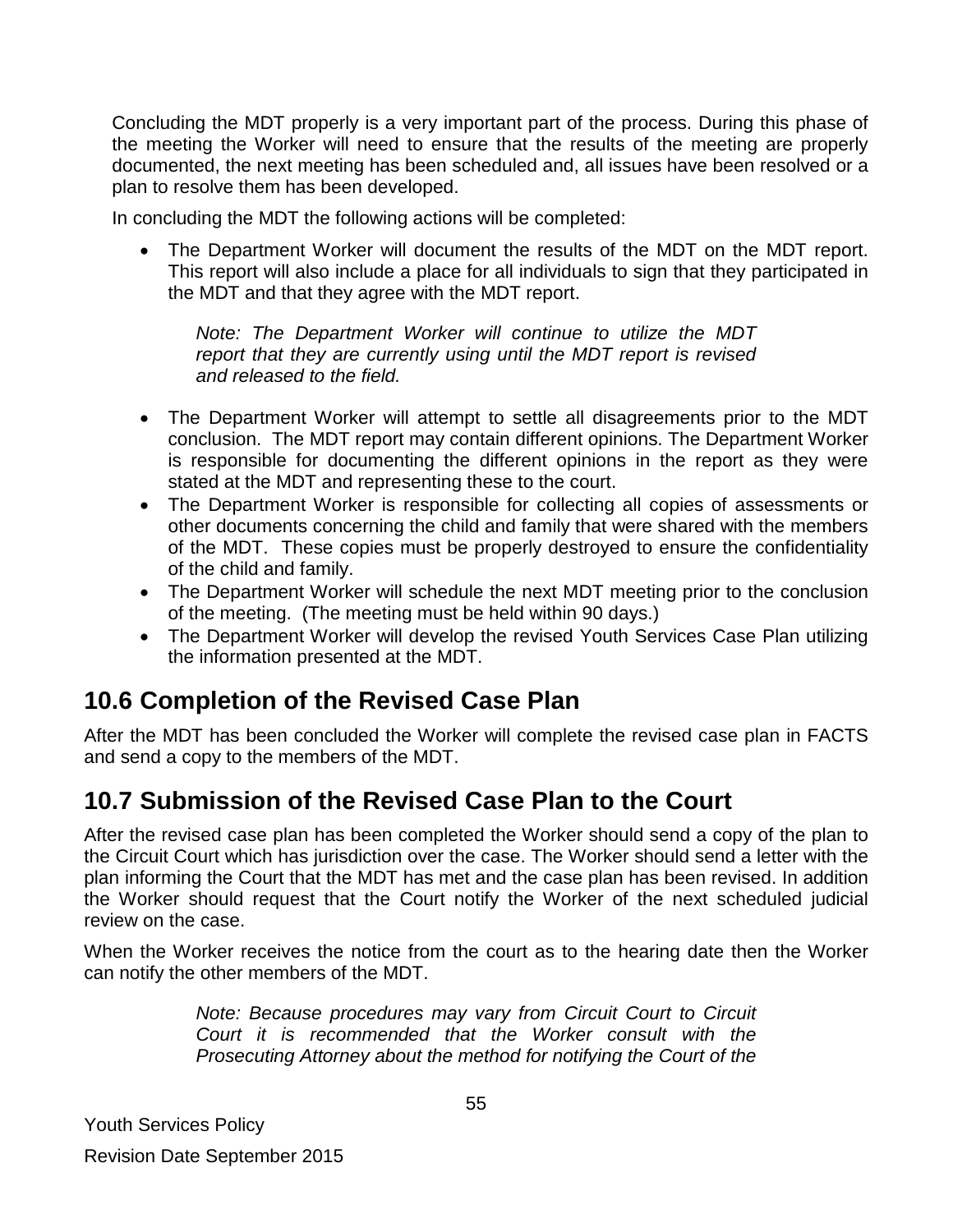Concluding the MDT properly is a very important part of the process. During this phase of the meeting the Worker will need to ensure that the results of the meeting are properly documented, the next meeting has been scheduled and, all issues have been resolved or a plan to resolve them has been developed.

In concluding the MDT the following actions will be completed:

The Department Worker will document the results of the MDT on the MDT report. This report will also include a place for all individuals to sign that they participated in the MDT and that they agree with the MDT report.

*Note: The Department Worker will continue to utilize the MDT report that they are currently using until the MDT report is revised and released to the field.* 

- The Department Worker will attempt to settle all disagreements prior to the MDT conclusion. The MDT report may contain different opinions. The Department Worker is responsible for documenting the different opinions in the report as they were stated at the MDT and representing these to the court.
- The Department Worker is responsible for collecting all copies of assessments or other documents concerning the child and family that were shared with the members of the MDT. These copies must be properly destroyed to ensure the confidentiality of the child and family.
- The Department Worker will schedule the next MDT meeting prior to the conclusion of the meeting. (The meeting must be held within 90 days.)
- The Department Worker will develop the revised Youth Services Case Plan utilizing the information presented at the MDT.

### <span id="page-54-0"></span>**10.6 Completion of the Revised Case Plan**

After the MDT has been concluded the Worker will complete the revised case plan in FACTS and send a copy to the members of the MDT.

### <span id="page-54-1"></span>**10.7 Submission of the Revised Case Plan to the Court**

After the revised case plan has been completed the Worker should send a copy of the plan to the Circuit Court which has jurisdiction over the case. The Worker should send a letter with the plan informing the Court that the MDT has met and the case plan has been revised. In addition the Worker should request that the Court notify the Worker of the next scheduled judicial review on the case.

When the Worker receives the notice from the court as to the hearing date then the Worker can notify the other members of the MDT.

> *Note: Because procedures may vary from Circuit Court to Circuit Court it is recommended that the Worker consult with the Prosecuting Attorney about the method for notifying the Court of the*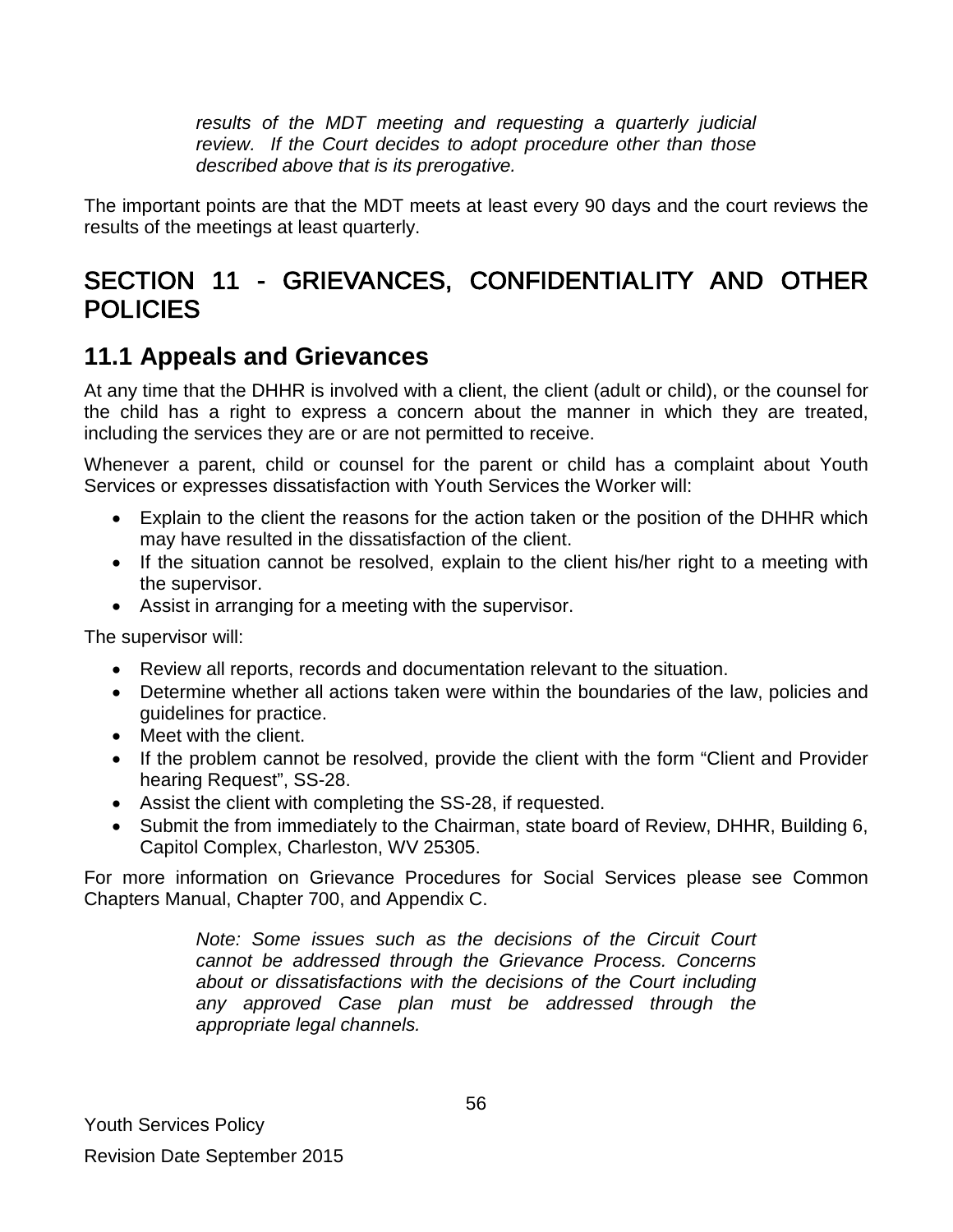*results of the MDT meeting and requesting a quarterly judicial review. If the Court decides to adopt procedure other than those described above that is its prerogative.*

The important points are that the MDT meets at least every 90 days and the court reviews the results of the meetings at least quarterly.

# <span id="page-55-0"></span>SECTION 11 - GRIEVANCES, CONFIDENTIALITY AND OTHER POLICIES

### <span id="page-55-1"></span>**11.1 Appeals and Grievances**

At any time that the DHHR is involved with a client, the client (adult or child), or the counsel for the child has a right to express a concern about the manner in which they are treated, including the services they are or are not permitted to receive.

Whenever a parent, child or counsel for the parent or child has a complaint about Youth Services or expresses dissatisfaction with Youth Services the Worker will:

- Explain to the client the reasons for the action taken or the position of the DHHR which may have resulted in the dissatisfaction of the client.
- If the situation cannot be resolved, explain to the client his/her right to a meeting with the supervisor.
- Assist in arranging for a meeting with the supervisor.

The supervisor will:

- Review all reports, records and documentation relevant to the situation.
- Determine whether all actions taken were within the boundaries of the law, policies and guidelines for practice.
- Meet with the client.
- If the problem cannot be resolved, provide the client with the form "Client and Provider hearing Request", SS-28.
- Assist the client with completing the SS-28, if requested.
- Submit the from immediately to the Chairman, state board of Review, DHHR, Building 6, Capitol Complex, Charleston, WV 25305.

For more information on Grievance Procedures for Social Services please see Common Chapters Manual, Chapter 700, and Appendix C.

> *Note: Some issues such as the decisions of the Circuit Court cannot be addressed through the Grievance Process. Concerns about or dissatisfactions with the decisions of the Court including any approved Case plan must be addressed through the appropriate legal channels.*